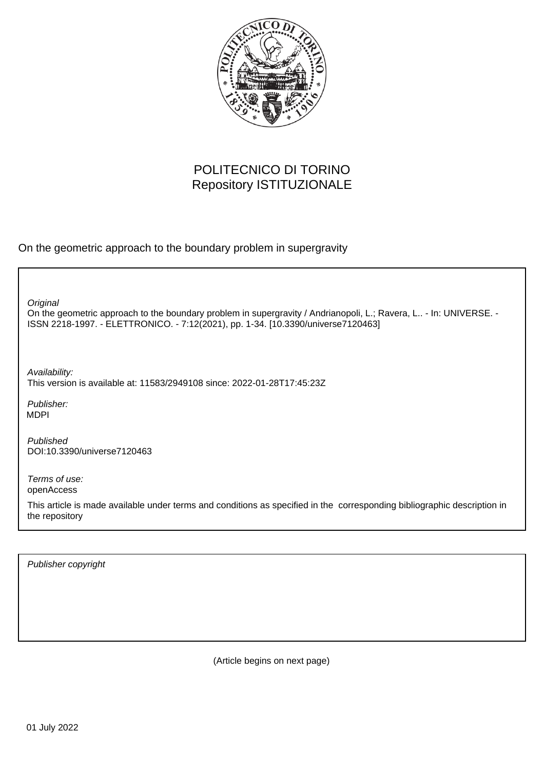

# POLITECNICO DI TORINO Repository ISTITUZIONALE

On the geometric approach to the boundary problem in supergravity

On the geometric approach to the boundary problem in supergravity / Andrianopoli, L.; Ravera, L.. - In: UNIVERSE. - ISSN 2218-1997. - ELETTRONICO. - 7:12(2021), pp. 1-34. [10.3390/universe7120463] **Original** Publisher: Published DOI:10.3390/universe7120463 Terms of use: openAccess This article is made available under terms and conditions as specified in the corresponding bibliographic description in Availability: This version is available at: 11583/2949108 since: 2022-01-28T17:45:23Z MDPI

Publisher copyright

the repository

(Article begins on next page)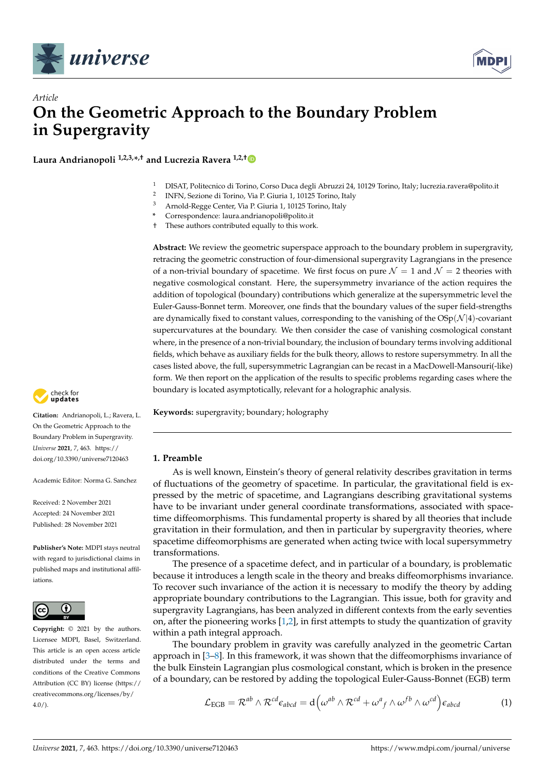



# *Article* **On the Geometric Approach to the Boundary Problem in Supergravity**

**Laura Andrianopoli 1,2,3,\* ,† and Lucrezia Ravera 1,2,†**

- <sup>1</sup> DISAT, Politecnico di Torino, Corso Duca degli Abruzzi 24, 10129 Torino, Italy; lucrezia.ravera@polito.it
- 2 INFN, Sezione di Torino, Via P. Giuria 1, 10125 Torino, Italy
- <sup>3</sup> Arnold-Regge Center, Via P. Giuria 1, 10125 Torino, Italy
- **\*** Correspondence: laura.andrianopoli@polito.it
- † These authors contributed equally to this work.

**Abstract:** We review the geometric superspace approach to the boundary problem in supergravity, retracing the geometric construction of four-dimensional supergravity Lagrangians in the presence of a non-trivial boundary of spacetime. We first focus on pure  $\mathcal{N} = 1$  and  $\mathcal{N} = 2$  theories with negative cosmological constant. Here, the supersymmetry invariance of the action requires the addition of topological (boundary) contributions which generalize at the supersymmetric level the Euler-Gauss-Bonnet term. Moreover, one finds that the boundary values of the super field-strengths are dynamically fixed to constant values, corresponding to the vanishing of the  $OSp(\mathcal{N}|4)$ -covariant supercurvatures at the boundary. We then consider the case of vanishing cosmological constant where, in the presence of a non-trivial boundary, the inclusion of boundary terms involving additional fields, which behave as auxiliary fields for the bulk theory, allows to restore supersymmetry. In all the cases listed above, the full, supersymmetric Lagrangian can be recast in a MacDowell-Mansouri(-like) form. We then report on the application of the results to specific problems regarding cases where the boundary is located asymptotically, relevant for a holographic analysis.

**Keywords:** supergravity; boundary; holography

# **1. Preamble**

As is well known, Einstein's theory of general relativity describes gravitation in terms of fluctuations of the geometry of spacetime. In particular, the gravitational field is expressed by the metric of spacetime, and Lagrangians describing gravitational systems have to be invariant under general coordinate transformations, associated with spacetime diffeomorphisms. This fundamental property is shared by all theories that include gravitation in their formulation, and then in particular by supergravity theories, where spacetime diffeomorphisms are generated when acting twice with local supersymmetry transformations.

The presence of a spacetime defect, and in particular of a boundary, is problematic because it introduces a length scale in the theory and breaks diffeomorphisms invariance. To recover such invariance of the action it is necessary to modify the theory by adding appropriate boundary contributions to the Lagrangian. This issue, both for gravity and supergravity Lagrangians, has been analyzed in different contexts from the early seventies on, after the pioneering works [1,2], in first attempts to study the quantization of gravity within a path integral approach.

The boundary problem in gravity was carefully analyzed in the geometric Cartan approach in [3–8]. In this framework, it was shown that the diffeomorphisms invariance of the bulk Einstein Lagrangian plus cosmological constant, which is broken in the presence of a boundary, can be restored by adding the topological Euler-Gauss-Bonnet (EGB) term

$$
\mathcal{L}_{\text{EGB}} = \mathcal{R}^{ab} \wedge \mathcal{R}^{cd} \epsilon_{abcd} = d \Big( \omega^{ab} \wedge \mathcal{R}^{cd} + \omega^a{}_f \wedge \omega^{fb} \wedge \omega^{cd} \Big) \epsilon_{abcd} \tag{1}
$$



**Citation:** Andrianopoli, L.; Ravera, L. On the Geometric Approach to the Boundary Problem in Supergravity. *Universe* **2021**, *7*, 463. [https://](https://doi.org/10.3390/universe7120463) [doi.org/10.3390/universe7120463](https://doi.org/10.3390/universe7120463)

Academic Editor: Norma G. Sanchez

Received: 2 November 2021 Accepted: 24 November 2021 Published: 28 November 2021

**Publisher's Note:** MDPI stays neutral with regard to jurisdictional claims in published maps and institutional affiliations.



**Copyright:** © 2021 by the authors. Licensee MDPI, Basel, Switzerland. This article is an open access article distributed under the terms and conditions of the Creative Commons Attribution (CC BY) license (https:/[/](https://creativecommons.org/licenses/by/4.0/) [creativecommons.org/licenses/by/](https://creativecommons.org/licenses/by/4.0/)  $4.0/$ ).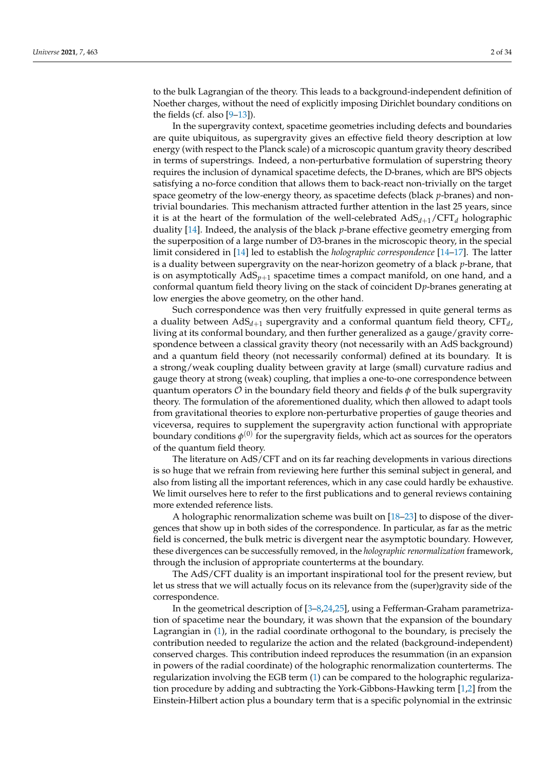to the bulk Lagrangian of the theory. This leads to a background-independent definition of Noether charges, without the need of explicitly imposing Dirichlet boundary conditions on the fields (cf. also  $[9-13]$ ).

In the supergravity context, spacetime geometries including defects and boundaries are quite ubiquitous, as supergravity gives an effective field theory description at low energy (with respect to the Planck scale) of a microscopic quantum gravity theory described in terms of superstrings. Indeed, a non-perturbative formulation of superstring theory requires the inclusion of dynamical spacetime defects, the D-branes, which are BPS objects satisfying a no-force condition that allows them to back-react non-trivially on the target space geometry of the low-energy theory, as spacetime defects (black *p*-branes) and nontrivial boundaries. This mechanism attracted further attention in the last 25 years, since it is at the heart of the formulation of the well-celebrated AdS*d*+1/CFT*<sup>d</sup>* holographic duality [14]. Indeed, the analysis of the black *p*-brane effective geometry emerging from the superposition of a large number of D3-branes in the microscopic theory, in the special limit considered in [14] led to establish the *holographic correspondence* [14–17]. The latter is a duality between supergravity on the near-horizon geometry of a black *p*-brane, that is on asymptotically  $AdS_{p+1}$  spacetime times a compact manifold, on one hand, and a conformal quantum field theory living on the stack of coincident D*p*-branes generating at low energies the above geometry, on the other hand.

Such correspondence was then very fruitfully expressed in quite general terms as a duality between AdS*d*+<sup>1</sup> supergravity and a conformal quantum field theory, CFT*<sup>d</sup>* , living at its conformal boundary, and then further generalized as a gauge/gravity correspondence between a classical gravity theory (not necessarily with an AdS background) and a quantum field theory (not necessarily conformal) defined at its boundary. It is a strong/weak coupling duality between gravity at large (small) curvature radius and gauge theory at strong (weak) coupling, that implies a one-to-one correspondence between quantum operators  $\mathcal O$  in the boundary field theory and fields  $\phi$  of the bulk supergravity theory. The formulation of the aforementioned duality, which then allowed to adapt tools from gravitational theories to explore non-perturbative properties of gauge theories and viceversa, requires to supplement the supergravity action functional with appropriate boundary conditions  $\phi^{(0)}$  for the supergravity fields, which act as sources for the operators of the quantum field theory.

The literature on AdS/CFT and on its far reaching developments in various directions is so huge that we refrain from reviewing here further this seminal subject in general, and also from listing all the important references, which in any case could hardly be exhaustive. We limit ourselves here to refer to the first publications and to general reviews containing more extended reference lists.

A holographic renormalization scheme was built on [18–23] to dispose of the divergences that show up in both sides of the correspondence. In particular, as far as the metric field is concerned, the bulk metric is divergent near the asymptotic boundary. However, these divergences can be successfully removed, in the *holographic renormalization* framework, through the inclusion of appropriate counterterms at the boundary.

The AdS/CFT duality is an important inspirational tool for the present review, but let us stress that we will actually focus on its relevance from the (super)gravity side of the correspondence.

In the geometrical description of [3–8,24,25], using a Fefferman-Graham parametrization of spacetime near the boundary, it was shown that the expansion of the boundary Lagrangian in (1), in the radial coordinate orthogonal to the boundary, is precisely the contribution needed to regularize the action and the related (background-independent) conserved charges. This contribution indeed reproduces the resummation (in an expansion in powers of the radial coordinate) of the holographic renormalization counterterms. The regularization involving the EGB term (1) can be compared to the holographic regularization procedure by adding and subtracting the York-Gibbons-Hawking term [1,2] from the Einstein-Hilbert action plus a boundary term that is a specific polynomial in the extrinsic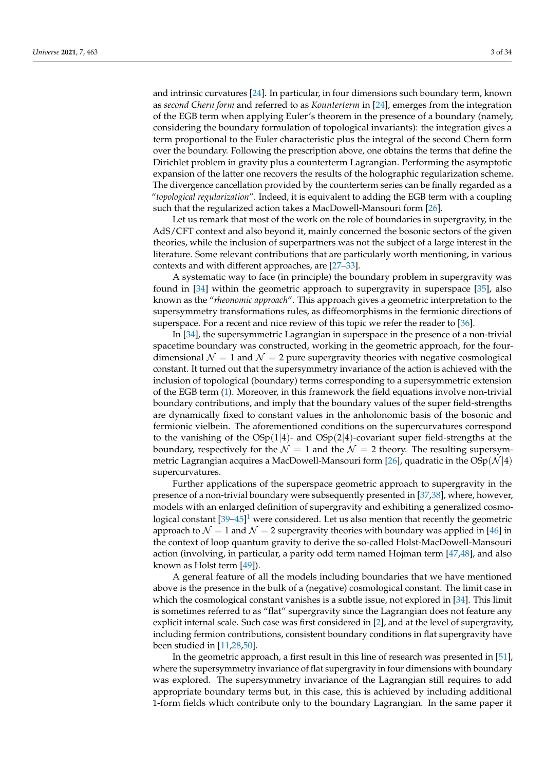and intrinsic curvatures [24]. In particular, in four dimensions such boundary term, known as *second Chern form* and referred to as *Kounterterm* in [24], emerges from the integration of the EGB term when applying Euler's theorem in the presence of a boundary (namely, considering the boundary formulation of topological invariants): the integration gives a term proportional to the Euler characteristic plus the integral of the second Chern form over the boundary. Following the prescription above, one obtains the terms that define the Dirichlet problem in gravity plus a counterterm Lagrangian. Performing the asymptotic expansion of the latter one recovers the results of the holographic regularization scheme. The divergence cancellation provided by the counterterm series can be finally regarded as a "*topological regularization*". Indeed, it is equivalent to adding the EGB term with a coupling such that the regularized action takes a MacDowell-Mansouri form [26].

Let us remark that most of the work on the role of boundaries in supergravity, in the AdS/CFT context and also beyond it, mainly concerned the bosonic sectors of the given theories, while the inclusion of superpartners was not the subject of a large interest in the literature. Some relevant contributions that are particularly worth mentioning, in various contexts and with different approaches, are [27–33].

A systematic way to face (in principle) the boundary problem in supergravity was found in [34] within the geometric approach to supergravity in superspace [35], also known as the "*rheonomic approach*". This approach gives a geometric interpretation to the supersymmetry transformations rules, as diffeomorphisms in the fermionic directions of superspace. For a recent and nice review of this topic we refer the reader to [36].

In [34], the supersymmetric Lagrangian in superspace in the presence of a non-trivial spacetime boundary was constructed, working in the geometric approach, for the fourdimensional  $\mathcal{N} = 1$  and  $\mathcal{N} = 2$  pure supergravity theories with negative cosmological constant. It turned out that the supersymmetry invariance of the action is achieved with the inclusion of topological (boundary) terms corresponding to a supersymmetric extension of the EGB term (1). Moreover, in this framework the field equations involve non-trivial boundary contributions, and imply that the boundary values of the super field-strengths are dynamically fixed to constant values in the anholonomic basis of the bosonic and fermionic vielbein. The aforementioned conditions on the supercurvatures correspond to the vanishing of the  $OSp(1|4)$ - and  $OSp(2|4)$ -covariant super field-strengths at the boundary, respectively for the  $\mathcal{N} = 1$  and the  $\mathcal{N} = 2$  theory. The resulting supersymmetric Lagrangian acquires a MacDowell-Mansouri form [26], quadratic in the  $OSp(N|4)$ supercurvatures.

Further applications of the superspace geometric approach to supergravity in the presence of a non-trivial boundary were subsequently presented in [37,38], where, however, models with an enlarged definition of supergravity and exhibiting a generalized cosmological constant  $[39-45]^1$  were considered. Let us also mention that recently the geometric approach to  $\mathcal{N} = 1$  and  $\mathcal{N} = 2$  supergravity theories with boundary was applied in [46] in the context of loop quantum gravity to derive the so-called Holst-MacDowell-Mansouri action (involving, in particular, a parity odd term named Hojman term [47,48], and also known as Holst term [49]).

A general feature of all the models including boundaries that we have mentioned above is the presence in the bulk of a (negative) cosmological constant. The limit case in which the cosmological constant vanishes is a subtle issue, not explored in [34]. This limit is sometimes referred to as "flat" supergravity since the Lagrangian does not feature any explicit internal scale. Such case was first considered in [2], and at the level of supergravity, including fermion contributions, consistent boundary conditions in flat supergravity have been studied in [11,28,50].

In the geometric approach, a first result in this line of research was presented in [51], where the supersymmetry invariance of flat supergravity in four dimensions with boundary was explored. The supersymmetry invariance of the Lagrangian still requires to add appropriate boundary terms but, in this case, this is achieved by including additional 1-form fields which contribute only to the boundary Lagrangian. In the same paper it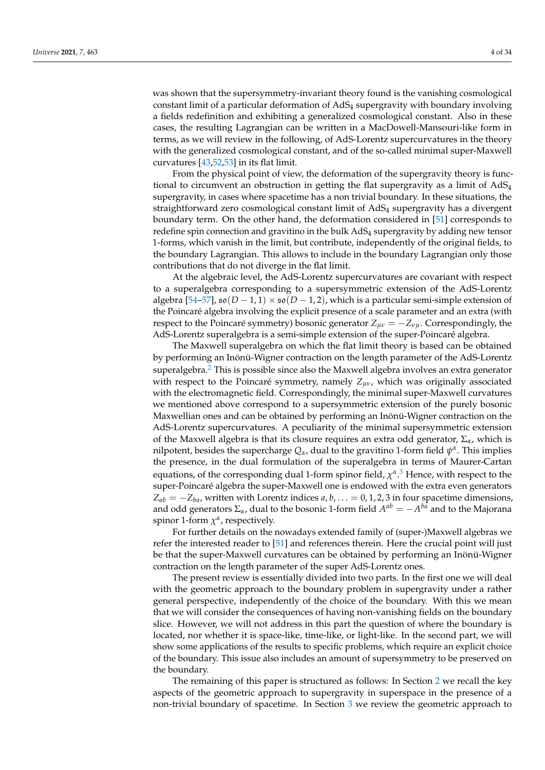was shown that the supersymmetry-invariant theory found is the vanishing cosmological constant limit of a particular deformation of AdS<sup>4</sup> supergravity with boundary involving a fields redefinition and exhibiting a generalized cosmological constant. Also in these cases, the resulting Lagrangian can be written in a MacDowell-Mansouri-like form in terms, as we will review in the following, of AdS-Lorentz supercurvatures in the theory with the generalized cosmological constant, and of the so-called minimal super-Maxwell curvatures [43,52,53] in its flat limit.

From the physical point of view, the deformation of the supergravity theory is functional to circumvent an obstruction in getting the flat supergravity as a limit of  $AdS<sub>4</sub>$ supergravity, in cases where spacetime has a non trivial boundary. In these situations, the straightforward zero cosmological constant limit of AdS<sub>4</sub> supergravity has a divergent boundary term. On the other hand, the deformation considered in [51] corresponds to redefine spin connection and gravitino in the bulk AdS<sub>4</sub> supergravity by adding new tensor 1-forms, which vanish in the limit, but contribute, independently of the original fields, to the boundary Lagrangian. This allows to include in the boundary Lagrangian only those contributions that do not diverge in the flat limit.

At the algebraic level, the AdS-Lorentz supercurvatures are covariant with respect to a superalgebra corresponding to a supersymmetric extension of the AdS-Lorentz algebra [54–57],  $\mathfrak{so}(D-1,1)\times \mathfrak{so}(D-1,2)$ , which is a particular semi-simple extension of the Poincaré algebra involving the explicit presence of a scale parameter and an extra (with respect to the Poincaré symmetry) bosonic generator *Zµν* = −*Zνµ*. Correspondingly, the AdS-Lorentz superalgebra is a semi-simple extension of the super-Poincaré algebra.

The Maxwell superalgebra on which the flat limit theory is based can be obtained by performing an Inönü-Wigner contraction on the length parameter of the AdS-Lorentz superalgebra.<sup>2</sup> This is possible since also the Maxwell algebra involves an extra generator with respect to the Poincaré symmetry, namely *Zµν*, which was originally associated with the electromagnetic field. Correspondingly, the minimal super-Maxwell curvatures we mentioned above correspond to a supersymmetric extension of the purely bosonic Maxwellian ones and can be obtained by performing an Inönü-Wigner contraction on the AdS-Lorentz supercurvatures. A peculiarity of the minimal supersymmetric extension of the Maxwell algebra is that its closure requires an extra odd generator, Σ*α*, which is nilpotent, besides the supercharge  $Q_{\alpha}$ , dual to the gravitino 1-form field  $\psi^{\alpha}$ . This implies the presence, in the dual formulation of the superalgebra in terms of Maurer-Cartan equations, of the corresponding dual 1-form spinor field, *χ α* . 3 Hence, with respect to the super-Poincaré algebra the super-Maxwell one is endowed with the extra even generators  $Z_{ab} = -Z_{ba}$ , written with Lorentz indices *a*, *b*, . . . = 0, 1, 2, 3 in four spacetime dimensions, and odd generators  $\Sigma_{\alpha}$ , dual to the bosonic 1-form field  $A^{ab} = -A^{ba}$  and to the Majorana spinor 1-form  $\chi^{\alpha}$ , respectively.

For further details on the nowadays extended family of (super-)Maxwell algebras we refer the interested reader to [51] and references therein. Here the crucial point will just be that the super-Maxwell curvatures can be obtained by performing an Inönü-Wigner contraction on the length parameter of the super AdS-Lorentz ones.

The present review is essentially divided into two parts. In the first one we will deal with the geometric approach to the boundary problem in supergravity under a rather general perspective, independently of the choice of the boundary. With this we mean that we will consider the consequences of having non-vanishing fields on the boundary slice. However, we will not address in this part the question of where the boundary is located, nor whether it is space-like, time-like, or light-like. In the second part, we will show some applications of the results to specific problems, which require an explicit choice of the boundary. This issue also includes an amount of supersymmetry to be preserved on the boundary.

The remaining of this paper is structured as follows: In Section 2 we recall the key aspects of the geometric approach to supergravity in superspace in the presence of a non-trivial boundary of spacetime. In Section 3 we review the geometric approach to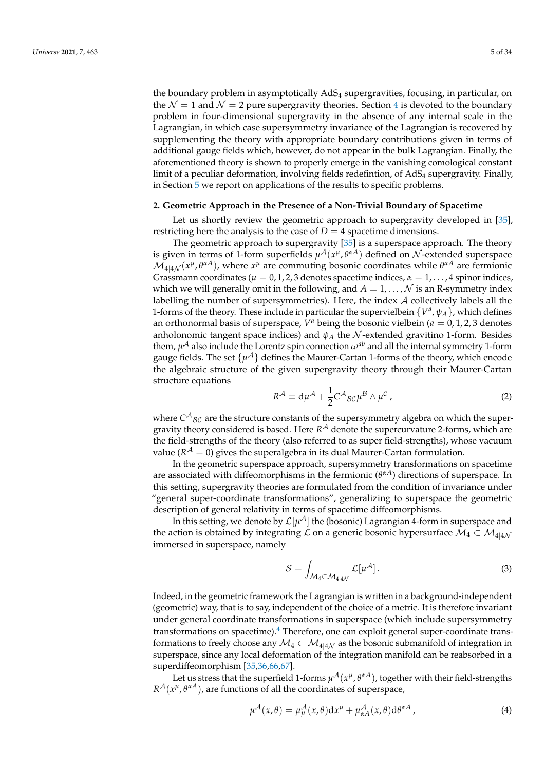the boundary problem in asymptotically  $AdS_4$  supergravities, focusing, in particular, on the  $\mathcal{N} = 1$  and  $\mathcal{N} = 2$  pure supergravity theories. Section 4 is devoted to the boundary problem in four-dimensional supergravity in the absence of any internal scale in the Lagrangian, in which case supersymmetry invariance of the Lagrangian is recovered by supplementing the theory with appropriate boundary contributions given in terms of additional gauge fields which, however, do not appear in the bulk Lagrangian. Finally, the aforementioned theory is shown to properly emerge in the vanishing comological constant limit of a peculiar deformation, involving fields redefintion, of AdS<sup>4</sup> supergravity. Finally, in Section 5 we report on applications of the results to specific problems.

## **2. Geometric Approach in the Presence of a Non-Trivial Boundary of Spacetime**

Let us shortly review the geometric approach to supergravity developed in [35], restricting here the analysis to the case of  $D = 4$  spacetime dimensions.

The geometric approach to supergravity [35] is a superspace approach. The theory is given in terms of 1-form superfields  $\mu^{\mathcal{A}}(x^{\mu}, \theta^{\alpha A})$  defined on  $\mathcal{N}$ -extended superspace  $\mathcal{M}_{4|4\mathcal{N}}(x^{\mu}, \theta^{\alpha A})$ , where  $x^{\mu}$  are commuting bosonic coordinates while  $\theta^{\alpha A}$  are fermionic Grassmann coordinates ( $\mu = 0, 1, 2, 3$  denotes spacetime indices,  $\alpha = 1, \ldots, 4$  spinor indices, which we will generally omit in the following, and  $A = 1, \ldots, \mathcal{N}$  is an R-symmetry index labelling the number of supersymmetries). Here, the index  $A$  collectively labels all the 1-forms of the theory. These include in particular the supervielbein  $\{V^a, \psi_A\}$ , which defines an orthonormal basis of superspace,  $V^a$  being the bosonic vielbein ( $a = 0, 1, 2, 3$  denotes anholonomic tangent space indices) and  $\psi_A$  the N-extended gravitino 1-form. Besides them,  $\mu^{\mathcal{A}}$  also include the Lorentz spin connection  $\omega^{ab}$  and all the internal symmetry 1-form gauge fields. The set  $\{\mu^{\mathcal{A}}\}$  defines the Maurer-Cartan 1-forms of the theory, which encode the algebraic structure of the given supergravity theory through their Maurer-Cartan structure equations

$$
R^{\mathcal{A}} \equiv \mathrm{d}\mu^{\mathcal{A}} + \frac{1}{2}C^{\mathcal{A}}{}_{\mathcal{B}\mathcal{C}}\mu^{\mathcal{B}} \wedge \mu^{\mathcal{C}}\,,\tag{2}
$$

where  $C^\mathcal{A}{}_{\mathcal{B} \mathcal{C}}$  are the structure constants of the supersymmetry algebra on which the supergravity theory considered is based. Here *R* <sup>A</sup> denote the supercurvature 2-forms, which are the field-strengths of the theory (also referred to as super field-strengths), whose vacuum value  $(R^{\mathcal{A}} = 0)$  gives the superalgebra in its dual Maurer-Cartan formulation.

In the geometric superspace approach, supersymmetry transformations on spacetime are associated with diffeomorphisms in the fermionic (*θ <sup>α</sup>A*) directions of superspace. In this setting, supergravity theories are formulated from the condition of invariance under "general super-coordinate transformations", generalizing to superspace the geometric description of general relativity in terms of spacetime diffeomorphisms.

In this setting, we denote by  $\mathcal{L}[\mu^\mathcal{A}]$  the (bosonic) Lagrangian 4-form in superspace and the action is obtained by integrating  $\mathcal L$  on a generic bosonic hypersurface  $\mathcal M_4 \subset \mathcal M_{4|4\mathcal N}$ immersed in superspace, namely

$$
S = \int_{\mathcal{M}_4 \subset \mathcal{M}_{4|4\mathcal{N}}} \mathcal{L}[\mu^{\mathcal{A}}]. \tag{3}
$$

Indeed, in the geometric framework the Lagrangian is written in a background-independent (geometric) way, that is to say, independent of the choice of a metric. It is therefore invariant under general coordinate transformations in superspace (which include supersymmetry transformations on spacetime). $<sup>4</sup>$  Therefore, one can exploit general super-coordinate trans-</sup> formations to freely choose any  $\mathcal{M}_4 \subset \mathcal{M}_{4|4\mathcal{N}}$  as the bosonic submanifold of integration in superspace, since any local deformation of the integration manifold can be reabsorbed in a superdiffeomorphism [35,36,66,67].

Let us stress that the superfield 1-forms  $\mu^{\mathcal{A}}(x^{\mu},\theta^{\alpha A})$ , together with their field-strengths  $R^{\mathcal{A}}(x^{\mu}, \theta^{\alpha A})$ , are functions of all the coordinates of superspace,

$$
\mu^{\mathcal{A}}(x,\theta) = \mu^{\mathcal{A}}_{\mu}(x,\theta)dx^{\mu} + \mu^{\mathcal{A}}_{\alpha A}(x,\theta)d\theta^{\alpha A}, \qquad (4)
$$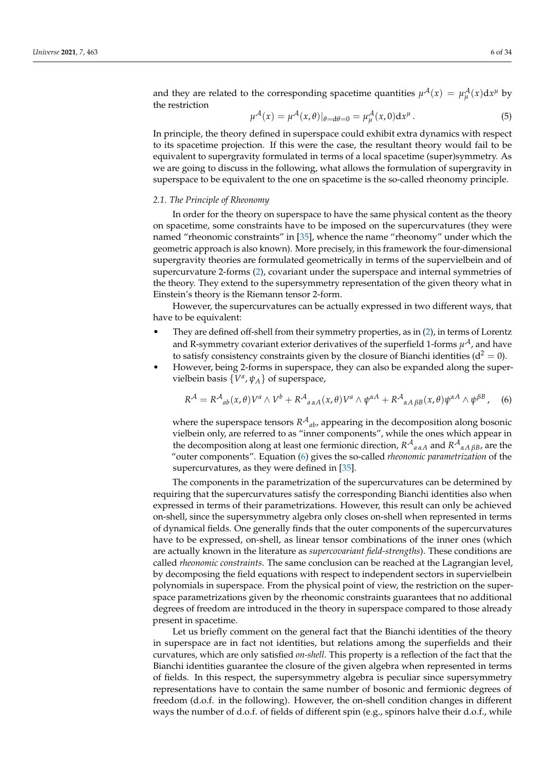and they are related to the corresponding spacetime quantities  $\mu^{\mathcal{A}}(x) = \mu^{\mathcal{A}}_{\mu}(x)dx^{\mu}$  by the restriction

$$
\mu^{\mathcal{A}}(x) = \mu^{\mathcal{A}}(x,\theta)|_{\theta = d\theta = 0} = \mu^{\mathcal{A}}_{\mu}(x,0)dx^{\mu}.
$$
 (5)

In principle, the theory defined in superspace could exhibit extra dynamics with respect to its spacetime projection. If this were the case, the resultant theory would fail to be equivalent to supergravity formulated in terms of a local spacetime (super)symmetry. As we are going to discuss in the following, what allows the formulation of supergravity in superspace to be equivalent to the one on spacetime is the so-called rheonomy principle.

# *2.1. The Principle of Rheonomy*

In order for the theory on superspace to have the same physical content as the theory on spacetime, some constraints have to be imposed on the supercurvatures (they were named "rheonomic constraints" in [35], whence the name "rheonomy" under which the geometric approach is also known). More precisely, in this framework the four-dimensional supergravity theories are formulated geometrically in terms of the supervielbein and of supercurvature 2-forms (2), covariant under the superspace and internal symmetries of the theory. They extend to the supersymmetry representation of the given theory what in Einstein's theory is the Riemann tensor 2-form.

However, the supercurvatures can be actually expressed in two different ways, that have to be equivalent:

- They are defined off-shell from their symmetry properties, as in  $(2)$ , in terms of Lorentz and R-symmetry covariant exterior derivatives of the superfield 1-forms  $\mu^\mathcal{A}$  , and have to satisfy consistency constraints given by the closure of Bianchi identities ( $d^2 = 0$ ).
- However, being 2-forms in superspace, they can also be expanded along the supervielbein basis  $\{V^a, \psi_A\}$  of superspace,

$$
R^{\mathcal{A}} = R^{\mathcal{A}}{}_{ab}(x,\theta)V^{a}\wedge V^{b} + R^{\mathcal{A}}{}_{a\alpha A}(x,\theta)V^{a}\wedge\psi^{\alpha A} + R^{\mathcal{A}}{}_{\alpha A\beta B}(x,\theta)\psi^{\alpha A}\wedge\psi^{\beta B}, \quad (6)
$$

where the superspace tensors  $R^{\mathcal{A}}{}_{ab}$ , appearing in the decomposition along bosonic vielbein only, are referred to as "inner components", while the ones which appear in the decomposition along at least one fermionic direction,  $R^{A}{}_{a\alpha A}$  and  $R^{A}{}_{\alpha A\beta B}$ , are the "outer components". Equation (6) gives the so-called *rheonomic parametrization* of the supercurvatures, as they were defined in [35].

The components in the parametrization of the supercurvatures can be determined by requiring that the supercurvatures satisfy the corresponding Bianchi identities also when expressed in terms of their parametrizations. However, this result can only be achieved on-shell, since the supersymmetry algebra only closes on-shell when represented in terms of dynamical fields. One generally finds that the outer components of the supercurvatures have to be expressed, on-shell, as linear tensor combinations of the inner ones (which are actually known in the literature as *supercovariant field-strengths*). These conditions are called *rheonomic constraints*. The same conclusion can be reached at the Lagrangian level, by decomposing the field equations with respect to independent sectors in supervielbein polynomials in superspace. From the physical point of view, the restriction on the superspace parametrizations given by the rheonomic constraints guarantees that no additional degrees of freedom are introduced in the theory in superspace compared to those already present in spacetime.

Let us briefly comment on the general fact that the Bianchi identities of the theory in superspace are in fact not identities, but relations among the superfields and their curvatures, which are only satisfied *on-shell*. This property is a reflection of the fact that the Bianchi identities guarantee the closure of the given algebra when represented in terms of fields. In this respect, the supersymmetry algebra is peculiar since supersymmetry representations have to contain the same number of bosonic and fermionic degrees of freedom (d.o.f. in the following). However, the on-shell condition changes in different ways the number of d.o.f. of fields of different spin (e.g., spinors halve their d.o.f., while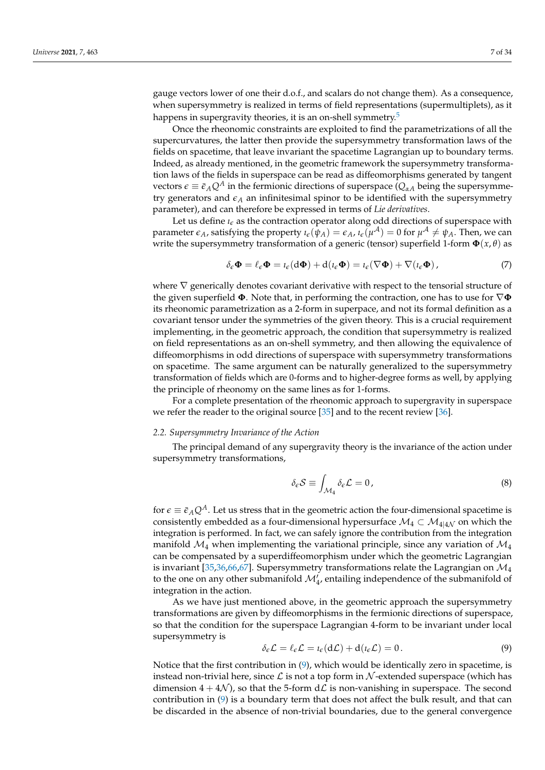gauge vectors lower of one their d.o.f., and scalars do not change them). As a consequence, when supersymmetry is realized in terms of field representations (supermultiplets), as it happens in supergravity theories, it is an on-shell symmetry.<sup>5</sup>

Once the rheonomic constraints are exploited to find the parametrizations of all the supercurvatures, the latter then provide the supersymmetry transformation laws of the fields on spacetime, that leave invariant the spacetime Lagrangian up to boundary terms. Indeed, as already mentioned, in the geometric framework the supersymmetry transformation laws of the fields in superspace can be read as diffeomorphisms generated by tangent vectors  $\epsilon \equiv \bar{\epsilon}_A Q^A$  in the fermionic directions of superspace ( $Q_{\alpha A}$  being the supersymmetry generators and  $\epsilon_A$  an infinitesimal spinor to be identified with the supersymmetry parameter), and can therefore be expressed in terms of *Lie derivatives*.

Let us define  $\iota_{\epsilon}$  as the contraction operator along odd directions of superspace with parameter  $\epsilon_A$ , satisfying the property  $\iota_{\epsilon}(\psi_A) = \epsilon_A$ ,  $\iota_{\epsilon}(\mu^A) = 0$  for  $\mu^A \neq \psi_A$ . Then, we can write the supersymmetry transformation of a generic (tensor) superfield 1-form **Φ**(*x*, *θ*) as

$$
\delta_{\epsilon} \mathbf{\Phi} = \ell_{\epsilon} \mathbf{\Phi} = \iota_{\epsilon} (\mathrm{d} \mathbf{\Phi}) + \mathrm{d} (\iota_{\epsilon} \mathbf{\Phi}) = \iota_{\epsilon} (\nabla \mathbf{\Phi}) + \nabla (\iota_{\epsilon} \mathbf{\Phi}) , \qquad (7)
$$

where  $\nabla$  generically denotes covariant derivative with respect to the tensorial structure of the given superfield **Φ**. Note that, in performing the contraction, one has to use for ∇**Φ** its rheonomic parametrization as a 2-form in superpace, and not its formal definition as a covariant tensor under the symmetries of the given theory. This is a crucial requirement implementing, in the geometric approach, the condition that supersymmetry is realized on field representations as an on-shell symmetry, and then allowing the equivalence of diffeomorphisms in odd directions of superspace with supersymmetry transformations on spacetime. The same argument can be naturally generalized to the supersymmetry transformation of fields which are 0-forms and to higher-degree forms as well, by applying the principle of rheonomy on the same lines as for 1-forms.

For a complete presentation of the rheonomic approach to supergravity in superspace we refer the reader to the original source [35] and to the recent review [36].

## *2.2. Supersymmetry Invariance of the Action*

The principal demand of any supergravity theory is the invariance of the action under supersymmetry transformations,

$$
\delta_{\epsilon} S \equiv \int_{\mathcal{M}_4} \delta_{\epsilon} \mathcal{L} = 0, \tag{8}
$$

for  $\epsilon \equiv \bar{\epsilon}_A Q^A$ . Let us stress that in the geometric action the four-dimensional spacetime is consistently embedded as a four-dimensional hypersurface  $\mathcal{M}_4 \subset \mathcal{M}_{4|4\mathcal{N}}$  on which the integration is performed. In fact, we can safely ignore the contribution from the integration manifold  $\mathcal{M}_4$  when implementing the variational principle, since any variation of  $\mathcal{M}_4$ can be compensated by a superdiffeomorphism under which the geometric Lagrangian is invariant [35,36,66,67]. Supersymmetry transformations relate the Lagrangian on  $\mathcal{M}_4$ to the one on any other submanifold  $\mathcal{M}_{4}^{'}$ , entailing independence of the submanifold of integration in the action.

As we have just mentioned above, in the geometric approach the supersymmetry transformations are given by diffeomorphisms in the fermionic directions of superspace, so that the condition for the superspace Lagrangian 4-form to be invariant under local supersymmetry is

$$
\delta_{\epsilon} \mathcal{L} = \ell_{\epsilon} \mathcal{L} = \iota_{\epsilon} (\mathrm{d} \mathcal{L}) + \mathrm{d} (\iota_{\epsilon} \mathcal{L}) = 0. \tag{9}
$$

Notice that the first contribution in  $(9)$ , which would be identically zero in spacetime, is instead non-trivial here, since  $\mathcal L$  is not a top form in  $\mathcal N$ -extended superspace (which has dimension  $4 + 4\mathcal{N}$ , so that the 5-form  $d\mathcal{L}$  is non-vanishing in superspace. The second contribution in (9) is a boundary term that does not affect the bulk result, and that can be discarded in the absence of non-trivial boundaries, due to the general convergence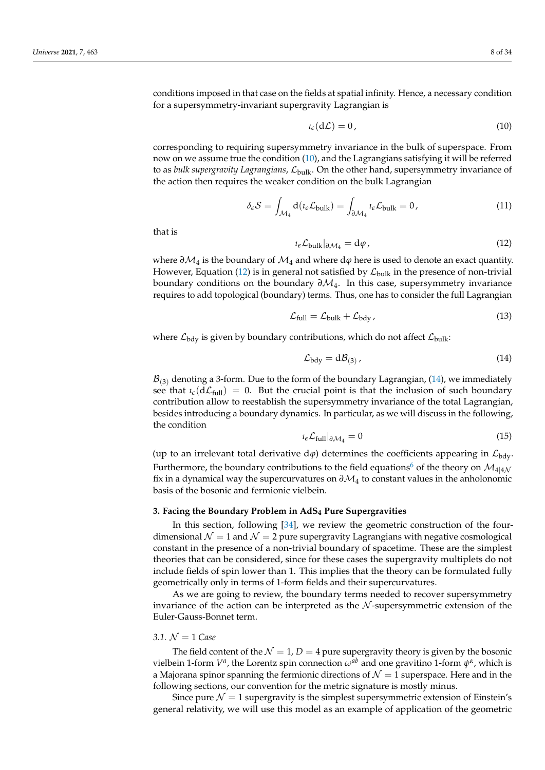conditions imposed in that case on the fields at spatial infinity. Hence, a necessary condition for a supersymmetry-invariant supergravity Lagrangian is

$$
i_{\epsilon}(\mathrm{d}\mathcal{L})=0\,,\tag{10}
$$

corresponding to requiring supersymmetry invariance in the bulk of superspace. From now on we assume true the condition (10), and the Lagrangians satisfying it will be referred to as *bulk supergravity Lagrangians, L*<sub>bulk</sub>. On the other hand, supersymmetry invariance of the action then requires the weaker condition on the bulk Lagrangian

$$
\delta_{\epsilon} S = \int_{\mathcal{M}_4} d(\iota_{\epsilon} \mathcal{L}_{\text{bulk}}) = \int_{\partial \mathcal{M}_4} \iota_{\epsilon} \mathcal{L}_{\text{bulk}} = 0, \tag{11}
$$

that is

$$
i_{\epsilon} \mathcal{L}_{\text{bulk}}|_{\partial \mathcal{M}_4} = \mathrm{d}\varphi \,, \tag{12}
$$

where  $\partial \mathcal{M}_4$  is the boundary of  $\mathcal{M}_4$  and where d $\varphi$  here is used to denote an exact quantity. However, Equation (12) is in general not satisfied by  $\mathcal{L}_{\text{bulk}}$  in the presence of non-trivial boundary conditions on the boundary *∂*M4. In this case, supersymmetry invariance requires to add topological (boundary) terms. Thus, one has to consider the full Lagrangian

$$
\mathcal{L}_{\text{full}} = \mathcal{L}_{\text{bulk}} + \mathcal{L}_{\text{bdy}} \,, \tag{13}
$$

where  $\mathcal{L}_{\text{bdy}}$  is given by boundary contributions, which do not affect  $\mathcal{L}_{\text{bulk}}$ :

$$
\mathcal{L}_{\text{bdy}} = \text{d}\mathcal{B}_{(3)}\,,\tag{14}
$$

 $\mathcal{B}_{(3)}$  denoting a 3-form. Due to the form of the boundary Lagrangian, (14), we immediately see that  $\iota_{\epsilon}(d\mathcal{L}_{full}) = 0$ . But the crucial point is that the inclusion of such boundary contribution allow to reestablish the supersymmetry invariance of the total Lagrangian, besides introducing a boundary dynamics. In particular, as we will discuss in the following, the condition

$$
i_{\epsilon} \mathcal{L}_{\text{full}} |_{\partial \mathcal{M}_4} = 0 \tag{15}
$$

(up to an irrelevant total derivative  $d\varphi$ ) determines the coefficients appearing in  $\mathcal{L}_{\text{bdy}}$ . Furthermore, the boundary contributions to the field equations<sup>6</sup> of the theory on  $\mathcal{M}_{4|4\mathcal{N}}$ fix in a dynamical way the supercurvatures on *∂*M<sup>4</sup> to constant values in the anholonomic basis of the bosonic and fermionic vielbein.

## **3. Facing the Boundary Problem in AdS<sup>4</sup> Pure Supergravities**

In this section, following [34], we review the geometric construction of the fourdimensional  $\mathcal{N} = 1$  and  $\mathcal{N} = 2$  pure supergravity Lagrangians with negative cosmological constant in the presence of a non-trivial boundary of spacetime. These are the simplest theories that can be considered, since for these cases the supergravity multiplets do not include fields of spin lower than 1. This implies that the theory can be formulated fully geometrically only in terms of 1-form fields and their supercurvatures.

As we are going to review, the boundary terms needed to recover supersymmetry invariance of the action can be interpreted as the  $N$ -supersymmetric extension of the Euler-Gauss-Bonnet term.

## 3.1.  $N = 1$  *Case*

The field content of the  $\mathcal{N} = 1$ ,  $D = 4$  pure supergravity theory is given by the bosonic vielbein 1-form  $V^a$ , the Lorentz spin connection  $\omega^{ab}$  and one gravitino 1-form  $\psi^a$ , which is a Majorana spinor spanning the fermionic directions of  $\mathcal{N} = 1$  superspace. Here and in the following sections, our convention for the metric signature is mostly minus.

Since pure  $\mathcal{N} = 1$  supergravity is the simplest supersymmetric extension of Einstein's general relativity, we will use this model as an example of application of the geometric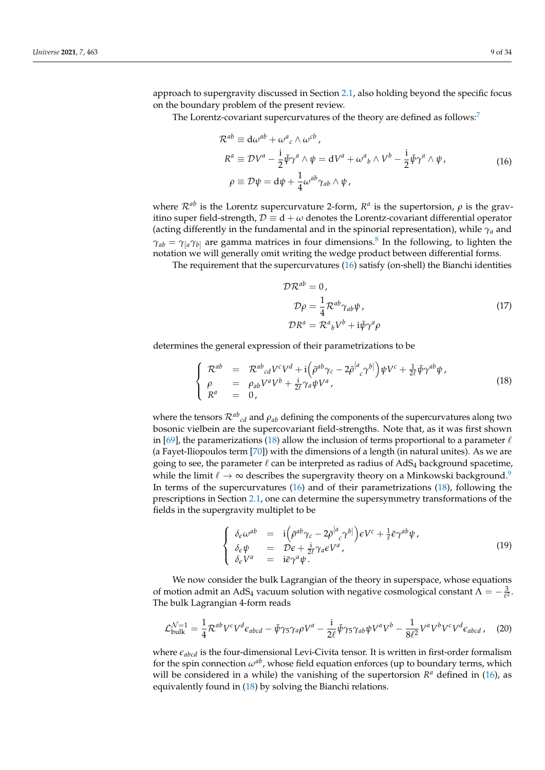approach to supergravity discussed in Section 2.1, also holding beyond the specific focus on the boundary problem of the present review.

The Lorentz-covariant supercurvatures of the theory are defined as follows:<sup>7</sup>

$$
\mathcal{R}^{ab} \equiv d\omega^{ab} + \omega^a{}_c \wedge \omega^{cb},
$$
  
\n
$$
\mathcal{R}^a \equiv \mathcal{D}V^a - \frac{i}{2}\bar{\psi}\gamma^a \wedge \psi = dV^a + \omega^a{}_b \wedge V^b - \frac{i}{2}\bar{\psi}\gamma^a \wedge \psi,
$$
  
\n
$$
\rho \equiv \mathcal{D}\psi = d\psi + \frac{1}{4}\omega^{ab}\gamma_{ab} \wedge \psi,
$$
\n(16)

where  $\mathcal{R}^{ab}$  is the Lorentz supercurvature 2-form,  $\mathcal{R}^a$  is the supertorsion,  $\rho$  is the gravitino super field-strength,  $\mathcal{D} \equiv d + \omega$  denotes the Lorentz-covariant differential operator (acting differently in the fundamental and in the spinorial representation), while *γ<sup>a</sup>* and  $\gamma_{ab} = \gamma_{a} \gamma_{b}$  are gamma matrices in four dimensions.<sup>8</sup> In the following, to lighten the notation we will generally omit writing the wedge product between differential forms.

The requirement that the supercurvatures (16) satisfy (on-shell) the Bianchi identities

$$
\mathcal{DR}^{ab} = 0,
$$
  
\n
$$
\mathcal{D}\rho = \frac{1}{4} \mathcal{R}^{ab} \gamma_{ab} \psi,
$$
  
\n
$$
\mathcal{DR}^a = \mathcal{R}^a{}_b V^b + i \bar{\psi} \gamma^a \rho
$$
\n(17)

determines the general expression of their parametrizations to be

$$
\begin{cases}\n\mathcal{R}^{ab} = \mathcal{R}^{ab}{}_{cd}V^{c}V^{d} + i(\bar{\rho}^{ab}\gamma_{c} - 2\bar{\rho}^{[a}{}_{c}\gamma^{b]})\psi V^{c} + \frac{1}{2\ell}\bar{\psi}\gamma^{ab}\psi, \\
\rho = \rho_{ab}V^{a}V^{b} + \frac{i}{2\ell}\gamma_{a}\psi V^{a}, \\
R^{a} = 0,\n\end{cases}
$$
\n(18)

where the tensors  $\mathcal{R}^{ab}{}_{cd}$  and  $\rho_{ab}$  defining the components of the supercurvatures along two bosonic vielbein are the supercovariant field-strengths. Note that, as it was first shown in [69], the paramerizations (18) allow the inclusion of terms proportional to a parameter  $\ell$ (a Fayet-Iliopoulos term [70]) with the dimensions of a length (in natural unites). As we are going to see, the parameter  $\ell$  can be interpreted as radius of AdS<sub>4</sub> background spacetime, while the limit  $\ell \to \infty$  describes the supergravity theory on a Minkowski background.<sup>9</sup> In terms of the supercurvatures (16) and of their parametrizations (18), following the prescriptions in Section 2.1, one can determine the supersymmetry transformations of the fields in the supergravity multiplet to be

$$
\begin{cases}\n\delta_{\epsilon}\omega^{ab} = i\left(\bar{\rho}^{ab}\gamma_{c} - 2\bar{\rho}^{[a}_{c}\gamma^{b]}\right)\epsilon V^{c} + \frac{1}{\ell}\bar{\epsilon}\gamma^{ab}\psi, \\
\delta_{\epsilon}\psi = D\epsilon + \frac{i}{2\ell}\gamma_{a}\epsilon V^{a}, \\
\delta_{\epsilon}V^{a} = i\bar{\epsilon}\gamma^{a}\psi.\n\end{cases}
$$
\n(19)

We now consider the bulk Lagrangian of the theory in superspace, whose equations of motion admit an AdS<sub>4</sub> vacuum solution with negative cosmological constant  $\Lambda = -\frac{3}{\ell^2}$ . The bulk Lagrangian 4-form reads

$$
\mathcal{L}_{\text{bulk}}^{\mathcal{N}=1} = \frac{1}{4} \mathcal{R}^{ab} V^c V^d \epsilon_{abcd} - \bar{\psi} \gamma_5 \gamma_a \rho V^a - \frac{i}{2\ell} \bar{\psi} \gamma_5 \gamma_{ab} \psi V^a V^b - \frac{1}{8\ell^2} V^a V^b V^c V^d \epsilon_{abcd} \,, \tag{20}
$$

where *eabcd* is the four-dimensional Levi-Civita tensor. It is written in first-order formalism for the spin connection  $\omega^{ab}$ , whose field equation enforces (up to boundary terms, which will be considered in a while) the vanishing of the supertorsion  $R^a$  defined in (16), as equivalently found in (18) by solving the Bianchi relations.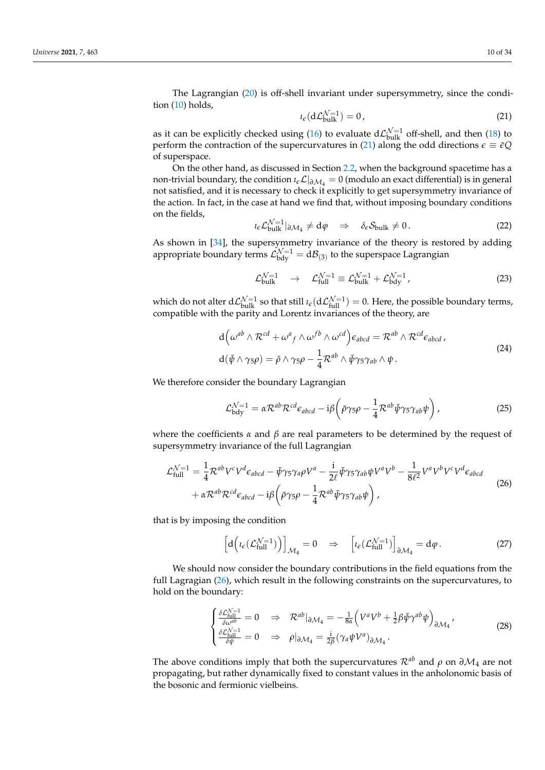The Lagrangian (20) is off-shell invariant under supersymmetry, since the condition (10) holds,

$$
i_{\epsilon}(\mathrm{d}\mathcal{L}_{\text{bulk}}^{\mathcal{N}=1}) = 0, \tag{21}
$$

as it can be explicitly checked using (16) to evaluate  $d\mathcal{L}_{\text{bulk}}^{\mathcal{N}=1}$  off-shell, and then (18) to perform the contraction of the supercurvatures in (21) along the odd directions  $\epsilon \equiv \bar{\epsilon}Q$ of superspace.

On the other hand, as discussed in Section 2.2, when the background spacetime has a non-trivial boundary, the condition  $\iota_{\epsilon} \mathcal{L}|_{\partial \mathcal{M}_4} = 0$  (modulo an exact differential) is in general not satisfied, and it is necessary to check it explicitly to get supersymmetry invariance of the action. In fact, in the case at hand we find that, without imposing boundary conditions on the fields,

$$
\iota_{\epsilon} \mathcal{L}_{\text{bulk}}^{\mathcal{N}=1} |_{\partial \mathcal{M}_4} \neq d\varphi \quad \Rightarrow \quad \delta_{\epsilon} \mathcal{S}_{\text{bulk}} \neq 0. \tag{22}
$$

As shown in [34], the supersymmetry invariance of the theory is restored by adding appropriate boundary terms  $\mathcal{L}^{\mathcal{N}=1}_{\text{bdy}}=\text{d}\mathcal{B}_{(3)}$  to the superspace Lagrangian

$$
\mathcal{L}_{\text{bulk}}^{\mathcal{N}=1} \rightarrow \mathcal{L}_{\text{full}}^{\mathcal{N}=1} \equiv \mathcal{L}_{\text{bulk}}^{\mathcal{N}=1} + \mathcal{L}_{\text{bdy}}^{\mathcal{N}=1}, \qquad (23)
$$

which do not alter  $d\mathcal{L}_{bulk}^{\mathcal{N}=1}$  so that still  $\iota_{\epsilon}(d\mathcal{L}_{full}^{\mathcal{N}=1})=0$ . Here, the possible boundary terms, compatible with the parity and Lorentz invariances of the theory, are

$$
d\left(\omega^{ab}\wedge\mathcal{R}^{cd}+\omega^{a}{}_{f}\wedge\omega^{fb}\wedge\omega^{cd}\right)\epsilon_{abcd}=\mathcal{R}^{ab}\wedge\mathcal{R}^{cd}\epsilon_{abcd},
$$

$$
d(\bar{\psi}\wedge\gamma_{5}\rho)=\bar{\rho}\wedge\gamma_{5}\rho-\frac{1}{4}\mathcal{R}^{ab}\wedge\bar{\psi}\gamma_{5}\gamma_{ab}\wedge\psi.
$$
 (24)

We therefore consider the boundary Lagrangian

$$
\mathcal{L}_{\text{bdy}}^{\mathcal{N}=1} = \alpha \mathcal{R}^{ab} \mathcal{R}^{cd} \epsilon_{abcd} - i\beta \left( \bar{\rho} \gamma_5 \rho - \frac{1}{4} \mathcal{R}^{ab} \bar{\psi} \gamma_5 \gamma_{ab} \psi \right), \qquad (25)
$$

where the coefficients  $\alpha$  and  $\beta$  are real parameters to be determined by the request of supersymmetry invariance of the full Lagrangian

$$
\mathcal{L}_{\text{full}}^{\mathcal{N}=1} = \frac{1}{4} \mathcal{R}^{ab} V^c V^d \epsilon_{abcd} - \bar{\psi} \gamma_5 \gamma_a \rho V^a - \frac{i}{2\ell} \bar{\psi} \gamma_5 \gamma_{ab} \psi V^a V^b - \frac{1}{8\ell^2} V^a V^b V^c V^d \epsilon_{abcd} + \alpha \mathcal{R}^{ab} \mathcal{R}^{cd} \epsilon_{abcd} - i\beta \left( \bar{\rho} \gamma_5 \rho - \frac{1}{4} \mathcal{R}^{ab} \bar{\psi} \gamma_5 \gamma_{ab} \psi \right),
$$
\n(26)

that is by imposing the condition

$$
\[d\Big(\iota_{\epsilon}(\mathcal{L}_{\text{full}}^{\mathcal{N}=1})\Big)\]_{\mathcal{M}_4} = 0 \quad \Rightarrow \quad \left[\iota_{\epsilon}(\mathcal{L}_{\text{full}}^{\mathcal{N}=1})\right]_{\partial \mathcal{M}_4} = d\varphi. \tag{27}
$$

We should now consider the boundary contributions in the field equations from the full Lagragian (26), which result in the following constraints on the supercurvatures, to hold on the boundary:

$$
\begin{cases} \frac{\delta \mathcal{L}_{\text{full}}^{N=1}}{\delta \omega^{ab}} = 0 & \Rightarrow \mathcal{R}^{ab} \vert_{\partial \mathcal{M}_4} = -\frac{1}{8\alpha} \left( V^a V^b + \frac{1}{2} \beta \bar{\psi} \gamma^{ab} \psi \right)_{\partial \mathcal{M}_4}, \\ \frac{\delta \mathcal{L}_{\text{full}}^{N=1}}{\delta \psi} = 0 & \Rightarrow \rho \vert_{\partial \mathcal{M}_4} = \frac{i}{2\beta} (\gamma_a \psi V^a)_{\partial \mathcal{M}_4}. \end{cases} \tag{28}
$$

The above conditions imply that both the supercurvatures  $\mathcal{R}^{ab}$  and  $\rho$  on  $\partial \mathcal{M}_4$  are not propagating, but rather dynamically fixed to constant values in the anholonomic basis of the bosonic and fermionic vielbeins.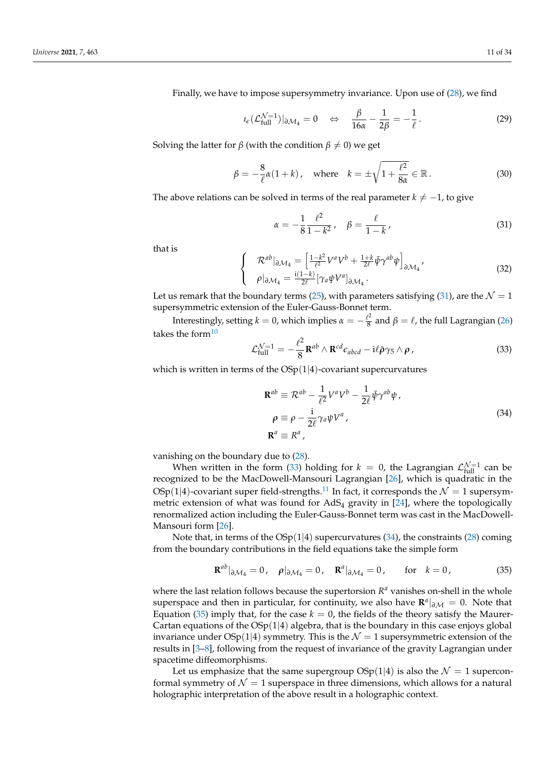Finally, we have to impose supersymmetry invariance. Upon use of (28), we find

$$
i_{\epsilon}(\mathcal{L}_{\text{full}}^{\mathcal{N}=1})|_{\partial \mathcal{M}_4} = 0 \quad \Leftrightarrow \quad \frac{\beta}{16\alpha} - \frac{1}{2\beta} = -\frac{1}{\ell}.
$$

Solving the latter for *β* (with the condition  $\beta \neq 0$ ) we get

$$
\beta = -\frac{8}{\ell}\alpha(1+k), \quad \text{where} \quad k = \pm\sqrt{1+\frac{\ell^2}{8\alpha}} \in \mathbb{R} \,.
$$

The above relations can be solved in terms of the real parameter  $k \neq -1$ , to give

$$
\alpha = -\frac{1}{8} \frac{\ell^2}{1 - k^2}, \quad \beta = \frac{\ell}{1 - k}, \tag{31}
$$

that is

$$
\begin{cases}\n\mathcal{R}^{ab}|_{\partial \mathcal{M}_4} = \left[\frac{1 - k^2}{\ell^2} V^a V^b + \frac{1 + k}{2\ell} \bar{\psi} \gamma^{ab} \psi\right]_{\partial \mathcal{M}_4}, \\
\rho|_{\partial \mathcal{M}_4} = \frac{i(1 - k)}{2\ell} [\gamma_a \psi V^a]_{\partial \mathcal{M}_4}.\n\end{cases} \tag{32}
$$

Let us remark that the boundary terms (25), with parameters satisfying (31), are the  $\mathcal{N} = 1$ supersymmetric extension of the Euler-Gauss-Bonnet term.

Interestingly, setting  $k=0$ , which implies  $\alpha=-\frac{\ell^2}{8}$  $\frac{\ell^2}{8}$  and  $\beta = \ell$ , the full Lagrangian (26) takes the form $10$ 

$$
\mathcal{L}_{\text{full}}^{\mathcal{N}=1} = -\frac{\ell^2}{8} \mathbf{R}^{ab} \wedge \mathbf{R}^{cd} \epsilon_{abcd} - \mathrm{i} \ell \bar{\rho} \gamma_5 \wedge \rho \,, \tag{33}
$$

which is written in terms of the  $OSp(1|4)$ -covariant supercurvatures

$$
\mathbf{R}^{ab} \equiv \mathcal{R}^{ab} - \frac{1}{\ell^2} V^a V^b - \frac{1}{2\ell} \bar{\psi} \gamma^{ab} \psi ,
$$
  
\n
$$
\rho \equiv \rho - \frac{i}{2\ell} \gamma_a \psi V^a ,
$$
  
\n
$$
\mathbf{R}^a \equiv R^a ,
$$
\n(34)

vanishing on the boundary due to (28).

When written in the form (33) holding for  $k = 0$ , the Lagrangian  $\mathcal{L}_{\text{full}}^{\mathcal{N}=1}$  can be recognized to be the MacDowell-Mansouri Lagrangian [26], which is quadratic in the OSp(1|4)-covariant super field-strengths.<sup>11</sup> In fact, it corresponds the  $\mathcal{N} = 1$  supersymmetric extension of what was found for  $AdS_4$  gravity in [24], where the topologically renormalized action including the Euler-Gauss-Bonnet term was cast in the MacDowell-Mansouri form [26].

Note that, in terms of the  $OSp(1|4)$  supercurvatures (34), the constraints (28) coming from the boundary contributions in the field equations take the simple form

$$
\mathbf{R}^{ab}|_{\partial \mathcal{M}_4} = 0, \quad \rho|_{\partial \mathcal{M}_4} = 0, \quad \mathbf{R}^a|_{\partial \mathcal{M}_4} = 0, \quad \text{for} \quad k = 0,
$$
 (35)

where the last relation follows because the supertorsion  $R<sup>a</sup>$  vanishes on-shell in the whole superspace and then in particular, for continuity, we also have  $\mathbb{R}^a|_{\partial M} = 0$ . Note that Equation (35) imply that, for the case  $k = 0$ , the fields of the theory satisfy the Maurer-Cartan equations of the  $OSp(1|4)$  algebra, that is the boundary in this case enjoys global invariance under  $OSp(1|4)$  symmetry. This is the  $\mathcal{N}=1$  supersymmetric extension of the results in [3–8], following from the request of invariance of the gravity Lagrangian under spacetime diffeomorphisms.

Let us emphasize that the same supergroup  $OSp(1|4)$  is also the  $\mathcal{N}=1$  superconformal symmetry of  $\mathcal{N} = 1$  superspace in three dimensions, which allows for a natural holographic interpretation of the above result in a holographic context.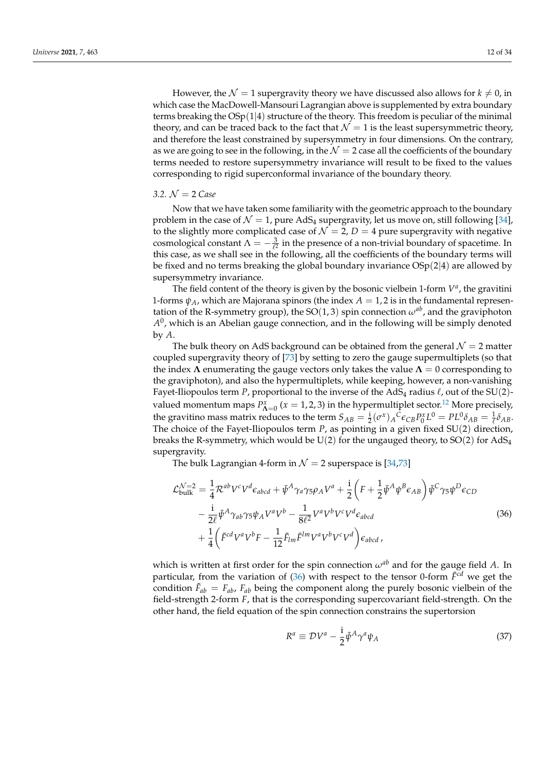However, the  $\mathcal{N} = 1$  supergravity theory we have discussed also allows for  $k \neq 0$ , in which case the MacDowell-Mansouri Lagrangian above is supplemented by extra boundary terms breaking the  $OSp(1|4)$  structure of the theory. This freedom is peculiar of the minimal theory, and can be traced back to the fact that  $\mathcal{N} = 1$  is the least supersymmetric theory, and therefore the least constrained by supersymmetry in four dimensions. On the contrary, as we are going to see in the following, in the  $\mathcal{N} = 2$  case all the coefficients of the boundary terms needed to restore supersymmetry invariance will result to be fixed to the values corresponding to rigid superconformal invariance of the boundary theory.

## *3.2.* N = 2 *Case*

Now that we have taken some familiarity with the geometric approach to the boundary problem in the case of  $\mathcal{N} = 1$ , pure AdS<sub>4</sub> supergravity, let us move on, still following [34], to the slightly more complicated case of  $\mathcal{N} = 2$ ,  $D = 4$  pure supergravity with negative cosmological constant  $\Lambda = -\frac{3}{\ell^2}$  in the presence of a non-trivial boundary of spacetime. In this case, as we shall see in the following, all the coefficients of the boundary terms will be fixed and no terms breaking the global boundary invariance  $OSp(2|4)$  are allowed by supersymmetry invariance.

The field content of the theory is given by the bosonic vielbein 1-form  $V^a$ , the gravitini 1-forms  $\psi_A$ , which are Majorana spinors (the index  $A = 1, 2$  is in the fundamental representation of the R-symmetry group), the  $SO(1, 3)$  spin connection  $\omega^{ab}$ , and the graviphoton  $A^0$ , which is an Abelian gauge connection, and in the following will be simply denoted by *A*.

The bulk theory on AdS background can be obtained from the general  $\mathcal{N} = 2$  matter coupled supergravity theory of [73] by setting to zero the gauge supermultiplets (so that the index  $\Lambda$  enumerating the gauge vectors only takes the value  $\Lambda = 0$  corresponding to the graviphoton), and also the hypermultiplets, while keeping, however, a non-vanishing Fayet-Iliopoulos term *P*, proportional to the inverse of the AdS<sub>4</sub> radius  $\ell$ , out of the SU(2)valued momentum maps  $P_{\Lambda=0}^x$  ( $x=1,2,3$ ) in the hypermultiplet sector.<sup>12</sup> More precisely, the gravitino mass matrix reduces to the term  $S_{AB} = \frac{i}{2} (\sigma^x)_A C \epsilon_{CB} P_0^x L^0 = PL^0 \delta_{AB} = \frac{1}{\ell} \delta_{AB}$ . The choice of the Fayet-Iliopoulos term *P*, as pointing in a given fixed SU(2) direction, breaks the R-symmetry, which would be  $U(2)$  for the ungauged theory, to  $SO(2)$  for  $AdS_4$ supergravity.

The bulk Lagrangian 4-form in  $\mathcal{N} = 2$  superspace is [34,73]

$$
\mathcal{L}^{\mathcal{N}=2}_{\text{bulk}} = \frac{1}{4} \mathcal{R}^{ab} V^c V^d \epsilon_{abcd} + \bar{\psi}^A \gamma_a \gamma_5 \rho_A V^a + \frac{i}{2} \left( F + \frac{1}{2} \bar{\psi}^A \psi^B \epsilon_{AB} \right) \bar{\psi}^C \gamma_5 \psi^D \epsilon_{CD} \n- \frac{i}{2\ell} \bar{\psi}^A \gamma_{ab} \gamma_5 \psi_A V^a V^b - \frac{1}{8\ell^2} V^a V^b V^c V^d \epsilon_{abcd} \n+ \frac{1}{4} \left( \tilde{F}^{cd} V^a V^b F - \frac{1}{12} \tilde{F}_{lm} \tilde{F}^{lm} V^a V^b V^c V^d \right) \epsilon_{abcd} ,
$$
\n(36)

which is written at first order for the spin connection  $\omega^{ab}$  and for the gauge field *A*. In particular, from the variation of  $(36)$  with respect to the tensor 0-form  $\tilde{F}^{cd}$  we get the condition  $\tilde{F}_{ab} = F_{ab}$ ,  $F_{ab}$  being the component along the purely bosonic vielbein of the field-strength 2-form *F*, that is the corresponding supercovariant field-strength. On the other hand, the field equation of the spin connection constrains the supertorsion

$$
R^{a} \equiv \mathcal{D}V^{a} - \frac{i}{2}\bar{\psi}^{A}\gamma^{a}\psi_{A}
$$
\n(37)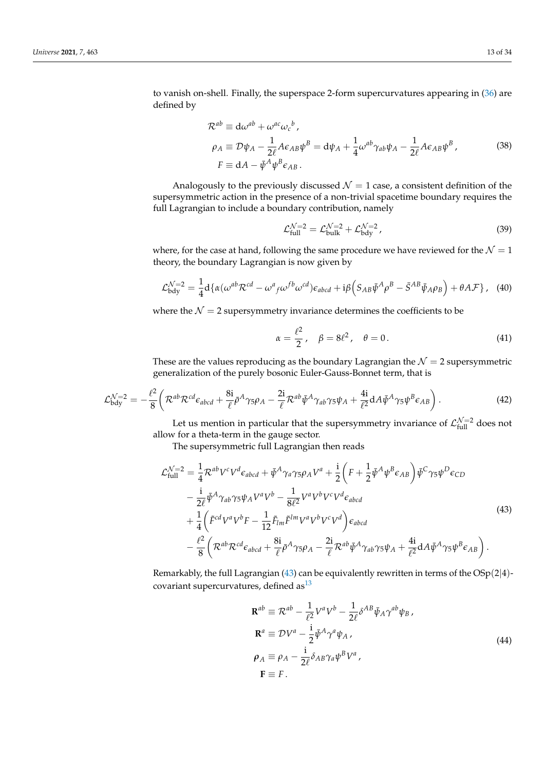to vanish on-shell. Finally, the superspace 2-form supercurvatures appearing in (36) are defined by

$$
\mathcal{R}^{ab} \equiv d\omega^{ab} + \omega^{ac}\omega_c{}^b ,
$$
  
\n
$$
\rho_A \equiv \mathcal{D}\psi_A - \frac{1}{2\ell}A\epsilon_{AB}\psi^B = d\psi_A + \frac{1}{4}\omega^{ab}\gamma_{ab}\psi_A - \frac{1}{2\ell}A\epsilon_{AB}\psi^B ,
$$
  
\n
$$
F \equiv dA - \bar{\psi}^A\psi^B\epsilon_{AB} .
$$
\n(38)

Analogously to the previously discussed  $\mathcal{N} = 1$  case, a consistent definition of the supersymmetric action in the presence of a non-trivial spacetime boundary requires the full Lagrangian to include a boundary contribution, namely

$$
\mathcal{L}_{\text{full}}^{\mathcal{N}=2} = \mathcal{L}_{\text{bulk}}^{\mathcal{N}=2} + \mathcal{L}_{\text{bdy}}^{\mathcal{N}=2},\tag{39}
$$

where, for the case at hand, following the same procedure we have reviewed for the  $\mathcal{N} = 1$ theory, the boundary Lagrangian is now given by

$$
\mathcal{L}_{\text{bdy}}^{\mathcal{N}=2} = \frac{1}{4} \mathrm{d} \{ \alpha (\omega^{ab} \mathcal{R}^{cd} - \omega^a{}_f \omega^{fb} \omega^{cd}) \varepsilon_{abcd} + \mathrm{i} \beta \left( S_{AB} \bar{\psi}^A \rho^B - \bar{S}^{AB} \bar{\psi}_A \rho_B \right) + \theta A \mathcal{F} \}, \quad (40)
$$

where the  $\mathcal{N} = 2$  supersymmetry invariance determines the coefficients to be

$$
\alpha = \frac{\ell^2}{2}, \quad \beta = 8\ell^2, \quad \theta = 0. \tag{41}
$$

These are the values reproducing as the boundary Lagrangian the  $\mathcal{N}=2$  supersymmetric generalization of the purely bosonic Euler-Gauss-Bonnet term, that is

$$
\mathcal{L}_{\text{bdy}}^{\mathcal{N}=2} = -\frac{\ell^2}{8} \left( \mathcal{R}^{ab} \mathcal{R}^{cd} \epsilon_{abcd} + \frac{8i}{\ell} \bar{\rho}^A \gamma_5 \rho_A - \frac{2i}{\ell} \mathcal{R}^{ab} \bar{\psi}^A \gamma_{ab} \gamma_5 \psi_A + \frac{4i}{\ell^2} dA \bar{\psi}^A \gamma_5 \psi^B \epsilon_{AB} \right). \tag{42}
$$

Let us mention in particular that the supersymmetry invariance of  $\mathcal{L}_{\text{full}}^{\mathcal{N}=2}$  does not allow for a theta-term in the gauge sector.

The supersymmetric full Lagrangian then reads

$$
\mathcal{L}^{\mathcal{N}=2}_{\text{full}} = \frac{1}{4} \mathcal{R}^{ab} V^c V^d \epsilon_{abcd} + \bar{\psi}^A \gamma_a \gamma_5 \rho_A V^a + \frac{i}{2} \left( F + \frac{1}{2} \bar{\psi}^A \psi^B \epsilon_{AB} \right) \bar{\psi}^C \gamma_5 \psi^D \epsilon_{CD} \n- \frac{i}{2\ell} \bar{\psi}^A \gamma_{ab} \gamma_5 \psi_A V^a V^b - \frac{1}{8\ell^2} V^a V^b V^c V^d \epsilon_{abcd} \n+ \frac{1}{4} \left( \tilde{F}^{cd} V^a V^b F - \frac{1}{12} \tilde{F}_{lm} \tilde{F}^{lm} V^a V^b V^c V^d \right) \epsilon_{abcd} \n- \frac{\ell^2}{8} \left( \mathcal{R}^{ab} \mathcal{R}^{cd} \epsilon_{abcd} + \frac{8i}{\ell} \bar{\rho}^A \gamma_5 \rho_A - \frac{2i}{\ell} \mathcal{R}^{ab} \bar{\psi}^A \gamma_{ab} \gamma_5 \psi_A + \frac{4i}{\ell^2} dA \bar{\psi}^A \gamma_5 \psi^B \epsilon_{AB} \right).
$$
\n(43)

Remarkably, the full Lagrangian (43) can be equivalently rewritten in terms of the  $OSp(2|4)$ covariant supercurvatures, defined as  $13$ 

$$
\mathbf{R}^{ab} \equiv \mathcal{R}^{ab} - \frac{1}{\ell^2} V^a V^b - \frac{1}{2\ell} \delta^{AB} \bar{\psi}_A \gamma^{ab} \psi_B ,
$$
  
\n
$$
\mathbf{R}^a \equiv \mathcal{D} V^a - \frac{i}{2} \bar{\psi}^A \gamma^a \psi_A ,
$$
  
\n
$$
\rho_A \equiv \rho_A - \frac{i}{2\ell} \delta_{AB} \gamma_a \psi^B V^a ,
$$
  
\n
$$
\mathbf{F} \equiv F .
$$
  
\n(44)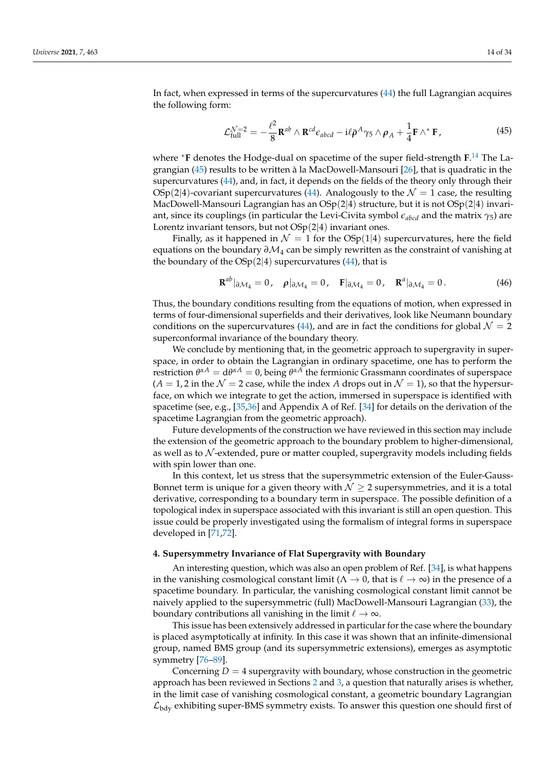In fact, when expressed in terms of the supercurvatures (44) the full Lagrangian acquires the following form:

$$
\mathcal{L}^{\mathcal{N}=2}_{\text{full}} = -\frac{\ell^2}{8} \mathbf{R}^{ab} \wedge \mathbf{R}^{cd} \epsilon_{abcd} - i\ell \bar{\rho}^A \gamma_5 \wedge \rho_A + \frac{1}{4} \mathbf{F} \wedge^* \mathbf{F}, \tag{45}
$$

where <sup>∗</sup>**F** denotes the Hodge-dual on spacetime of the super field-strength **F**. 14 The Lagrangian (45) results to be written à la MacDowell-Mansouri [26], that is quadratic in the supercurvatures (44), and, in fact, it depends on the fields of the theory only through their  $\text{OSp}(2|4)$ -covariant supercurvatures (44). Analogously to the  $\mathcal{N}=1$  case, the resulting MacDowell-Mansouri Lagrangian has an  $OSp(2|4)$  structure, but it is not  $OSp(2|4)$  invariant, since its couplings (in particular the Levi-Civita symbol *eabcd* and the matrix *γ*5) are Lorentz invariant tensors, but not  $OSp(2|4)$  invariant ones.

Finally, as it happened in  $\mathcal{N} = 1$  for the OSp(1|4) supercurvatures, here the field equations on the boundary  $\partial \mathcal{M}_4$  can be simply rewritten as the constraint of vanishing at the boundary of the  $OSp(2|4)$  supercurvatures (44), that is

$$
\mathbf{R}^{ab}|_{\partial \mathcal{M}_4} = 0, \quad \rho|_{\partial \mathcal{M}_4} = 0, \quad \mathbf{F}|_{\partial \mathcal{M}_4} = 0, \quad \mathbf{R}^a|_{\partial \mathcal{M}_4} = 0. \tag{46}
$$

Thus, the boundary conditions resulting from the equations of motion, when expressed in terms of four-dimensional superfields and their derivatives, look like Neumann boundary conditions on the supercurvatures (44), and are in fact the conditions for global  $\mathcal{N} = 2$ superconformal invariance of the boundary theory.

We conclude by mentioning that, in the geometric approach to supergravity in superspace, in order to obtain the Lagrangian in ordinary spacetime, one has to perform the restriction  $θ^{\alpha A} = dθ^{\alpha A} = 0$ , being  $θ^{\alpha A}$  the fermionic Grassmann coordinates of superspace  $(A = 1, 2$  in the  $\mathcal{N} = 2$  case, while the index A drops out in  $\mathcal{N} = 1$ ), so that the hypersurface, on which we integrate to get the action, immersed in superspace is identified with spacetime (see, e.g., [35,36] and Appendix A of Ref. [34] for details on the derivation of the spacetime Lagrangian from the geometric approach).

Future developments of the construction we have reviewed in this section may include the extension of the geometric approach to the boundary problem to higher-dimensional, as well as to  $N$ -extended, pure or matter coupled, supergravity models including fields with spin lower than one.

In this context, let us stress that the supersymmetric extension of the Euler-Gauss-Bonnet term is unique for a given theory with  $\mathcal{N} \geq 2$  supersymmetries, and it is a total derivative, corresponding to a boundary term in superspace. The possible definition of a topological index in superspace associated with this invariant is still an open question. This issue could be properly investigated using the formalism of integral forms in superspace developed in [71,72].

### **4. Supersymmetry Invariance of Flat Supergravity with Boundary**

An interesting question, which was also an open problem of Ref. [34], is what happens in the vanishing cosmological constant limit ( $\Lambda \to 0$ , that is  $\ell \to \infty$ ) in the presence of a spacetime boundary. In particular, the vanishing cosmological constant limit cannot be naively applied to the supersymmetric (full) MacDowell-Mansouri Lagrangian (33), the boundary contributions all vanishing in the limit  $\ell \to \infty$ .

This issue has been extensively addressed in particular for the case where the boundary is placed asymptotically at infinity. In this case it was shown that an infinite-dimensional group, named BMS group (and its supersymmetric extensions), emerges as asymptotic symmetry [76–89].

Concerning  $D = 4$  supergravity with boundary, whose construction in the geometric approach has been reviewed in Sections 2 and 3, a question that naturally arises is whether, in the limit case of vanishing cosmological constant, a geometric boundary Lagrangian  $\mathcal{L}_{\text{bdy}}$  exhibiting super-BMS symmetry exists. To answer this question one should first of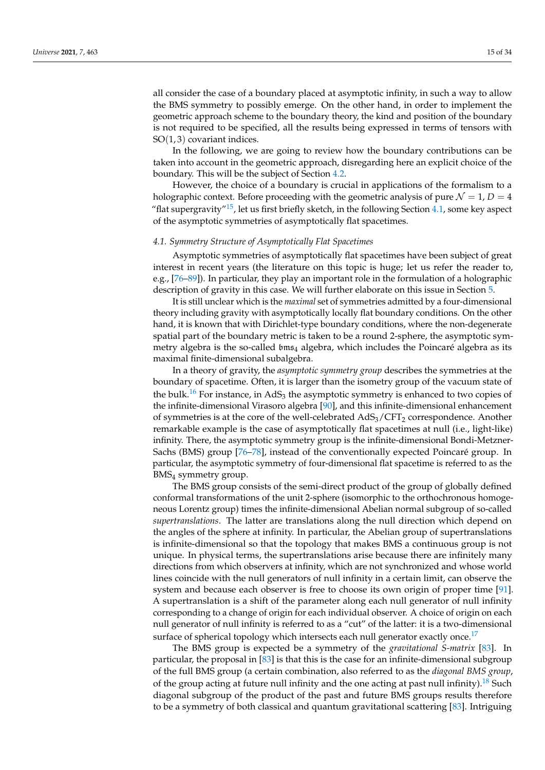all consider the case of a boundary placed at asymptotic infinity, in such a way to allow the BMS symmetry to possibly emerge. On the other hand, in order to implement the geometric approach scheme to the boundary theory, the kind and position of the boundary is not required to be specified, all the results being expressed in terms of tensors with  $SO(1,3)$  covariant indices.

In the following, we are going to review how the boundary contributions can be taken into account in the geometric approach, disregarding here an explicit choice of the boundary. This will be the subject of Section 4.2.

However, the choice of a boundary is crucial in applications of the formalism to a holographic context. Before proceeding with the geometric analysis of pure  $\mathcal{N} = 1$ ,  $D = 4$ "flat supergravity"<sup>15</sup>, let us first briefly sketch, in the following Section  $4.1$ , some key aspect of the asymptotic symmetries of asymptotically flat spacetimes.

#### *4.1. Symmetry Structure of Asymptotically Flat Spacetimes*

Asymptotic symmetries of asymptotically flat spacetimes have been subject of great interest in recent years (the literature on this topic is huge; let us refer the reader to, e.g., [76–89]). In particular, they play an important role in the formulation of a holographic description of gravity in this case. We will further elaborate on this issue in Section 5.

It is still unclear which is the *maximal* set of symmetries admitted by a four-dimensional theory including gravity with asymptotically locally flat boundary conditions. On the other hand, it is known that with Dirichlet-type boundary conditions, where the non-degenerate spatial part of the boundary metric is taken to be a round 2-sphere, the asymptotic symmetry algebra is the so-called  $bms<sub>4</sub>$  algebra, which includes the Poincaré algebra as its maximal finite-dimensional subalgebra.

In a theory of gravity, the *asymptotic symmetry group* describes the symmetries at the boundary of spacetime. Often, it is larger than the isometry group of the vacuum state of the bulk.<sup>16</sup> For instance, in AdS<sub>3</sub> the asymptotic symmetry is enhanced to two copies of the infinite-dimensional Virasoro algebra [90], and this infinite-dimensional enhancement of symmetries is at the core of the well-celebrated  $AdS_3/CFT_2$  correspondence. Another remarkable example is the case of asymptotically flat spacetimes at null (i.e., light-like) infinity. There, the asymptotic symmetry group is the infinite-dimensional Bondi-Metzner-Sachs (BMS) group [76–78], instead of the conventionally expected Poincaré group. In particular, the asymptotic symmetry of four-dimensional flat spacetime is referred to as the BMS<sup>4</sup> symmetry group.

The BMS group consists of the semi-direct product of the group of globally defined conformal transformations of the unit 2-sphere (isomorphic to the orthochronous homogeneous Lorentz group) times the infinite-dimensional Abelian normal subgroup of so-called *supertranslations*. The latter are translations along the null direction which depend on the angles of the sphere at infinity. In particular, the Abelian group of supertranslations is infinite-dimensional so that the topology that makes BMS a continuous group is not unique. In physical terms, the supertranslations arise because there are infinitely many directions from which observers at infinity, which are not synchronized and whose world lines coincide with the null generators of null infinity in a certain limit, can observe the system and because each observer is free to choose its own origin of proper time [91]. A supertranslation is a shift of the parameter along each null generator of null infinity corresponding to a change of origin for each individual observer. A choice of origin on each null generator of null infinity is referred to as a "cut" of the latter: it is a two-dimensional surface of spherical topology which intersects each null generator exactly once.<sup>17</sup>

The BMS group is expected be a symmetry of the *gravitational S-matrix* [83]. In particular, the proposal in [83] is that this is the case for an infinite-dimensional subgroup of the full BMS group (a certain combination, also referred to as the *diagonal BMS group*, of the group acting at future null infinity and the one acting at past null infinity).<sup>18</sup> Such diagonal subgroup of the product of the past and future BMS groups results therefore to be a symmetry of both classical and quantum gravitational scattering [83]. Intriguing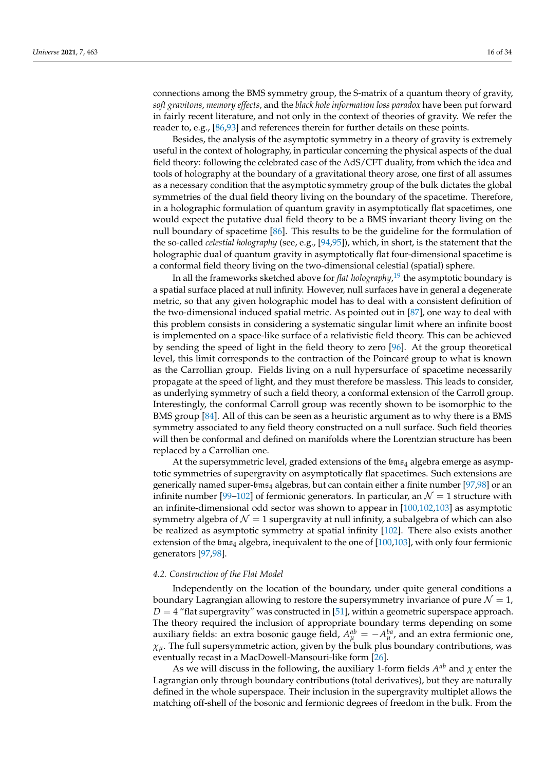connections among the BMS symmetry group, the S-matrix of a quantum theory of gravity, *soft gravitons*, *memory effects*, and the *black hole information loss paradox* have been put forward in fairly recent literature, and not only in the context of theories of gravity. We refer the reader to, e.g., [86,93] and references therein for further details on these points.

Besides, the analysis of the asymptotic symmetry in a theory of gravity is extremely useful in the context of holography, in particular concerning the physical aspects of the dual field theory: following the celebrated case of the AdS/CFT duality, from which the idea and tools of holography at the boundary of a gravitational theory arose, one first of all assumes as a necessary condition that the asymptotic symmetry group of the bulk dictates the global symmetries of the dual field theory living on the boundary of the spacetime. Therefore, in a holographic formulation of quantum gravity in asymptotically flat spacetimes, one would expect the putative dual field theory to be a BMS invariant theory living on the null boundary of spacetime [86]. This results to be the guideline for the formulation of the so-called *celestial holography* (see, e.g., [94,95]), which, in short, is the statement that the holographic dual of quantum gravity in asymptotically flat four-dimensional spacetime is a conformal field theory living on the two-dimensional celestial (spatial) sphere.

In all the frameworks sketched above for *flat holography*, 19 the asymptotic boundary is a spatial surface placed at null infinity. However, null surfaces have in general a degenerate metric, so that any given holographic model has to deal with a consistent definition of the two-dimensional induced spatial metric. As pointed out in [87], one way to deal with this problem consists in considering a systematic singular limit where an infinite boost is implemented on a space-like surface of a relativistic field theory. This can be achieved by sending the speed of light in the field theory to zero [96]. At the group theoretical level, this limit corresponds to the contraction of the Poincaré group to what is known as the Carrollian group. Fields living on a null hypersurface of spacetime necessarily propagate at the speed of light, and they must therefore be massless. This leads to consider, as underlying symmetry of such a field theory, a conformal extension of the Carroll group. Interestingly, the conformal Carroll group was recently shown to be isomorphic to the BMS group [84]. All of this can be seen as a heuristic argument as to why there is a BMS symmetry associated to any field theory constructed on a null surface. Such field theories will then be conformal and defined on manifolds where the Lorentzian structure has been replaced by a Carrollian one.

At the supersymmetric level, graded extensions of the  $bms<sub>4</sub>$  algebra emerge as asymptotic symmetries of supergravity on asymptotically flat spacetimes. Such extensions are generically named super-bms<sup>4</sup> algebras, but can contain either a finite number [97,98] or an infinite number [99–102] of fermionic generators. In particular, an  $\mathcal{N} = 1$  structure with an infinite-dimensional odd sector was shown to appear in [100,102,103] as asymptotic symmetry algebra of  $\mathcal{N} = 1$  supergravity at null infinity, a subalgebra of which can also be realized as asymptotic symmetry at spatial infinity [102]. There also exists another extension of the  $bms<sub>4</sub>$  algebra, inequivalent to the one of [100,103], with only four fermionic generators [97,98].

#### *4.2. Construction of the Flat Model*

Independently on the location of the boundary, under quite general conditions a boundary Lagrangian allowing to restore the supersymmetry invariance of pure  $\mathcal{N} = 1$ ,  $D = 4$  "flat supergravity" was constructed in [51], within a geometric superspace approach. The theory required the inclusion of appropriate boundary terms depending on some auxiliary fields: an extra bosonic gauge field,  $A_{\mu}^{ab} = -A_{\mu}^{ba}$ , and an extra fermionic one,  $\chi$ <sup>*μ*</sup>. The full supersymmetric action, given by the bulk plus boundary contributions, was eventually recast in a MacDowell-Mansouri-like form [26].

As we will discuss in the following, the auxiliary 1-form fields  $A^{ab}$  and  $\chi$  enter the Lagrangian only through boundary contributions (total derivatives), but they are naturally defined in the whole superspace. Their inclusion in the supergravity multiplet allows the matching off-shell of the bosonic and fermionic degrees of freedom in the bulk. From the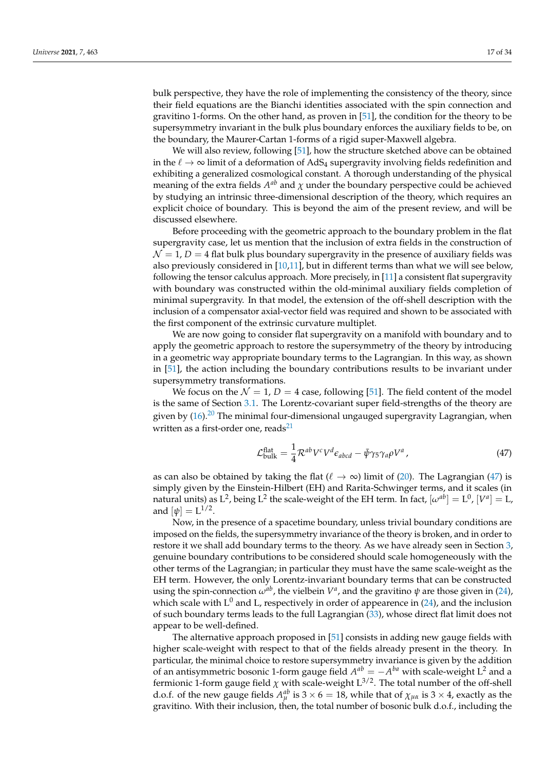bulk perspective, they have the role of implementing the consistency of the theory, since their field equations are the Bianchi identities associated with the spin connection and gravitino 1-forms. On the other hand, as proven in [51], the condition for the theory to be supersymmetry invariant in the bulk plus boundary enforces the auxiliary fields to be, on the boundary, the Maurer-Cartan 1-forms of a rigid super-Maxwell algebra.

We will also review, following [51], how the structure sketched above can be obtained in the  $\ell \to \infty$  limit of a deformation of AdS<sub>4</sub> supergravity involving fields redefinition and exhibiting a generalized cosmological constant. A thorough understanding of the physical meaning of the extra fields  $A^{ab}$  and  $\chi$  under the boundary perspective could be achieved by studying an intrinsic three-dimensional description of the theory, which requires an explicit choice of boundary. This is beyond the aim of the present review, and will be discussed elsewhere.

Before proceeding with the geometric approach to the boundary problem in the flat supergravity case, let us mention that the inclusion of extra fields in the construction of  $\mathcal{N} = 1$ ,  $D = 4$  flat bulk plus boundary supergravity in the presence of auxiliary fields was also previously considered in  $[10,11]$ , but in different terms than what we will see below, following the tensor calculus approach. More precisely, in [11] a consistent flat supergravity with boundary was constructed within the old-minimal auxiliary fields completion of minimal supergravity. In that model, the extension of the off-shell description with the inclusion of a compensator axial-vector field was required and shown to be associated with the first component of the extrinsic curvature multiplet.

We are now going to consider flat supergravity on a manifold with boundary and to apply the geometric approach to restore the supersymmetry of the theory by introducing in a geometric way appropriate boundary terms to the Lagrangian. In this way, as shown in [51], the action including the boundary contributions results to be invariant under supersymmetry transformations.

We focus on the  $\mathcal{N} = 1$ ,  $D = 4$  case, following [51]. The field content of the model is the same of Section 3.1. The Lorentz-covariant super field-strengths of the theory are given by (16). $^{20}$  The minimal four-dimensional ungauged supergravity Lagrangian, when written as a first-order one, reads<sup>21</sup>

$$
\mathcal{L}_{\text{bulk}}^{\text{flat}} = \frac{1}{4} \mathcal{R}^{ab} V^c V^d \epsilon_{abcd} - \bar{\psi} \gamma_5 \gamma_a \rho V^a , \qquad (47)
$$

as can also be obtained by taking the flat ( $\ell \rightarrow \infty$ ) limit of (20). The Lagrangian (47) is simply given by the Einstein-Hilbert (EH) and Rarita-Schwinger terms, and it scales (in natural units) as  $\mathrm{L}^2$ , being  $\mathrm{L}^2$  the scale-weight of the EH term. In fact,  $[\omega^{ab}]=\mathrm{L}^0$ ,  $[V^a]=\mathrm{L}$ , and  $[\psi] = L^{1/2}$ .

Now, in the presence of a spacetime boundary, unless trivial boundary conditions are imposed on the fields, the supersymmetry invariance of the theory is broken, and in order to restore it we shall add boundary terms to the theory. As we have already seen in Section 3, genuine boundary contributions to be considered should scale homogeneously with the other terms of the Lagrangian; in particular they must have the same scale-weight as the EH term. However, the only Lorentz-invariant boundary terms that can be constructed using the spin-connection  $\omega^{ab}$ , the vielbein  $V^a$ , and the gravitino  $\psi$  are those given in (24), which scale with  $\mathsf{L}^0$  and  $\mathsf{L}$ , respectively in order of appearence in (24), and the inclusion of such boundary terms leads to the full Lagrangian (33), whose direct flat limit does not appear to be well-defined.

The alternative approach proposed in [51] consists in adding new gauge fields with higher scale-weight with respect to that of the fields already present in the theory. In particular, the minimal choice to restore supersymmetry invariance is given by the addition of an antisymmetric bosonic 1-form gauge field  $A^{ab} = -A^{ba}$  with scale-weight  $L^2$  and a fermionic 1-form gauge field  $\chi$  with scale-weight  $L^{3/2}$ . The total number of the off-shell d.o.f. of the new gauge fields  $A_{\mu}^{ab}$  is 3  $\times$  6 = 18, while that of  $\chi_{\mu\alpha}$  is 3  $\times$  4, exactly as the gravitino. With their inclusion, then, the total number of bosonic bulk d.o.f., including the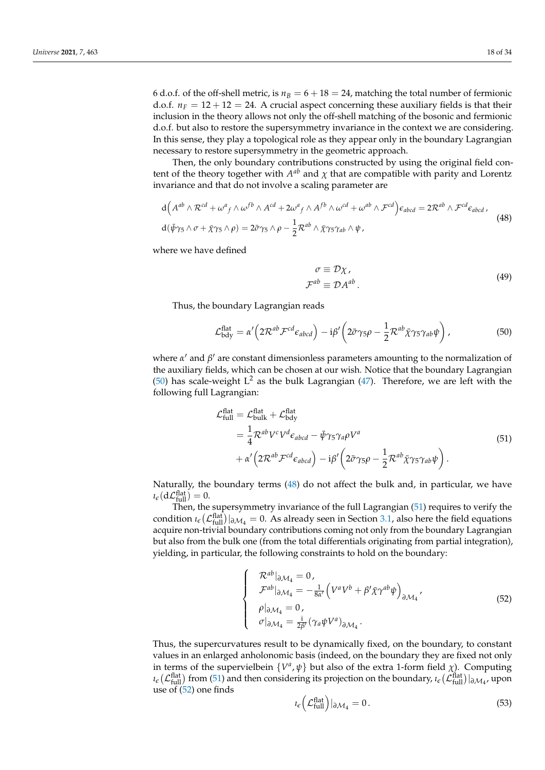6 d.o.f. of the off-shell metric, is  $n_B = 6 + 18 = 24$ , matching the total number of fermionic d.o.f.  $n_F = 12 + 12 = 24$ . A crucial aspect concerning these auxiliary fields is that their inclusion in the theory allows not only the off-shell matching of the bosonic and fermionic d.o.f. but also to restore the supersymmetry invariance in the context we are considering. In this sense, they play a topological role as they appear only in the boundary Lagrangian necessary to restore supersymmetry in the geometric approach.

Then, the only boundary contributions constructed by using the original field content of the theory together with  $A^{ab}$  and  $\chi$  that are compatible with parity and Lorentz invariance and that do not involve a scaling parameter are

$$
d\left(A^{ab}\wedge\mathcal{R}^{cd}+\omega^a{}_f\wedge\omega^{fb}\wedge A^{cd}+2\omega^a{}_f\wedge A^{fb}\wedge\omega^{cd}+\omega^{ab}\wedge\mathcal{F}^{cd}\right)\epsilon_{abcd}=2\mathcal{R}^{ab}\wedge\mathcal{F}^{cd}\epsilon_{abcd},
$$
  
\n
$$
d(\bar{\psi}\gamma_5\wedge\sigma+\bar{\chi}\gamma_5\wedge\rho)=2\bar{\sigma}\gamma_5\wedge\rho-\frac{1}{2}\mathcal{R}^{ab}\wedge\bar{\chi}\gamma_5\gamma_{ab}\wedge\psi,
$$
\n(48)

where we have defined

$$
\sigma \equiv \mathcal{D}\chi, \n\mathcal{F}^{ab} \equiv \mathcal{D}A^{ab}.
$$
\n(49)

Thus, the boundary Lagrangian reads

$$
\mathcal{L}_{\text{bdy}}^{\text{flat}} = \alpha' \left( 2 \mathcal{R}^{ab} \mathcal{F}^{cd} \epsilon_{abcd} \right) - i \beta' \left( 2 \bar{\sigma} \gamma_5 \rho - \frac{1}{2} \mathcal{R}^{ab} \bar{\chi} \gamma_5 \gamma_{ab} \psi \right), \tag{50}
$$

where *α'* and *β'* are constant dimensionless parameters amounting to the normalization of the auxiliary fields, which can be chosen at our wish. Notice that the boundary Lagrangian (50) has scale-weight  $L^2$  as the bulk Lagrangian (47). Therefore, we are left with the following full Lagrangian:

$$
\mathcal{L}^{\text{flat}}_{\text{full}} = \mathcal{L}^{\text{flat}}_{\text{bulk}} + \mathcal{L}^{\text{flat}}_{\text{bdy}}
$$
\n
$$
= \frac{1}{4} \mathcal{R}^{ab} V^c V^d \epsilon_{abcd} - \bar{\psi} \gamma_5 \gamma_a \rho V^a
$$
\n
$$
+ \alpha' \left( 2 \mathcal{R}^{ab} \mathcal{F}^{cd} \epsilon_{abcd} \right) - i \beta' \left( 2 \bar{\sigma} \gamma_5 \rho - \frac{1}{2} \mathcal{R}^{ab} \bar{\chi} \gamma_5 \gamma_{ab} \psi \right).
$$
\n(51)

Naturally, the boundary terms (48) do not affect the bulk and, in particular, we have  $i_{\epsilon}$ (d $\mathcal{L}_{\text{full}}^{\text{flat}}$ ) = 0.

Then, the supersymmetry invariance of the full Lagrangian (51) requires to verify the condition  $\iota_e(\mathcal{L}_{\text{full}}^{\text{flat}})|_{\partial \mathcal{M}_4} = 0$ . As already seen in Section 3.1, also here the field equations acquire non-trivial boundary contributions coming not only from the boundary Lagrangian but also from the bulk one (from the total differentials originating from partial integration), yielding, in particular, the following constraints to hold on the boundary:

$$
\begin{cases}\n\mathcal{R}^{ab}|_{\partial \mathcal{M}_4} = 0, \\
\mathcal{F}^{ab}|_{\partial \mathcal{M}_4} = -\frac{1}{8\alpha'} \Big( V^a V^b + \beta' \bar{\chi} \gamma^{ab} \psi \Big)_{\partial \mathcal{M}_4}, \\
\rho|_{\partial \mathcal{M}_4} = 0, \\
\sigma|_{\partial \mathcal{M}_4} = \frac{i}{2\beta'} (\gamma_a \psi V^a)_{\partial \mathcal{M}_4}.\n\end{cases}
$$
\n(52)

Thus, the supercurvatures result to be dynamically fixed, on the boundary, to constant values in an enlarged anholonomic basis (indeed, on the boundary they are fixed not only in terms of the supervielbein  $\{V^a, \psi\}$  but also of the extra 1-form field  $\chi$ ). Computing  $\iota$ <sub>*e*</sub>( $\mathcal{L}$ flat</sub>) from (51) and then considering its projection on the boundary,  $\iota$ *e*( $\mathcal{L}$ flat))  $\partial M_4$ , upon use of (52) one finds

$$
i_{\epsilon} \left( \mathcal{L}_{\text{full}}^{\text{flat}} \right) |_{\partial \mathcal{M}_4} = 0. \tag{53}
$$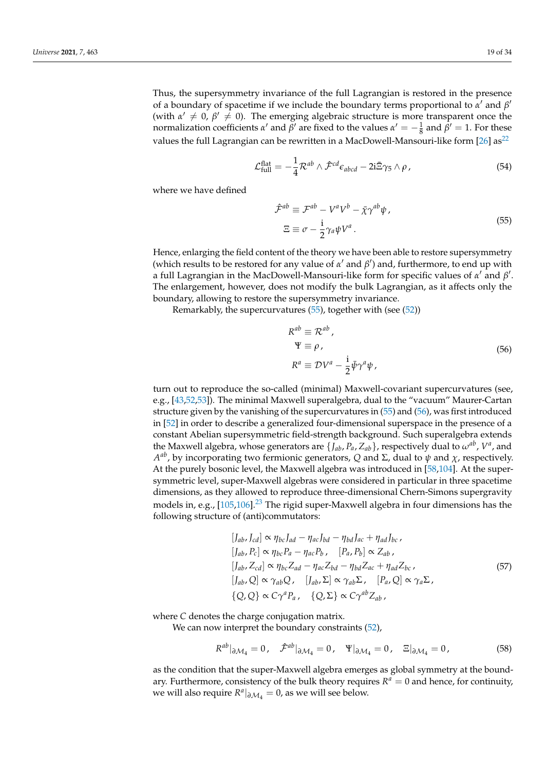Thus, the supersymmetry invariance of the full Lagrangian is restored in the presence of a boundary of spacetime if we include the boundary terms proportional to  $\alpha'$  and  $\beta'$ (with  $\alpha' \neq 0$ ,  $\beta' \neq 0$ ). The emerging algebraic structure is more transparent once the normalization coefficients *α'* and *β'* are fixed to the values  $α' = -\frac{1}{8}$  and  $β' = 1$ . For these values the full Lagrangian can be rewritten in a MacDowell-Mansouri-like form  $[26]$  as<sup>22</sup>

$$
\mathcal{L}_{\text{full}}^{\text{flat}} = -\frac{1}{4} \mathcal{R}^{ab} \wedge \hat{\mathcal{F}}^{cd} \epsilon_{abcd} - 2i \bar{\Xi} \gamma_5 \wedge \rho \,, \tag{54}
$$

where we have defined

$$
\hat{\mathcal{F}}^{ab} \equiv \mathcal{F}^{ab} - V^a V^b - \bar{\chi} \gamma^{ab} \psi ,
$$
  

$$
\Xi \equiv \sigma - \frac{i}{2} \gamma_a \psi V^a .
$$
 (55)

Hence, enlarging the field content of the theory we have been able to restore supersymmetry (which results to be restored for any value of  $\alpha'$  and  $\beta'$ ) and, furthermore, to end up with a full Lagrangian in the MacDowell-Mansouri-like form for specific values of *α'* and *β'*. The enlargement, however, does not modify the bulk Lagrangian, as it affects only the boundary, allowing to restore the supersymmetry invariance.

Remarkably, the supercurvatures (55), together with (see (52))

$$
R^{ab} \equiv \mathcal{R}^{ab},
$$
  
\n
$$
\Psi \equiv \rho,
$$
  
\n
$$
R^{a} \equiv \mathcal{D}V^{a} - \frac{i}{2}\bar{\psi}\gamma^{a}\psi,
$$
\n(56)

turn out to reproduce the so-called (minimal) Maxwell-covariant supercurvatures (see, e.g., [43,52,53]). The minimal Maxwell superalgebra, dual to the "vacuum" Maurer-Cartan structure given by the vanishing of the supercurvatures in (55) and (56), was first introduced in [52] in order to describe a generalized four-dimensional superspace in the presence of a constant Abelian supersymmetric field-strength background. Such superalgebra extends the Maxwell algebra, whose generators are  $\{J_{ab}, P_a, Z_{ab}\}$ , respectively dual to  $\omega^{ab}$ ,  $V^a$ , and *A ab*, by incorporating two fermionic generators, *Q* and Σ, dual to *ψ* and *χ*, respectively. At the purely bosonic level, the Maxwell algebra was introduced in [58,104]. At the supersymmetric level, super-Maxwell algebras were considered in particular in three spacetime dimensions, as they allowed to reproduce three-dimensional Chern-Simons supergravity models in, e.g.,  $[105,106]$ <sup>23</sup> The rigid super-Maxwell algebra in four dimensions has the following structure of (anti)commutators:

$$
[J_{ab}, J_{cd}] \propto \eta_{bc} J_{ad} - \eta_{ac} J_{bd} - \eta_{bd} J_{ac} + \eta_{ad} J_{bc},
$$
  
\n
$$
[J_{ab}, P_c] \propto \eta_{bc} P_a - \eta_{ac} P_b, \quad [P_a, P_b] \propto Z_{ab},
$$
  
\n
$$
[J_{ab}, Z_{cd}] \propto \eta_{bc} Z_{ad} - \eta_{ac} Z_{bd} - \eta_{bd} Z_{ac} + \eta_{ad} Z_{bc},
$$
  
\n
$$
[J_{ab}, Q] \propto \gamma_{ab} Q, \quad [J_{ab}, \Sigma] \propto \gamma_{ab} \Sigma, \quad [P_a, Q] \propto \gamma_a \Sigma,
$$
  
\n
$$
\{Q, Q\} \propto C \gamma^a P_a, \quad \{Q, \Sigma\} \propto C \gamma^{ab} Z_{ab},
$$
  
\n(57)

where *C* denotes the charge conjugation matrix.

We can now interpret the boundary constraints  $(52)$ ,

$$
R^{ab}|_{\partial \mathcal{M}_4} = 0, \quad \hat{\mathcal{F}}^{ab}|_{\partial \mathcal{M}_4} = 0, \quad \Psi|_{\partial \mathcal{M}_4} = 0, \quad \Xi|_{\partial \mathcal{M}_4} = 0,\tag{58}
$$

as the condition that the super-Maxwell algebra emerges as global symmetry at the boundary. Furthermore, consistency of the bulk theory requires  $R^a = 0$  and hence, for continuity, we will also require  $R^a|_{\partial M_4} = 0$ , as we will see below.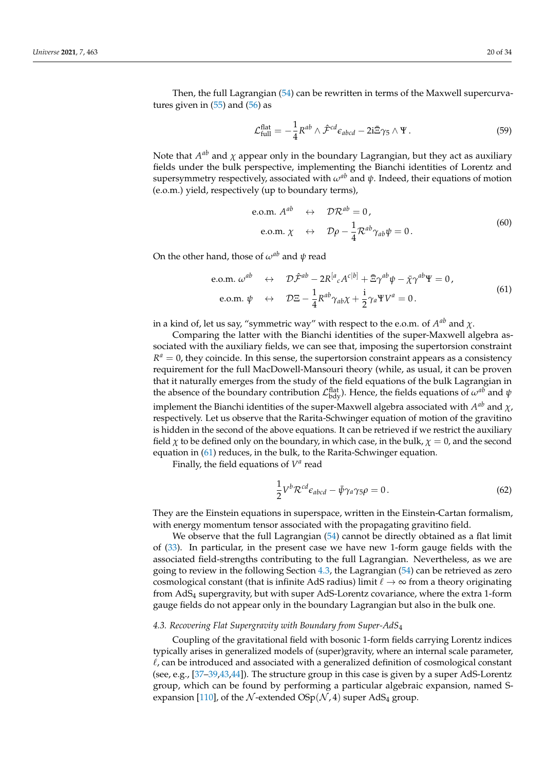$$
\mathcal{L}_{\text{full}}^{\text{flat}} = -\frac{1}{4} R^{ab} \wedge \hat{\mathcal{F}}^{cd} \epsilon_{abcd} - 2i \bar{\Xi} \gamma_5 \wedge \Psi.
$$
 (59)

Note that *A<sup>ab</sup>* and *χ* appear only in the boundary Lagrangian, but they act as auxiliary fields under the bulk perspective, implementing the Bianchi identities of Lorentz and supersymmetry respectively, associated with  $\omega^{ab}$  and  $\psi$ . Indeed, their equations of motion (e.o.m.) yield, respectively (up to boundary terms),

e.o.m. 
$$
A^{ab} \leftrightarrow \mathcal{DR}^{ab} = 0
$$
,  
e.o.m.  $\chi \leftrightarrow \mathcal{D}\rho - \frac{1}{4}\mathcal{R}^{ab}\gamma_{ab}\psi = 0$ . (60)

On the other hand, those of *ωab* and *ψ* read

e.o.m. 
$$
\omega^{ab} \leftrightarrow \mathcal{D}\hat{\mathcal{F}}^{ab} - 2R^{[a}{}_{c}A^{c|b]} + \bar{\Xi}\gamma^{ab}\psi - \bar{\chi}\gamma^{ab}\Psi = 0,
$$
  
e.o.m.  $\psi \leftrightarrow \mathcal{D}\Xi - \frac{1}{4}R^{ab}\gamma_{ab}\chi + \frac{i}{2}\gamma_{a}\Psi V^{a} = 0.$  (61)

in a kind of, let us say, "symmetric way" with respect to the e.o.m. of  $A^{ab}$  and  $\chi$ .

Comparing the latter with the Bianchi identities of the super-Maxwell algebra associated with the auxiliary fields, we can see that, imposing the supertorsion constraint  $R^a = 0$ , they coincide. In this sense, the supertorsion constraint appears as a consistency requirement for the full MacDowell-Mansouri theory (while, as usual, it can be proven that it naturally emerges from the study of the field equations of the bulk Lagrangian in the absence of the boundary contribution  $\mathcal{L}_{\text{bdy}}^{\text{flat}}$ ). Hence, the fields equations of  $\omega^{ab}$  and  $\psi$ implement the Bianchi identities of the super-Maxwell algebra associated with  $A^{ab}$  and  $\chi$ , respectively. Let us observe that the Rarita-Schwinger equation of motion of the gravitino is hidden in the second of the above equations. It can be retrieved if we restrict the auxiliary field  $\chi$  to be defined only on the boundary, in which case, in the bulk,  $\chi = 0$ , and the second equation in (61) reduces, in the bulk, to the Rarita-Schwinger equation.

Finally, the field equations of  $V^a$  read

$$
\frac{1}{2}V^b \mathcal{R}^{cd} \epsilon_{abcd} - \bar{\psi} \gamma_a \gamma_5 \rho = 0. \qquad (62)
$$

They are the Einstein equations in superspace, written in the Einstein-Cartan formalism, with energy momentum tensor associated with the propagating gravitino field.

We observe that the full Lagrangian (54) cannot be directly obtained as a flat limit of (33). In particular, in the present case we have new 1-form gauge fields with the associated field-strengths contributing to the full Lagrangian. Nevertheless, as we are going to review in the following Section 4.3, the Lagrangian (54) can be retrieved as zero cosmological constant (that is infinite AdS radius) limit  $\ell \to \infty$  from a theory originating from AdS<sup>4</sup> supergravity, but with super AdS-Lorentz covariance, where the extra 1-form gauge fields do not appear only in the boundary Lagrangian but also in the bulk one.

### *4.3. Recovering Flat Supergravity with Boundary from Super-AdS*<sup>4</sup>

Coupling of the gravitational field with bosonic 1-form fields carrying Lorentz indices typically arises in generalized models of (super)gravity, where an internal scale parameter,  $\ell$ , can be introduced and associated with a generalized definition of cosmological constant (see, e.g., [37–39,43,44]). The structure group in this case is given by a super AdS-Lorentz group, which can be found by performing a particular algebraic expansion, named Sexpansion [110], of the N-extended  $OSp(N, 4)$  super AdS<sub>4</sub> group.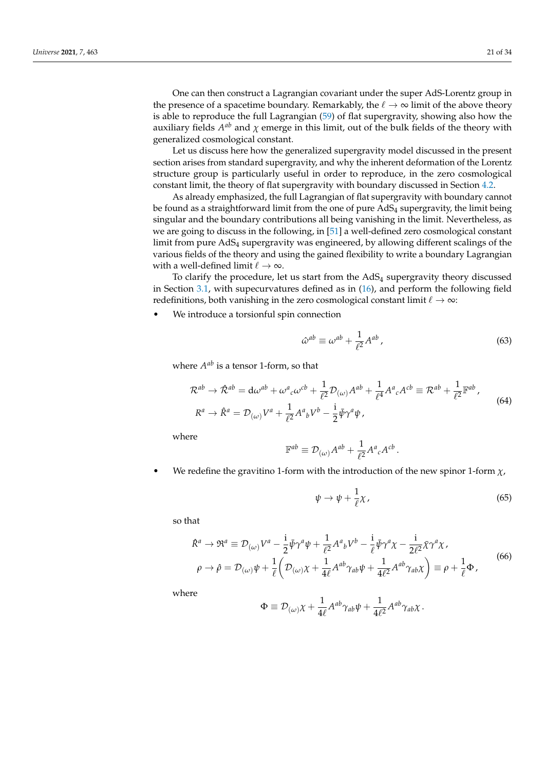One can then construct a Lagrangian covariant under the super AdS-Lorentz group in the presence of a spacetime boundary. Remarkably, the  $\ell \to \infty$  limit of the above theory is able to reproduce the full Lagrangian (59) of flat supergravity, showing also how the auxiliary fields  $A^{ab}$  and  $\chi$  emerge in this limit, out of the bulk fields of the theory with generalized cosmological constant.

Let us discuss here how the generalized supergravity model discussed in the present section arises from standard supergravity, and why the inherent deformation of the Lorentz structure group is particularly useful in order to reproduce, in the zero cosmological constant limit, the theory of flat supergravity with boundary discussed in Section 4.2.

As already emphasized, the full Lagrangian of flat supergravity with boundary cannot be found as a straightforward limit from the one of pure  $AdS<sub>4</sub>$  supergravity, the limit being singular and the boundary contributions all being vanishing in the limit. Nevertheless, as we are going to discuss in the following, in [51] a well-defined zero cosmological constant limit from pure AdS<sup>4</sup> supergravity was engineered, by allowing different scalings of the various fields of the theory and using the gained flexibility to write a boundary Lagrangian with a well-defined limit  $\ell \to \infty$ .

To clarify the procedure, let us start from the  $AdS<sub>4</sub>$  supergravity theory discussed in Section 3.1, with supecurvatures defined as in (16), and perform the following field redefinitions, both vanishing in the zero cosmological constant limit  $\ell \to \infty$ :

We introduce a torsionful spin connection

$$
\hat{\omega}^{ab} \equiv \omega^{ab} + \frac{1}{\ell^2} A^{ab} \,, \tag{63}
$$

where  $A^{ab}$  is a tensor 1-form, so that

$$
\mathcal{R}^{ab} \to \hat{\mathcal{R}}^{ab} = d\omega^{ab} + \omega^a{}_c \omega^{cb} + \frac{1}{\ell^2} \mathcal{D}_{(\omega)} A^{ab} + \frac{1}{\ell^4} A^a{}_c A^{cb} \equiv \mathcal{R}^{ab} + \frac{1}{\ell^2} \mathbb{F}^{ab} ,
$$
  

$$
R^a \to \hat{R}^a = \mathcal{D}_{(\omega)} V^a + \frac{1}{\ell^2} A^a{}_b V^b - \frac{i}{2} \bar{\psi} \gamma^a \psi ,
$$
 (64)

where

$$
\mathbb{F}^{ab} \equiv \mathcal{D}_{(\omega)}A^{ab} + \frac{1}{\ell^2}A^a{}_cA^{cb}.
$$

We redefine the gravitino 1-form with the introduction of the new spinor 1-form  $\chi$ ,

$$
\psi \to \psi + \frac{1}{\ell} \chi \,, \tag{65}
$$

so that

$$
\hat{R}^{a} \rightarrow \mathfrak{R}^{a} \equiv \mathcal{D}_{(\omega)} V^{a} - \frac{i}{2} \bar{\psi} \gamma^{a} \psi + \frac{1}{\ell^{2}} A^{a}{}_{b} V^{b} - \frac{i}{\ell} \bar{\psi} \gamma^{a} \chi - \frac{i}{2\ell^{2}} \bar{\chi} \gamma^{a} \chi,
$$
\n
$$
\rho \rightarrow \hat{\rho} = \mathcal{D}_{(\omega)} \psi + \frac{1}{\ell} \left( \mathcal{D}_{(\omega)} \chi + \frac{1}{4\ell} A^{ab} \gamma_{ab} \psi + \frac{1}{4\ell^{2}} A^{ab} \gamma_{ab} \chi \right) \equiv \rho + \frac{1}{\ell} \Phi,
$$
\n(66)

where

$$
\Phi \equiv \mathcal{D}_{(\omega)}\chi + \frac{1}{4\ell}A^{ab}\gamma_{ab}\psi + \frac{1}{4\ell^2}A^{ab}\gamma_{ab}\chi.
$$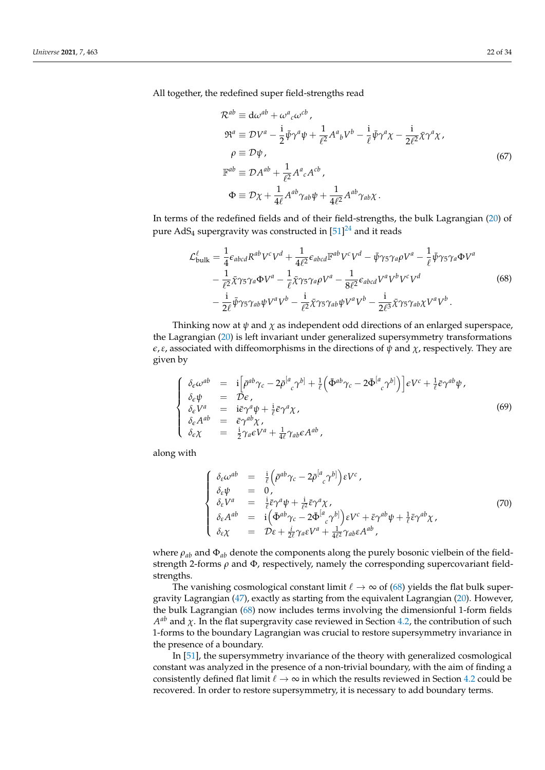All together, the redefined super field-strengths read

$$
\mathcal{R}^{ab} \equiv d\omega^{ab} + \omega^{a}{}_{c}\omega^{cb},
$$
  
\n
$$
\mathfrak{R}^{a} \equiv \mathcal{D}V^{a} - \frac{i}{2}\bar{\psi}\gamma^{a}\psi + \frac{1}{\ell^{2}}A^{a}{}_{b}V^{b} - \frac{i}{\ell}\bar{\psi}\gamma^{a}\chi - \frac{i}{2\ell^{2}}\bar{\chi}\gamma^{a}\chi,
$$
  
\n
$$
\rho \equiv \mathcal{D}\psi,
$$
  
\n
$$
\mathbb{F}^{ab} \equiv \mathcal{D}A^{ab} + \frac{1}{\ell^{2}}A^{a}{}_{c}A^{cb},
$$
  
\n
$$
\Phi \equiv \mathcal{D}\chi + \frac{1}{4\ell}A^{ab}\gamma_{ab}\psi + \frac{1}{4\ell^{2}}A^{ab}\gamma_{ab}\chi.
$$
\n(67)

In terms of the redefined fields and of their field-strengths, the bulk Lagrangian (20) of pure  $AdS_4$  supergravity was constructed in  $[51]^{24}$  and it reads

$$
\mathcal{L}_{\text{bulk}}^{\ell} = \frac{1}{4} \epsilon_{abcd} R^{ab} V^c V^d + \frac{1}{4\ell^2} \epsilon_{abcd} \mathbb{F}^{ab} V^c V^d - \bar{\psi} \gamma_5 \gamma_a \rho V^a - \frac{1}{\ell} \bar{\psi} \gamma_5 \gamma_a \Phi V^a
$$

$$
- \frac{1}{\ell^2} \bar{\chi} \gamma_5 \gamma_a \Phi V^a - \frac{1}{\ell} \bar{\chi} \gamma_5 \gamma_a \rho V^a - \frac{1}{8\ell^2} \epsilon_{abcd} V^a V^b V^c V^d
$$

$$
- \frac{i}{2\ell} \bar{\psi} \gamma_5 \gamma_{ab} \psi V^a V^b - \frac{i}{\ell^2} \bar{\chi} \gamma_5 \gamma_{ab} \psi V^a V^b - \frac{i}{2\ell^3} \bar{\chi} \gamma_5 \gamma_{ab} \chi V^a V^b. \tag{68}
$$

Thinking now at  $\psi$  and  $\chi$  as independent odd directions of an enlarged superspace, the Lagrangian (20) is left invariant under generalized supersymmetry transformations *ε*, *ε*, associated with diffeomorphisms in the directions of  $ψ$  and  $χ$ , respectively. They are given by

$$
\begin{cases}\n\delta_{\epsilon}\omega^{ab} &= i\left[\bar{\rho}^{ab}\gamma_{c} - 2\bar{\rho}^{[a}_{c}\gamma^{b]} + \frac{1}{\ell}\left(\bar{\Phi}^{ab}\gamma_{c} - 2\bar{\Phi}^{[a}_{c}\gamma^{b]}\right)\right]\epsilon V^{c} + \frac{1}{\ell}\bar{\epsilon}\gamma^{ab}\psi, \\
\delta_{\epsilon}\psi &= \mathcal{D}\epsilon, \\
\delta_{\epsilon}V^{a} &= i\bar{\epsilon}\gamma^{a}\psi + \frac{i}{\ell}\bar{\epsilon}\gamma^{a}\chi, \\
\delta_{\epsilon}A^{ab} &= \bar{\epsilon}\gamma^{ab}\chi, \\
\delta_{\epsilon}\chi &= \frac{i}{2}\gamma_{a}\epsilon V^{a} + \frac{1}{4\ell}\gamma_{ab}\epsilon A^{ab},\n\end{cases}
$$
\n(69)

along with

$$
\begin{cases}\n\delta_{\varepsilon}\omega^{ab} &= \frac{i}{\ell} \Big( \bar{\rho}^{ab} \gamma_c - 2 \bar{\rho}^{[a}_{\ \ c} \gamma^{b]} \Big) \varepsilon V^c ,\\ \n\delta_{\varepsilon} \psi &= 0,\\ \n\delta_{\varepsilon} V^a &= \frac{i}{\ell} \bar{\varepsilon} \gamma^a \psi + \frac{i}{\ell^2} \bar{\varepsilon} \gamma^a \chi,\\ \n\delta_{\varepsilon} A^{ab} &= i \Big( \bar{\Phi}^{ab} \gamma_c - 2 \bar{\Phi}^{[a}_{\ \ c} \gamma^{b]} \Big) \varepsilon V^c + \bar{\varepsilon} \gamma^{ab} \psi + \frac{1}{\ell} \bar{\varepsilon} \gamma^{ab} \chi,\\ \n\delta_{\varepsilon} \chi &= \mathcal{D} \varepsilon + \frac{i}{2\ell} \gamma_{a} \varepsilon V^a + \frac{1}{4\ell^2} \gamma_{ab} \varepsilon A^{ab} ,\n\end{cases} \tag{70}
$$

where *ρab* and Φ*ab* denote the components along the purely bosonic vielbein of the fieldstrength 2-forms *ρ* and Φ, respectively, namely the corresponding supercovariant fieldstrengths.

The vanishing cosmological constant limit  $\ell \to \infty$  of (68) yields the flat bulk supergravity Lagrangian (47), exactly as starting from the equivalent Lagrangian (20). However, the bulk Lagrangian (68) now includes terms involving the dimensionful 1-form fields  $A^{ab}$  and *χ*. In the flat supergravity case reviewed in Section 4.2, the contribution of such 1-forms to the boundary Lagrangian was crucial to restore supersymmetry invariance in the presence of a boundary.

In [51], the supersymmetry invariance of the theory with generalized cosmological constant was analyzed in the presence of a non-trivial boundary, with the aim of finding a consistently defined flat limit  $\ell \to \infty$  in which the results reviewed in Section 4.2 could be recovered. In order to restore supersymmetry, it is necessary to add boundary terms.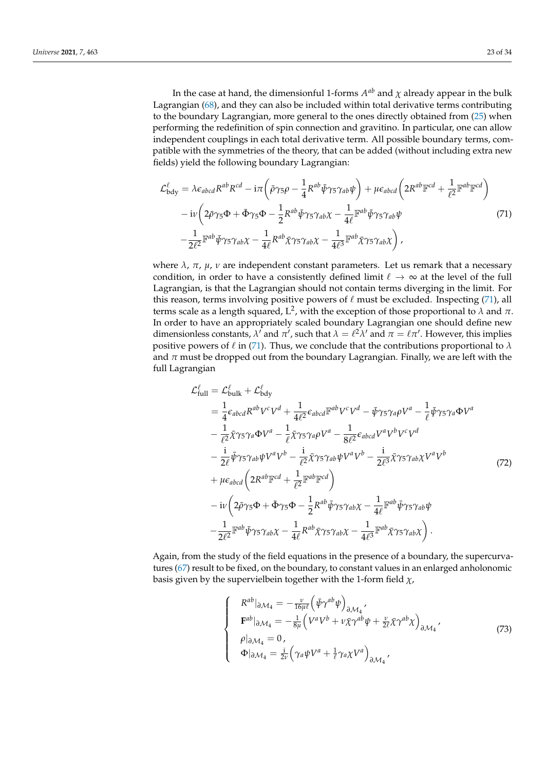In the case at hand, the dimensionful 1-forms  $A^{ab}$  and  $\chi$  already appear in the bulk Lagrangian (68), and they can also be included within total derivative terms contributing to the boundary Lagrangian, more general to the ones directly obtained from (25) when performing the redefinition of spin connection and gravitino. In particular, one can allow independent couplings in each total derivative term. All possible boundary terms, compatible with the symmetries of the theory, that can be added (without including extra new fields) yield the following boundary Lagrangian:

$$
\mathcal{L}^{\ell}_{\text{bdy}} = \lambda \epsilon_{abcd} R^{ab} R^{cd} - i \pi \left( \bar{\rho} \gamma_5 \rho - \frac{1}{4} R^{ab} \bar{\psi} \gamma_5 \gamma_{ab} \psi \right) + \mu \epsilon_{abcd} \left( 2 R^{ab} \mathbb{F}^{cd} + \frac{1}{\ell^2} \mathbb{F}^{ab} \mathbb{F}^{cd} \right) \n- i \nu \left( 2 \bar{\rho} \gamma_5 \Phi + \bar{\Phi} \gamma_5 \Phi - \frac{1}{2} R^{ab} \bar{\psi} \gamma_5 \gamma_{ab} \chi - \frac{1}{4 \ell} \mathbb{F}^{ab} \bar{\psi} \gamma_5 \gamma_{ab} \psi \right) \n- \frac{1}{2 \ell^2} \mathbb{F}^{ab} \bar{\psi} \gamma_5 \gamma_{ab} \chi - \frac{1}{4 \ell} R^{ab} \bar{\chi} \gamma_5 \gamma_{ab} \chi - \frac{1}{4 \ell^3} \mathbb{F}^{ab} \bar{\chi} \gamma_5 \gamma_{ab} \chi \right),
$$
\n(71)

where  $\lambda$ ,  $\pi$ ,  $\mu$ ,  $\nu$  are independent constant parameters. Let us remark that a necessary condition, in order to have a consistently defined limit  $\ell \to \infty$  at the level of the full Lagrangian, is that the Lagrangian should not contain terms diverging in the limit. For this reason, terms involving positive powers of  $\ell$  must be excluded. Inspecting (71), all terms scale as a length squared, L 2 , with the exception of those proportional to *λ* and *π*. In order to have an appropriately scaled boundary Lagrangian one should define new dimensionless constants,  $\lambda^T$  and  $\pi^T$ , such that  $\lambda = \ell^2 \lambda^T$  and  $\pi = \ell \pi^T$ . However, this implies positive powers of  $\ell$  in (71). Thus, we conclude that the contributions proportional to  $\lambda$ and  $\pi$  must be dropped out from the boundary Lagrangian. Finally, we are left with the full Lagrangian

$$
\mathcal{L}_{\text{full}}^{\ell} = \mathcal{L}_{\text{bulk}}^{\ell} + \mathcal{L}_{\text{bdy}}^{\ell}
$$
\n
$$
= \frac{1}{4} \epsilon_{abcd} R^{ab} V^{c} V^{d} + \frac{1}{4\ell^{2}} \epsilon_{abcd} \mathbb{F}^{ab} V^{c} V^{d} - \bar{\psi} \gamma_{5} \gamma_{a} \rho V^{a} - \frac{1}{\ell} \bar{\psi} \gamma_{5} \gamma_{a} \Phi V^{a}
$$
\n
$$
- \frac{1}{\ell^{2}} \bar{\chi} \gamma_{5} \gamma_{a} \Phi V^{a} - \frac{1}{\ell} \bar{\chi} \gamma_{5} \gamma_{a} \rho V^{a} - \frac{1}{8\ell^{2}} \epsilon_{abcd} V^{a} V^{b} V^{c} V^{d}
$$
\n
$$
- \frac{i}{2\ell} \bar{\psi} \gamma_{5} \gamma_{ab} \psi V^{a} V^{b} - \frac{i}{\ell^{2}} \bar{\chi} \gamma_{5} \gamma_{ab} \psi V^{a} V^{b} - \frac{i}{2\ell^{3}} \bar{\chi} \gamma_{5} \gamma_{ab} \chi V^{a} V^{b}
$$
\n
$$
+ \mu \epsilon_{abcd} \left( 2R^{ab} \mathbb{F}^{cd} + \frac{1}{\ell^{2}} \mathbb{F}^{ab} \mathbb{F}^{cd} \right)
$$
\n
$$
- i \nu \left( 2 \bar{\rho} \gamma_{5} \Phi + \bar{\Phi} \gamma_{5} \Phi - \frac{1}{2} R^{ab} \bar{\psi} \gamma_{5} \gamma_{ab} \chi - \frac{1}{4\ell} \mathbb{F}^{ab} \bar{\psi} \gamma_{5} \gamma_{ab} \psi
$$
\n
$$
- \frac{1}{2\ell^{2}} \mathbb{F}^{ab} \bar{\psi} \gamma_{5} \gamma_{ab} \chi - \frac{1}{4\ell} R^{ab} \bar{\chi} \gamma_{5} \gamma_{ab} \chi - \frac{1}{4\ell^{3}} \mathbb{F}^{ab} \bar{\chi} \gamma_{5} \gamma_{ab} \chi \right).
$$
\n(72)

Again, from the study of the field equations in the presence of a boundary, the supercurvatures (67) result to be fixed, on the boundary, to constant values in an enlarged anholonomic basis given by the supervielbein together with the 1-form field *χ*,

$$
\begin{cases}\nR^{ab}|_{\partial \mathcal{M}_4} = -\frac{\nu}{16\mu\ell} \left( \bar{\psi} \gamma^{ab} \psi \right)_{\partial \mathcal{M}_4}, \\
F^{ab}|_{\partial \mathcal{M}_4} = -\frac{1}{8\mu} \left( V^a V^b + \nu \bar{\chi} \gamma^{ab} \psi + \frac{\nu}{2\ell} \bar{\chi} \gamma^{ab} \chi \right)_{\partial \mathcal{M}_4}, \\
\rho|_{\partial \mathcal{M}_4} = 0, \\
\Phi|_{\partial \mathcal{M}_4} = \frac{i}{2\nu} \left( \gamma_a \psi V^a + \frac{1}{\ell} \gamma_a \chi V^a \right)_{\partial \mathcal{M}_4},\n\end{cases} \tag{73}
$$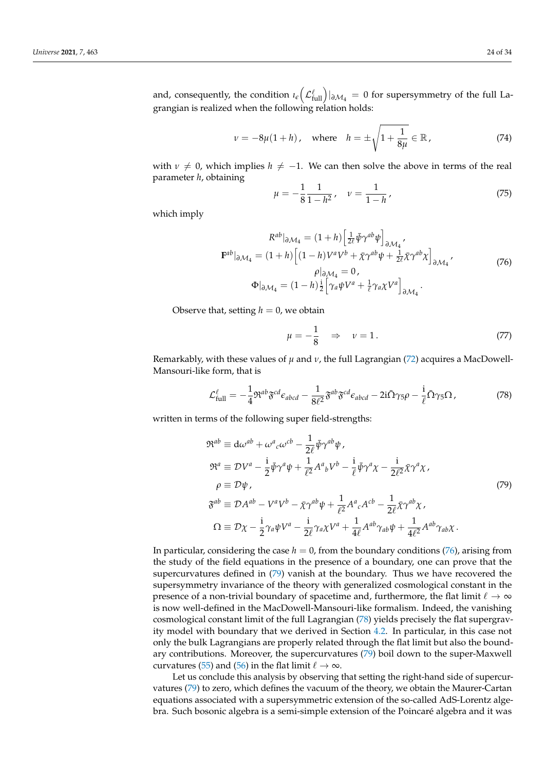and, consequently, the condition  $\iota_{\epsilon}(\mathcal{L}^{\ell}_{\text{full}})|_{\partial \mathcal{M}_4} = 0$  for supersymmetry of the full Lagrangian is realized when the following relation holds:

$$
v = -8\mu(1 + h)
$$
, where  $h = \pm \sqrt{1 + \frac{1}{8\mu}} \in \mathbb{R}$ , (74)

with  $\nu \neq 0$ , which implies  $h \neq -1$ . We can then solve the above in terms of the real parameter *h*, obtaining

$$
\mu = -\frac{1}{8} \frac{1}{1 - h^2}, \quad \nu = \frac{1}{1 - h}, \tag{75}
$$

which imply

$$
R^{ab}|_{\partial \mathcal{M}_4} = (1+h) \left[ \frac{1}{2\ell} \bar{\psi} \gamma^{ab} \psi \right]_{\partial \mathcal{M}_4},
$$
  
\n
$$
\mathbf{F}^{ab}|_{\partial \mathcal{M}_4} = (1+h) \left[ (1-h) V^a V^b + \bar{\chi} \gamma^{ab} \psi + \frac{1}{2\ell} \bar{\chi} \gamma^{ab} \chi \right]_{\partial \mathcal{M}_4},
$$
  
\n
$$
\rho|_{\partial \mathcal{M}_4} = 0,
$$
  
\n
$$
\Phi|_{\partial \mathcal{M}_4} = (1-h) \frac{1}{2} \left[ \gamma_a \psi V^a + \frac{1}{\ell} \gamma_a \chi V^a \right]_{\partial \mathcal{M}_4}.
$$
\n(76)

Observe that, setting  $h = 0$ , we obtain

$$
\mu = -\frac{1}{8} \quad \Rightarrow \quad \nu = 1. \tag{77}
$$

Remarkably, with these values of  $\mu$  and  $\nu$ , the full Lagrangian (72) acquires a MacDowell-Mansouri-like form, that is

$$
\mathcal{L}_{\text{full}}^{\ell} = -\frac{1}{4} \mathfrak{R}^{ab} \mathfrak{F}^{cd} \epsilon_{abcd} - \frac{1}{8\ell^2} \mathfrak{F}^{ab} \mathfrak{F}^{cd} \epsilon_{abcd} - 2\mathrm{i} \bar{\Omega} \gamma_5 \rho - \frac{\mathrm{i}}{\ell} \bar{\Omega} \gamma_5 \Omega \,, \tag{78}
$$

written in terms of the following super field-strengths:

$$
\mathfrak{R}^{ab} \equiv \mathrm{d}\omega^{ab} + \omega^{a}{}_{c}\omega^{cb} - \frac{1}{2\ell}\bar{\psi}\gamma^{ab}\psi,
$$
\n
$$
\mathfrak{R}^{a} \equiv \mathcal{D}V^{a} - \frac{\mathrm{i}}{2}\bar{\psi}\gamma^{a}\psi + \frac{1}{\ell^{2}}A^{a}{}_{b}V^{b} - \frac{\mathrm{i}}{\ell}\bar{\psi}\gamma^{a}\chi - \frac{\mathrm{i}}{2\ell^{2}}\bar{\chi}\gamma^{a}\chi,
$$
\n
$$
\rho \equiv \mathcal{D}\psi,
$$
\n
$$
\mathfrak{F}^{ab} \equiv \mathcal{D}A^{ab} - V^{a}V^{b} - \bar{\chi}\gamma^{ab}\psi + \frac{1}{\ell^{2}}A^{a}{}_{c}A^{cb} - \frac{1}{2\ell}\bar{\chi}\gamma^{ab}\chi,
$$
\n
$$
\Omega \equiv \mathcal{D}\chi - \frac{\mathrm{i}}{2}\gamma_{a}\psi V^{a} - \frac{\mathrm{i}}{2\ell}\gamma_{a}\chi V^{a} + \frac{1}{4\ell}A^{ab}\gamma_{ab}\psi + \frac{1}{4\ell^{2}}A^{ab}\gamma_{ab}\chi.
$$
\n(79)

In particular, considering the case  $h = 0$ , from the boundary conditions (76), arising from the study of the field equations in the presence of a boundary, one can prove that the supercurvatures defined in (79) vanish at the boundary. Thus we have recovered the supersymmetry invariance of the theory with generalized cosmological constant in the presence of a non-trivial boundary of spacetime and, furthermore, the flat limit  $\ell \to \infty$ is now well-defined in the MacDowell-Mansouri-like formalism. Indeed, the vanishing cosmological constant limit of the full Lagrangian (78) yields precisely the flat supergravity model with boundary that we derived in Section 4.2. In particular, in this case not only the bulk Lagrangians are properly related through the flat limit but also the boundary contributions. Moreover, the supercurvatures (79) boil down to the super-Maxwell curvatures (55) and (56) in the flat limit  $\ell \to \infty$ .

Let us conclude this analysis by observing that setting the right-hand side of supercurvatures (79) to zero, which defines the vacuum of the theory, we obtain the Maurer-Cartan equations associated with a supersymmetric extension of the so-called AdS-Lorentz algebra. Such bosonic algebra is a semi-simple extension of the Poincaré algebra and it was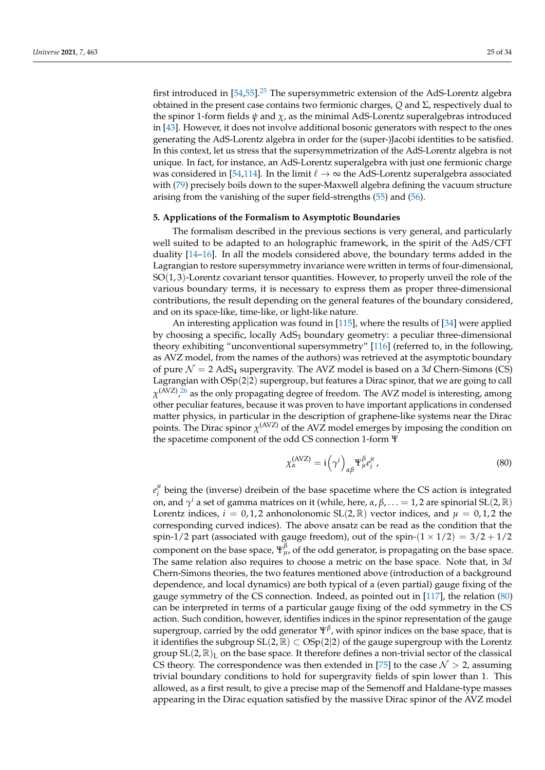first introduced in  $[54,55]$ .<sup>25</sup> The supersymmetric extension of the AdS-Lorentz algebra obtained in the present case contains two fermionic charges, *Q* and Σ, respectively dual to the spinor 1-form fields  $\psi$  and  $\chi$ , as the minimal AdS-Lorentz superalgebras introduced in [43]. However, it does not involve additional bosonic generators with respect to the ones generating the AdS-Lorentz algebra in order for the (super-)Jacobi identities to be satisfied. In this context, let us stress that the supersymmetrization of the AdS-Lorentz algebra is not unique. In fact, for instance, an AdS-Lorentz superalgebra with just one fermionic charge was considered in [54,114]. In the limit  $\ell \to \infty$  the AdS-Lorentz superalgebra associated with (79) precisely boils down to the super-Maxwell algebra defining the vacuum structure arising from the vanishing of the super field-strengths (55) and (56).

#### **5. Applications of the Formalism to Asymptotic Boundaries**

The formalism described in the previous sections is very general, and particularly well suited to be adapted to an holographic framework, in the spirit of the AdS/CFT duality [14–16]. In all the models considered above, the boundary terms added in the Lagrangian to restore supersymmetry invariance were written in terms of four-dimensional, SO(1, 3)-Lorentz covariant tensor quantities. However, to properly unveil the role of the various boundary terms, it is necessary to express them as proper three-dimensional contributions, the result depending on the general features of the boundary considered, and on its space-like, time-like, or light-like nature.

An interesting application was found in [115], where the results of [34] were applied by choosing a specific, locally AdS<sub>3</sub> boundary geometry: a peculiar three-dimensional theory exhibiting "unconventional supersymmetry" [116] (referred to, in the following, as AVZ model, from the names of the authors) was retrieved at the asymptotic boundary of pure  $\mathcal{N} = 2$  AdS<sub>4</sub> supergravity. The AVZ model is based on a 3*d* Chern-Simons (CS) Lagrangian with  $OSp(2|2)$  supergroup, but features a Dirac spinor, that we are going to call  $\chi^{(\rm{AVZ})}$ , $^{26}$  as the only propagating degree of freedom. The AVZ model is interesting, among other peculiar features, because it was proven to have important applications in condensed matter physics, in particular in the description of graphene-like systems near the Dirac points. The Dirac spinor  $\chi^{\text{(AVZ)}}$  of the AVZ model emerges by imposing the condition on the spacetime component of the odd CS connection 1-form Ψ

$$
\chi_{\alpha}^{(\text{AVZ})} = \mathrm{i} \left( \gamma^i \right)_{\alpha\beta} \Psi_{\mu}^{\beta} e_i^{\mu}, \tag{80}
$$

 $e_i^{\mu}$  $i<sub>i</sub><sup>μ</sup>$  being the (inverse) dreibein of the base spacetime where the CS action is integrated on, and  $\gamma^i$  a set of gamma matrices on it (while, here, α, β, . . . = 1, 2 are spinorial SL(2,  $\mathbb R$ ) Lorentz indices,  $i = 0, 1, 2$  anhonolonomic SL(2, R) vector indices, and  $\mu = 0, 1, 2$  the corresponding curved indices). The above ansatz can be read as the condition that the spin-1/2 part (associated with gauge freedom), out of the spin- $(1 \times 1/2) = 3/2 + 1/2$ component on the base space,  $\Psi_{\mu}^{\beta}$ , of the odd generator, is propagating on the base space. The same relation also requires to choose a metric on the base space. Note that, in 3*d* Chern-Simons theories, the two features mentioned above (introduction of a background dependence, and local dynamics) are both typical of a (even partial) gauge fixing of the gauge symmetry of the CS connection. Indeed, as pointed out in [117], the relation (80) can be interpreted in terms of a particular gauge fixing of the odd symmetry in the CS action. Such condition, however, identifies indices in the spinor representation of the gauge supergroup, carried by the odd generator Ψ*<sup>β</sup>* , with spinor indices on the base space, that is it identifies the subgroup SL(2, ℝ) ⊂ OSp(2|2) of the gauge supergroup with the Lorentz group  $SL(2,\mathbb{R})_L$  on the base space. It therefore defines a non-trivial sector of the classical CS theory. The correspondence was then extended in [75] to the case  $\mathcal{N} > 2$ , assuming trivial boundary conditions to hold for supergravity fields of spin lower than 1. This allowed, as a first result, to give a precise map of the Semenoff and Haldane-type masses appearing in the Dirac equation satisfied by the massive Dirac spinor of the AVZ model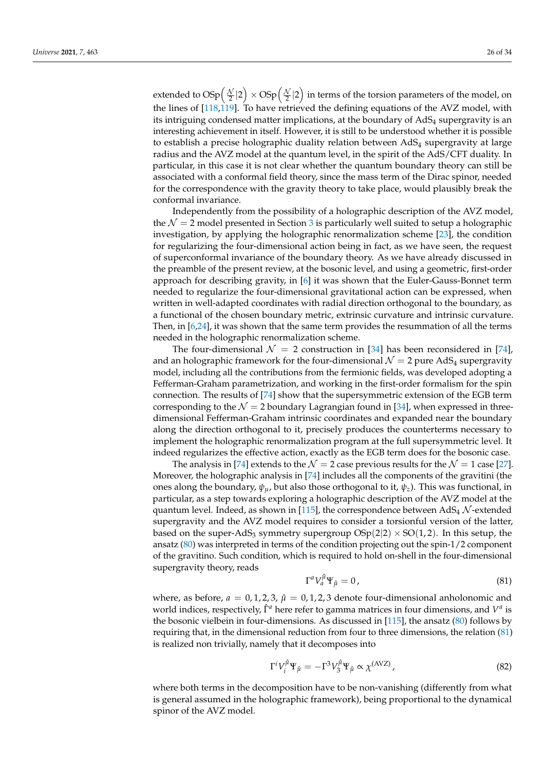extended to  $\text{OSp}\Big(\frac{\mathcal{N}}{2}|2\Big)\times \text{OSp}\Big(\frac{\mathcal{N}}{2}|2\Big)$  in terms of the torsion parameters of the model, on the lines of [118,119]. To have retrieved the defining equations of the AVZ model, with its intriguing condensed matter implications, at the boundary of  $AdS<sub>4</sub>$  supergravity is an interesting achievement in itself. However, it is still to be understood whether it is possible to establish a precise holographic duality relation between  $AdS<sub>4</sub>$  supergravity at large radius and the AVZ model at the quantum level, in the spirit of the AdS/CFT duality. In particular, in this case it is not clear whether the quantum boundary theory can still be associated with a conformal field theory, since the mass term of the Dirac spinor, needed for the correspondence with the gravity theory to take place, would plausibly break the conformal invariance.

Independently from the possibility of a holographic description of the AVZ model, the  $\mathcal{N} = 2$  model presented in Section 3 is particularly well suited to setup a holographic investigation, by applying the holographic renormalization scheme [23], the condition for regularizing the four-dimensional action being in fact, as we have seen, the request of superconformal invariance of the boundary theory. As we have already discussed in the preamble of the present review, at the bosonic level, and using a geometric, first-order approach for describing gravity, in [6] it was shown that the Euler-Gauss-Bonnet term needed to regularize the four-dimensional gravitational action can be expressed, when written in well-adapted coordinates with radial direction orthogonal to the boundary, as a functional of the chosen boundary metric, extrinsic curvature and intrinsic curvature. Then, in [6,24], it was shown that the same term provides the resummation of all the terms needed in the holographic renormalization scheme.

The four-dimensional  $\mathcal{N} = 2$  construction in [34] has been reconsidered in [74], and an holographic framework for the four-dimensional  $\mathcal{N} = 2$  pure AdS<sub>4</sub> supergravity model, including all the contributions from the fermionic fields, was developed adopting a Fefferman-Graham parametrization, and working in the first-order formalism for the spin connection. The results of [74] show that the supersymmetric extension of the EGB term corresponding to the  $\mathcal{N} = 2$  boundary Lagrangian found in [34], when expressed in threedimensional Fefferman-Graham intrinsic coordinates and expanded near the boundary along the direction orthogonal to it, precisely produces the counterterms necessary to implement the holographic renormalization program at the full supersymmetric level. It indeed regularizes the effective action, exactly as the EGB term does for the bosonic case.

The analysis in [74] extends to the  $\mathcal{N} = 2$  case previous results for the  $\mathcal{N} = 1$  case [27]. Moreover, the holographic analysis in [74] includes all the components of the gravitini (the ones along the boundary,  $\psi_u$ , but also those orthogonal to it,  $\psi_z$ ). This was functional, in particular, as a step towards exploring a holographic description of the AVZ model at the quantum level. Indeed, as shown in [115], the correspondence between  $AdS_4$  N-extended supergravity and the AVZ model requires to consider a torsionful version of the latter, based on the super-AdS<sub>3</sub> symmetry supergroup  $OSp(2|2) \times SO(1, 2)$ . In this setup, the ansatz (80) was interpreted in terms of the condition projecting out the spin-1/2 component of the gravitino. Such condition, which is required to hold on-shell in the four-dimensional supergravity theory, reads

$$
\Gamma^a V_a^{\hat{\mu}} \Psi_{\hat{\mu}} = 0 \,, \tag{81}
$$

where, as before,  $a = 0, 1, 2, 3, \hat{\mu} = 0, 1, 2, 3$  denote four-dimensional anholonomic and world indices, respectively,  $\hat{\Gamma}^a$  here refer to gamma matrices in four dimensions, and  $V^a$  is the bosonic vielbein in four-dimensions. As discussed in [115], the ansatz (80) follows by requiring that, in the dimensional reduction from four to three dimensions, the relation (81) is realized non trivially, namely that it decomposes into

$$
\Gamma^i V_i^{\hat{\mu}} \Psi_{\hat{\mu}} = -\Gamma^3 V_3^{\hat{\mu}} \Psi_{\hat{\mu}} \propto \chi^{(\text{AVZ})}, \tag{82}
$$

where both terms in the decomposition have to be non-vanishing (differently from what is general assumed in the holographic framework), being proportional to the dynamical spinor of the AVZ model.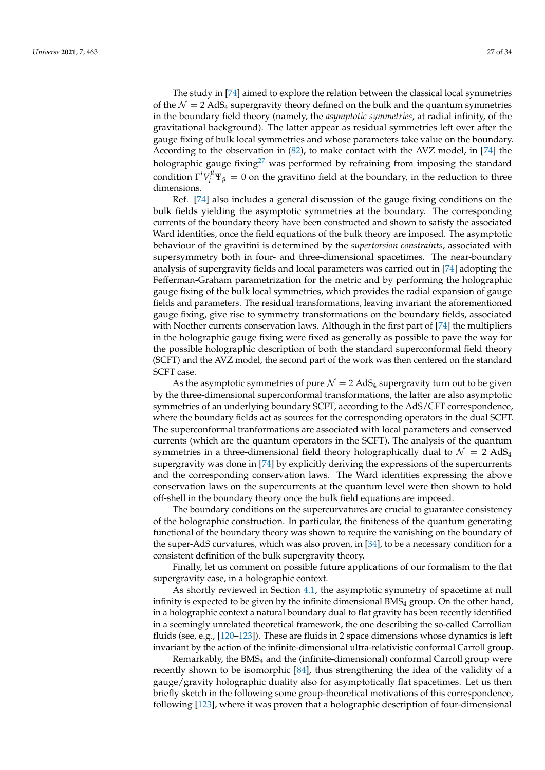The study in [74] aimed to explore the relation between the classical local symmetries of the  $\mathcal{N} = 2$  AdS<sub>4</sub> supergravity theory defined on the bulk and the quantum symmetries in the boundary field theory (namely, the *asymptotic symmetries*, at radial infinity, of the gravitational background). The latter appear as residual symmetries left over after the gauge fixing of bulk local symmetries and whose parameters take value on the boundary. According to the observation in (82), to make contact with the AVZ model, in [74] the holographic gauge fixing<sup>27</sup> was performed by refraining from imposing the standard condition  $\Gamma^i V_i^{\hat{\mu}} \Psi_{\hat{\mu}} = 0$  on the gravitino field at the boundary, in the reduction to three dimensions.

Ref. [74] also includes a general discussion of the gauge fixing conditions on the bulk fields yielding the asymptotic symmetries at the boundary. The corresponding currents of the boundary theory have been constructed and shown to satisfy the associated Ward identities, once the field equations of the bulk theory are imposed. The asymptotic behaviour of the gravitini is determined by the *supertorsion constraints*, associated with supersymmetry both in four- and three-dimensional spacetimes. The near-boundary analysis of supergravity fields and local parameters was carried out in [74] adopting the Fefferman-Graham parametrization for the metric and by performing the holographic gauge fixing of the bulk local symmetries, which provides the radial expansion of gauge fields and parameters. The residual transformations, leaving invariant the aforementioned gauge fixing, give rise to symmetry transformations on the boundary fields, associated with Noether currents conservation laws. Although in the first part of [74] the multipliers in the holographic gauge fixing were fixed as generally as possible to pave the way for the possible holographic description of both the standard superconformal field theory (SCFT) and the AVZ model, the second part of the work was then centered on the standard SCFT case.

As the asymptotic symmetries of pure  $\mathcal{N} = 2$  AdS<sub>4</sub> supergravity turn out to be given by the three-dimensional superconformal transformations, the latter are also asymptotic symmetries of an underlying boundary SCFT, according to the AdS/CFT correspondence, where the boundary fields act as sources for the corresponding operators in the dual SCFT. The superconformal tranformations are associated with local parameters and conserved currents (which are the quantum operators in the SCFT). The analysis of the quantum symmetries in a three-dimensional field theory holographically dual to  $\mathcal{N} = 2$  AdS<sub>4</sub> supergravity was done in [74] by explicitly deriving the expressions of the supercurrents and the corresponding conservation laws. The Ward identities expressing the above conservation laws on the supercurrents at the quantum level were then shown to hold off-shell in the boundary theory once the bulk field equations are imposed.

The boundary conditions on the supercurvatures are crucial to guarantee consistency of the holographic construction. In particular, the finiteness of the quantum generating functional of the boundary theory was shown to require the vanishing on the boundary of the super-AdS curvatures, which was also proven, in [34], to be a necessary condition for a consistent definition of the bulk supergravity theory.

Finally, let us comment on possible future applications of our formalism to the flat supergravity case, in a holographic context.

As shortly reviewed in Section 4.1, the asymptotic symmetry of spacetime at null infinity is expected to be given by the infinite dimensional  $BMS<sub>4</sub>$  group. On the other hand, in a holographic context a natural boundary dual to flat gravity has been recently identified in a seemingly unrelated theoretical framework, the one describing the so-called Carrollian fluids (see, e.g., [120–123]). These are fluids in 2 space dimensions whose dynamics is left invariant by the action of the infinite-dimensional ultra-relativistic conformal Carroll group.

Remarkably, the  $BMS<sub>4</sub>$  and the (infinite-dimensional) conformal Carroll group were recently shown to be isomorphic [84], thus strengthening the idea of the validity of a gauge/gravity holographic duality also for asymptotically flat spacetimes. Let us then briefly sketch in the following some group-theoretical motivations of this correspondence, following [123], where it was proven that a holographic description of four-dimensional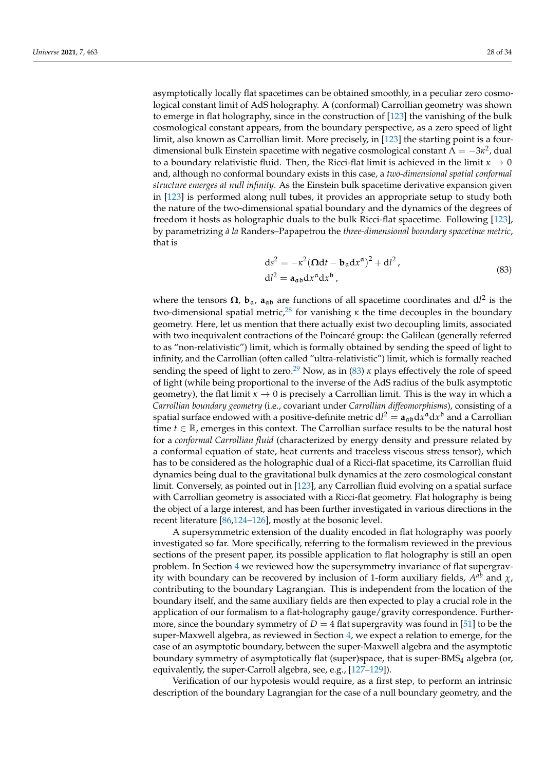asymptotically locally flat spacetimes can be obtained smoothly, in a peculiar zero cosmological constant limit of AdS holography. A (conformal) Carrollian geometry was shown to emerge in flat holography, since in the construction of [123] the vanishing of the bulk cosmological constant appears, from the boundary perspective, as a zero speed of light limit, also known as Carrollian limit. More precisely, in [123] the starting point is a fourdimensional bulk Einstein spacetime with negative cosmological constant  $\Lambda = -3\kappa^2$ , dual to a boundary relativistic fluid. Then, the Ricci-flat limit is achieved in the limit *κ* → 0 and, although no conformal boundary exists in this case, a *two-dimensional spatial conformal structure emerges at null infinity*. As the Einstein bulk spacetime derivative expansion given in [123] is performed along null tubes, it provides an appropriate setup to study both the nature of the two-dimensional spatial boundary and the dynamics of the degrees of freedom it hosts as holographic duals to the bulk Ricci-flat spacetime. Following [123], by parametrizing *à la* Randers–Papapetrou the *three-dimensional boundary spacetime metric*, that is

$$
ds2 = -\kappa2 (\Omega dt - \mathbf{b}_a dx^a)^2 + dl^2,
$$
  
\n
$$
dl2 = \mathbf{a}_{ab} dx^a dx^b,
$$
\n(83)

where the tensors  $\Omega$ ,  $\mathbf{b}_{\alpha}$ ,  $\mathbf{a}_{\alpha\beta}$  are functions of all spacetime coordinates and dl<sup>2</sup> is the two-dimensional spatial metric,<sup>28</sup> for vanishing  $\kappa$  the time decouples in the boundary geometry. Here, let us mention that there actually exist two decoupling limits, associated with two inequivalent contractions of the Poincaré group: the Galilean (generally referred to as "non-relativistic") limit, which is formally obtained by sending the speed of light to infinity, and the Carrollian (often called "ultra-relativistic") limit, which is formally reached sending the speed of light to zero.<sup>29</sup> Now, as in (83)  $\kappa$  plays effectively the role of speed of light (while being proportional to the inverse of the AdS radius of the bulk asymptotic geometry), the flat limit  $\kappa \to 0$  is precisely a Carrollian limit. This is the way in which a *Carrollian boundary geometry* (i.e., covariant under *Carrollian diffeomorphisms*), consisting of a spatial surface endowed with a positive-definite metric  $dl^2 = \bm{a}_{\mathfrak{a}\mathfrak{b}} \mathrm{d} x^\mathfrak{a} \mathrm{d} x^\mathfrak{b}$  and a Carrollian time  $t \in \mathbb{R}$ , emerges in this context. The Carrollian surface results to be the natural host for a *conformal Carrollian fluid* (characterized by energy density and pressure related by a conformal equation of state, heat currents and traceless viscous stress tensor), which has to be considered as the holographic dual of a Ricci-flat spacetime, its Carrollian fluid dynamics being dual to the gravitational bulk dynamics at the zero cosmological constant limit. Conversely, as pointed out in [123], any Carrollian fluid evolving on a spatial surface with Carrollian geometry is associated with a Ricci-flat geometry. Flat holography is being the object of a large interest, and has been further investigated in various directions in the recent literature [86,124–126], mostly at the bosonic level.

A supersymmetric extension of the duality encoded in flat holography was poorly investigated so far. More specifically, referring to the formalism reviewed in the previous sections of the present paper, its possible application to flat holography is still an open problem. In Section 4 we reviewed how the supersymmetry invariance of flat supergravity with boundary can be recovered by inclusion of 1-form auxiliary fields,  $A^{ab}$  and  $\chi$ , contributing to the boundary Lagrangian. This is independent from the location of the boundary itself, and the same auxiliary fields are then expected to play a crucial role in the application of our formalism to a flat-holography gauge/gravity correspondence. Furthermore, since the boundary symmetry of  $D = 4$  flat supergravity was found in [51] to be the super-Maxwell algebra, as reviewed in Section 4, we expect a relation to emerge, for the case of an asymptotic boundary, between the super-Maxwell algebra and the asymptotic boundary symmetry of asymptotically flat (super)space, that is super-BMS<sup>4</sup> algebra (or, equivalently, the super-Carroll algebra, see, e.g., [127–129]).

Verification of our hypotesis would require, as a first step, to perform an intrinsic description of the boundary Lagrangian for the case of a null boundary geometry, and the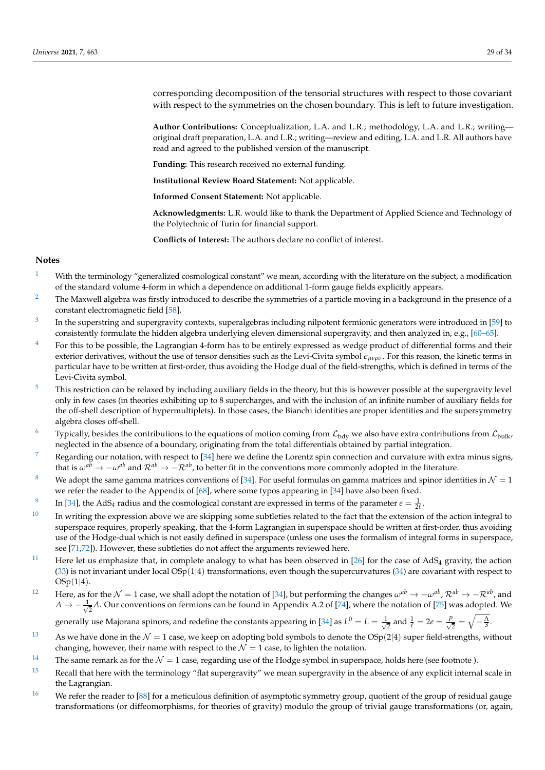corresponding decomposition of the tensorial structures with respect to those covariant with respect to the symmetries on the chosen boundary. This is left to future investigation.

**Author Contributions:** Conceptualization, L.A. and L.R.; methodology, L.A. and L.R.; writing original draft preparation, L.A. and L.R.; writing—review and editing, L.A. and L.R. All authors have read and agreed to the published version of the manuscript.

**Funding:** This research received no external funding.

**Institutional Review Board Statement:** Not applicable.

**Informed Consent Statement:** Not applicable.

**Acknowledgments:** L.R. would like to thank the Department of Applied Science and Technology of the Polytechnic of Turin for financial support.

**Conflicts of Interest:** The authors declare no conflict of interest.

### **Notes**

- <sup>1</sup> With the terminology "generalized cosmological constant" we mean, according with the literature on the subject, a modification of the standard volume 4-form in which a dependence on additional 1-form gauge fields explicitly appears.
- <sup>2</sup> The Maxwell algebra was firstly introduced to describe the symmetries of a particle moving in a background in the presence of a constant electromagnetic field [58].
- 3 In the superstring and supergravity contexts, superalgebras including nilpotent fermionic generators were introduced in [59] to consistently formulate the hidden algebra underlying eleven dimensional supergravity, and then analyzed in, e.g., [60–65].
- $4$  For this to be possible, the Lagrangian 4-form has to be entirely expressed as wedge product of differential forms and their exterior derivatives, without the use of tensor densities such as the Levi-Civita symbol *eµνρσ*. For this reason, the kinetic terms in particular have to be written at first-order, thus avoiding the Hodge dual of the field-strengths, which is defined in terms of the Levi-Civita symbol.
- $5$  This restriction can be relaxed by including auxiliary fields in the theory, but this is however possible at the supergravity level only in few cases (in theories exhibiting up to 8 supercharges, and with the inclusion of an infinite number of auxiliary fields for the off-shell description of hypermultiplets). In those cases, the Bianchi identities are proper identities and the supersymmetry algebra closes off-shell.
- <sup>6</sup> Typically, besides the contributions to the equations of motion coming from  $\mathcal{L}_{bdy}$  we also have extra contributions from  $\mathcal{L}_{bulk}$ , neglected in the absence of a boundary, originating from the total differentials obtained by partial integration.
- Regarding our notation, with respect to [34] here we define the Lorentz spin connection and curvature with extra minus signs, that is  $\omega^{a\bar{b}} \to -\omega^{a\bar{b}}$  and  $\mathcal{R}^{ab} \to -\mathcal{R}^{ab}$ , to better fit in the conventions more commonly adopted in the literature.
- <sup>8</sup> We adopt the same gamma matrices conventions of [34]. For useful formulas on gamma matrices and spinor identities in  $\mathcal{N} = 1$ we refer the reader to the Appendix of [68], where some typos appearing in [34] have also been fixed.
- 9 In [34], the AdS<sub>4</sub> radius and the cosmological constant are expressed in terms of the parameter  $e = \frac{1}{2l}$ .
- $10$  In writing the expression above we are skipping some subtleties related to the fact that the extension of the action integral to superspace requires, properly speaking, that the 4-form Lagrangian in superspace should be written at first-order, thus avoiding use of the Hodge-dual which is not easily defined in superspace (unless one uses the formalism of integral forms in superspace, see [71,72]). However, these subtleties do not affect the arguments reviewed here.
- <sup>11</sup> Here let us emphasize that, in complete analogy to what has been observed in [26] for the case of AdS<sub>4</sub> gravity, the action  $(33)$  is not invariant under local  $OSp(1|4)$  transformations, even though the supercurvatures  $(34)$  are covariant with respect to  $OSp(1|4)$ .
- 12 Here, as for the N = 1 case, we shall adopt the notation of [34], but performing the changes *ωab* → −*ωab* , R*ab* → −R*ab*, and  $A \rightarrow -\frac{1}{\sqrt{2}}$  $\frac{1}{2}A$ . Our conventions on fermions can be found in Appendix A.2 of [74], where the notation of [75] was adopted. We

generally use Majorana spinors, and redefine the constants appearing in [34] as  $L^0 = L = \frac{1}{4}$  $\frac{1}{2}$  and  $\frac{1}{\ell} = 2e = \frac{P}{\sqrt{2}}$  $\frac{p}{2} = \sqrt{-\frac{\Lambda}{3}}.$ 

- <sup>13</sup> As we have done in the  $\mathcal{N} = 1$  case, we keep on adopting bold symbols to denote the OSp(2|4) super field-strengths, without changing, however, their name with respect to the  $\mathcal{N} = 1$  case, to lighten the notation.
- <sup>14</sup> The same remark as for the  $\mathcal{N} = 1$  case, regarding use of the Hodge symbol in superspace, holds here (see footnote).
- $15$  Recall that here with the terminology "flat supergravity" we mean supergravity in the absence of any explicit internal scale in the Lagrangian.
- <sup>16</sup> We refer the reader to [88] for a meticulous definition of asymptotic symmetry group, quotient of the group of residual gauge transformations (or diffeomorphisms, for theories of gravity) modulo the group of trivial gauge transformations (or, again,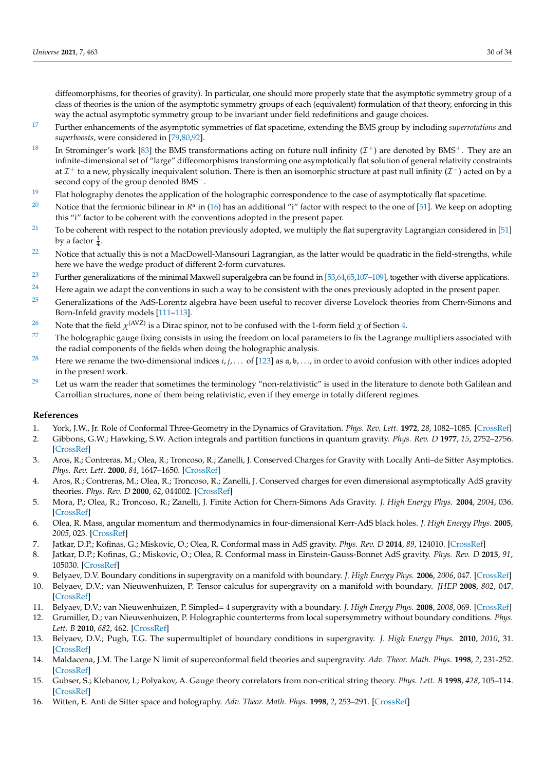diffeomorphisms, for theories of gravity). In particular, one should more properly state that the asymptotic symmetry group of a class of theories is the union of the asymptotic symmetry groups of each (equivalent) formulation of that theory, enforcing in this way the actual asymptotic symmetry group to be invariant under field redefinitions and gauge choices.

- 17 Further enhancements of the asymptotic symmetries of flat spacetime, extending the BMS group by including *superrotations* and *superboosts*, were considered in [79,80,92].
- <sup>18</sup> In Strominger's work [83] the BMS transformations acting on future null infinity  $(\mathcal{I}^+)$  are denoted by BMS<sup>+</sup>. They are an infinite-dimensional set of "large" diffeomorphisms transforming one asymptotically flat solution of general relativity constraints at  $\mathcal{I}^+$  to a new, physically inequivalent solution. There is then an isomorphic structure at past null infinity ( $\mathcal{I}^-$ ) acted on by a second copy of the group denoted BMS<sup>−</sup>.
- <sup>19</sup> Flat holography denotes the application of the holographic correspondence to the case of asymptotically flat spacetime.
- <sup>20</sup> Notice that the fermionic bilinear in  $R^a$  in (16) has an additional "i" factor with respect to the one of [51]. We keep on adopting this "i" factor to be coherent with the conventions adopted in the present paper.
- <sup>21</sup> To be coherent with respect to the notation previously adopted, we multiply the flat supergravity Lagrangian considered in [51] by a factor  $\frac{1}{4}$ .
- <sup>22</sup> Notice that actually this is not a MacDowell-Mansouri Lagrangian, as the latter would be quadratic in the field-strengths, while here we have the wedge product of different 2-form curvatures.
- <sup>23</sup> Further generalizations of the minimal Maxwell superalgebra can be found in  $[53,64,65,107-109]$ , together with diverse applications.
- <sup>24</sup> Here again we adapt the conventions in such a way to be consistent with the ones previously adopted in the present paper.
- <sup>25</sup> Generalizations of the AdS-Lorentz algebra have been useful to recover diverse Lovelock theories from Chern-Simons and Born-Infeld gravity models [111–113].
- $^{26}$  Note that the field  $\chi$ <sup>(AVZ)</sup> is a Dirac spinor, not to be confused with the 1-form field  $\chi$  of Section 4.
- <sup>27</sup> The holographic gauge fixing consists in using the freedom on local parameters to fix the Lagrange multipliers associated with the radial components of the fields when doing the holographic analysis.
- <sup>28</sup> Here we rename the two-dimensional indices  $i, j, \ldots$  of [123] as  $\alpha, \beta, \ldots, j$  in order to avoid confusion with other indices adopted in the present work.
- $29$  Let us warn the reader that sometimes the terminology "non-relativistic" is used in the literature to denote both Galilean and Carrollian structures, none of them being relativistic, even if they emerge in totally different regimes.

#### **References**

- 1. York, J.W., Jr. Role of Conformal Three-Geometry in the Dynamics of Gravitation. *Phys. Rev. Lett.* **1972**, *28*, 1082–1085. [\[CrossRef\]](http://doi.org/10.1103/PhysRevLett.28.1082)
- 2. Gibbons, G.W.; Hawking, S.W. Action integrals and partition functions in quantum gravity. *Phys. Rev. D* **1977**, *15*, 2752–2756. [\[CrossRef\]](http://dx.doi.org/10.1103/PhysRevD.15.2752)
- 3. Aros, R.; Contreras, M.; Olea, R.; Troncoso, R.; Zanelli, J. Conserved Charges for Gravity with Locally Anti–de Sitter Asymptotics. *Phys. Rev. Lett.* **2000**, *84*, 1647–1650. [\[CrossRef\]](http://dx.doi.org/10.1103/PhysRevLett.84.1647)
- 4. Aros, R.; Contreras, M.; Olea, R.; Troncoso, R.; Zanelli, J. Conserved charges for even dimensional asymptotically AdS gravity theories. *Phys. Rev. D* **2000**, *62*, 044002. [\[CrossRef\]](http://dx.doi.org/10.1103/PhysRevD.62.044002)
- 5. Mora, P.; Olea, R.; Troncoso, R.; Zanelli, J. Finite Action for Chern-Simons Ads Gravity. *J. High Energy Phys.* **2004**, *2004*, 036. [\[CrossRef\]](http://dx.doi.org/10.1088/1126-6708/2004/06/036)
- 6. Olea, R. Mass, angular momentum and thermodynamics in four-dimensional Kerr-AdS black holes. *J. High Energy Phys.* **2005**, *2005*, 023. [\[CrossRef\]](http://dx.doi.org/10.1088/1126-6708/2005/06/023)
- 7. Jatkar, D.P.; Kofinas, G.; Miskovic, O.; Olea, R. Conformal mass in AdS gravity. *Phys. Rev. D* **2014**, *89*, 124010. [\[CrossRef\]](http://dx.doi.org/10.1103/PhysRevD.89.124010)
- 8. Jatkar, D.P.; Kofinas, G.; Miskovic, O.; Olea, R. Conformal mass in Einstein-Gauss-Bonnet AdS gravity. *Phys. Rev. D* **2015**, *91*, 105030. [\[CrossRef\]](http://dx.doi.org/10.1103/PhysRevD.91.105030)
- 9. Belyaev, D.V. Boundary conditions in supergravity on a manifold with boundary. *J. High Energy Phys.* **2006**, *2006*, 047. [\[CrossRef\]](http://dx.doi.org/10.1088/1126-6708/2006/01/047)
- 10. Belyaev, D.V.; van Nieuwenhuizen, P. Tensor calculus for supergravity on a manifold with boundary. *JHEP* **2008**, *802*, 047. [\[CrossRef\]](http://dx.doi.org/10.1088/1126-6708/2008/02/047)
- 11. Belyaev, D.V.; van Nieuwenhuizen, P. Simpled= 4 supergravity with a boundary. *J. High Energy Phys.* **2008**, *2008*, 069. [\[CrossRef\]](http://dx.doi.org/10.1088/1126-6708/2008/09/069)
- 12. Grumiller, D.; van Nieuwenhuizen, P. Holographic counterterms from local supersymmetry without boundary conditions. *Phys. Lett. B* **2010**, *682*, 462. [\[CrossRef\]](http://dx.doi.org/10.1016/j.physletb.2009.11.022)
- 13. Belyaev, D.V.; Pugh, T.G. The supermultiplet of boundary conditions in supergravity. *J. High Energy Phys.* **2010**, *2010*, 31. [\[CrossRef\]](http://dx.doi.org/10.1007/JHEP10(2010)031)
- 14. Maldacena, J.M. The Large N limit of superconformal field theories and supergravity. *Adv. Theor. Math. Phys.* **1998**, *2*, 231-252. [\[CrossRef\]](http://dx.doi.org/10.4310/ATMP.1998.v2.n2.a1)
- 15. Gubser, S.; Klebanov, I.; Polyakov, A. Gauge theory correlators from non-critical string theory. *Phys. Lett. B* **1998**, *428*, 105–114. [\[CrossRef\]](http://dx.doi.org/10.1016/S0370-2693(98)00377-3)
- 16. Witten, E. Anti de Sitter space and holography. *Adv. Theor. Math. Phys.* **1998**, *2*, 253–291. [\[CrossRef\]](http://dx.doi.org/10.4310/ATMP.1998.v2.n2.a2)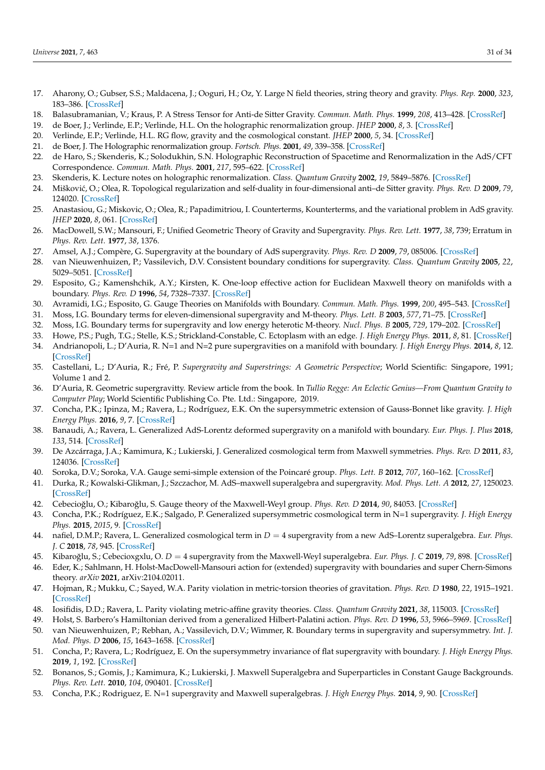- 17. Aharony, O.; Gubser, S.S.; Maldacena, J.; Ooguri, H.; Oz, Y. Large N field theories, string theory and gravity. *Phys. Rep.* **2000**, *323*, 183–386. [\[CrossRef\]](http://dx.doi.org/10.1016/S0370-1573(99)00083-6)
- 18. Balasubramanian, V.; Kraus, P. A Stress Tensor for Anti-de Sitter Gravity. *Commun. Math. Phys.* **1999**, *208*, 413–428. [\[CrossRef\]](http://dx.doi.org/10.1007/s002200050764)
- 19. de Boer, J.; Verlinde, E.P.; Verlinde, H.L. On the holographic renormalization group. *JHEP* **2000**, *8*, 3. [\[CrossRef\]](http://dx.doi.org/10.1088/1126-6708/2000/08/003)
- 20. Verlinde, E.P.; Verlinde, H.L. RG flow, gravity and the cosmological constant. *JHEP* **2000**, *5*, 34. [\[CrossRef\]](http://dx.doi.org/10.1088/1126-6708/2000/05/034)
- 21. de Boer, J. The Holographic renormalization group. *Fortsch. Phys.* **2001**, *49*, 339–358. [\[CrossRef\]](http://dx.doi.org/10.1002/1521-3978(200105)49:4/6<339::AID-PROP339>3.0.CO;2-A)
- 22. de Haro, S.; Skenderis, K.; Solodukhin, S.N. Holographic Reconstruction of Spacetime and Renormalization in the AdS/CFT Correspondence. *Commun. Math. Phys.* **2001**, *217*, 595–622. [\[CrossRef\]](http://dx.doi.org/10.1007/s002200100381)
- 23. Skenderis, K. Lecture notes on holographic renormalization. *Class. Quantum Gravity* **2002**, *19*, 5849–5876. [\[CrossRef\]](http://dx.doi.org/10.1088/0264-9381/19/22/306)
- 24. Miškovi´c, O.; Olea, R. Topological regularization and self-duality in four-dimensional anti–de Sitter gravity. *Phys. Rev. D* **2009**, *79*, 124020. [\[CrossRef\]](http://dx.doi.org/10.1103/PhysRevD.79.124020)
- 25. Anastasiou, G.; Miskovic, O.; Olea, R.; Papadimitriou, I. Counterterms, Kounterterms, and the variational problem in AdS gravity. *JHEP* **2020**, *8*, 061. [\[CrossRef\]](http://dx.doi.org/10.1007/JHEP08(2020)061)
- 26. MacDowell, S.W.; Mansouri, F.; Unified Geometric Theory of Gravity and Supergravity. *Phys. Rev. Lett.* **1977**, *38*, 739; Erratum in *Phys. Rev. Lett.* **1977**, *38*, 1376.
- 27. Amsel, A.J.; Compère, G. Supergravity at the boundary of AdS supergravity. *Phys. Rev. D* **2009**, *79*, 085006. [\[CrossRef\]](http://dx.doi.org/10.1103/PhysRevD.79.085006)
- 28. van Nieuwenhuizen, P.; Vassilevich, D.V. Consistent boundary conditions for supergravity. *Class. Quantum Gravity* **2005**, *22*, 5029–5051. [\[CrossRef\]](http://dx.doi.org/10.1088/0264-9381/22/23/008)
- 29. Esposito, G.; Kamenshchik, A.Y.; Kirsten, K. One-loop effective action for Euclidean Maxwell theory on manifolds with a boundary. *Phys. Rev. D* **1996**, *54*, 7328–7337. [\[CrossRef\]](http://dx.doi.org/10.1103/PhysRevD.54.7328)
- 30. Avramidi, I.G.; Esposito, G. Gauge Theories on Manifolds with Boundary. *Commun. Math. Phys.* **1999**, *200*, 495–543. [\[CrossRef\]](http://dx.doi.org/10.1007/s002200050539)
- 31. Moss, I.G. Boundary terms for eleven-dimensional supergravity and M-theory. *Phys. Lett. B* **2003**, *577*, 71–75. [\[CrossRef\]](http://dx.doi.org/10.1016/j.physletb.2003.10.027)
- 32. Moss, I.G. Boundary terms for supergravity and low energy heterotic M-theory. *Nucl. Phys. B* **2005**, *729*, 179–202. [\[CrossRef\]](http://dx.doi.org/10.1016/j.nuclphysb.2005.09.023)
- 33. Howe, P.S.; Pugh, T.G.; Stelle, K.S.; Strickland-Constable, C. Ectoplasm with an edge. *J. High Energy Phys.* **2011**, *8*, 81. [\[CrossRef\]](http://dx.doi.org/10.1007/JHEP08(2011)081) 34. Andrianopoli, L.; D'Auria, R. N=1 and N=2 pure supergravities on a manifold with boundary. *J. High Energy Phys.* **2014**, *8*, 12.
- [\[CrossRef\]](http://dx.doi.org/10.1007/JHEP08(2014)012)
- 35. Castellani, L.; D'Auria, R.; Fré, P. *Supergravity and Superstrings: A Geometric Perspective*; World Scientific: Singapore, 1991; Volume 1 and 2.
- 36. D'Auria, R. Geometric supergravitty. Review article from the book. In *Tullio Regge: An Eclectic Genius—From Quantum Gravity to Computer Play*; World Scientific Publishing Co. Pte. Ltd.: Singapore, 2019.
- 37. Concha, P.K.; Ipinza, M.; Ravera, L.; Rodríguez, E.K. On the supersymmetric extension of Gauss-Bonnet like gravity. *J. High Energy Phys.* **2016**, *9*, 7. [\[CrossRef\]](http://dx.doi.org/10.1007/JHEP09(2016)007)
- 38. Banaudi, A.; Ravera, L. Generalized AdS-Lorentz deformed supergravity on a manifold with boundary. *Eur. Phys. J. Plus* **2018**, *133*, 514. [\[CrossRef\]](http://dx.doi.org/10.1140/epjp/i2018-12335-0)
- 39. De Azcárraga, J.A.; Kamimura, K.; Lukierski, J. Generalized cosmological term from Maxwell symmetries. *Phys. Rev. D* **2011**, *83*, 124036. [\[CrossRef\]](http://dx.doi.org/10.1103/PhysRevD.83.124036)
- 40. Soroka, D.V.; Soroka, V.A. Gauge semi-simple extension of the Poincaré group. *Phys. Lett. B* **2012**, *707*, 160–162. [\[CrossRef\]](http://dx.doi.org/10.1016/j.physletb.2011.07.003)
- 41. Durka, R.; Kowalski-Glikman, J.; Szczachor, M. AdS–maxwell superalgebra and supergravity. *Mod. Phys. Lett. A* **2012**, *27*, 1250023. [\[CrossRef\]](http://dx.doi.org/10.1142/S021773231250023X)
- 42. Cebecioğlu, O.; Kibaroğlu, S. Gauge theory of the Maxwell-Weyl group. *Phys. Rev. D* 2014, 90, 84053. [\[CrossRef\]](http://dx.doi.org/10.1103/PhysRevD.90.084053)
- 43. Concha, P.K.; Rodríguez, E.K.; Salgado, P. Generalized supersymmetric cosmological term in N=1 supergravity. *J. High Energy Phys.* **2015**, *2015*, 9. [\[CrossRef\]](http://dx.doi.org/10.1007/JHEP08(2015)009)
- 44. nafiel, D.M.P.; Ravera, L. Generalized cosmological term in *D* = 4 supergravity from a new AdS–Lorentz superalgebra. *Eur. Phys. J. C* **2018**, *78*, 945. [\[CrossRef\]](http://dx.doi.org/10.1140/epjc/s10052-018-6421-9)
- 45. Kibaro ˘glu, S.; Cebecioxgxlu, O. *D* = 4 supergravity from the Maxwell-Weyl superalgebra. *Eur. Phys. J. C* **2019**, *79*, 898. [\[CrossRef\]](http://dx.doi.org/10.1140/epjc/s10052-019-7421-0)
- 46. Eder, K.; Sahlmann, H. Holst-MacDowell-Mansouri action for (extended) supergravity with boundaries and super Chern-Simons theory. *arXiv* **2021**, arXiv:2104.02011.
- 47. Hojman, R.; Mukku, C.; Sayed, W.A. Parity violation in metric-torsion theories of gravitation. *Phys. Rev. D* **1980**, *22*, 1915–1921. [\[CrossRef\]](http://dx.doi.org/10.1103/PhysRevD.22.1915)
- 48. Iosifidis, D.D.; Ravera, L. Parity violating metric-affine gravity theories. *Class. Quantum Gravity* **2021**, *38*, 115003. [\[CrossRef\]](http://dx.doi.org/10.1088/1361-6382/abde1a)
- 49. Holst, S. Barbero's Hamiltonian derived from a generalized Hilbert-Palatini action. *Phys. Rev. D* **1996**, *53*, 5966–5969. [\[CrossRef\]](http://dx.doi.org/10.1103/PhysRevD.53.5966) 50. van Nieuwenhuizen, P.; Rebhan, A.; Vassilevich, D.V.; Wimmer, R. Boundary terms in supergravity and supersymmetry. *Int. J. Mod. Phys. D* **2006**, *15*, 1643–1658. [\[CrossRef\]](http://dx.doi.org/10.1142/S0218271806009017)
- 51. Concha, P.; Ravera, L.; Rodríguez, E. On the supersymmetry invariance of flat supergravity with boundary. *J. High Energy Phys.* **2019**, *1*, 192. [\[CrossRef\]](http://dx.doi.org/10.1007/JHEP01(2019)192)
- 52. Bonanos, S.; Gomis, J.; Kamimura, K.; Lukierski, J. Maxwell Superalgebra and Superparticles in Constant Gauge Backgrounds. *Phys. Rev. Lett.* **2010**, *104*, 090401. [\[CrossRef\]](http://dx.doi.org/10.1103/PhysRevLett.104.090401)
- 53. Concha, P.K.; Rodriguez, E. N=1 supergravity and Maxwell superalgebras. *J. High Energy Phys.* **2014**, *9*, 90. [\[CrossRef\]](http://dx.doi.org/10.1007/JHEP09(2014)090)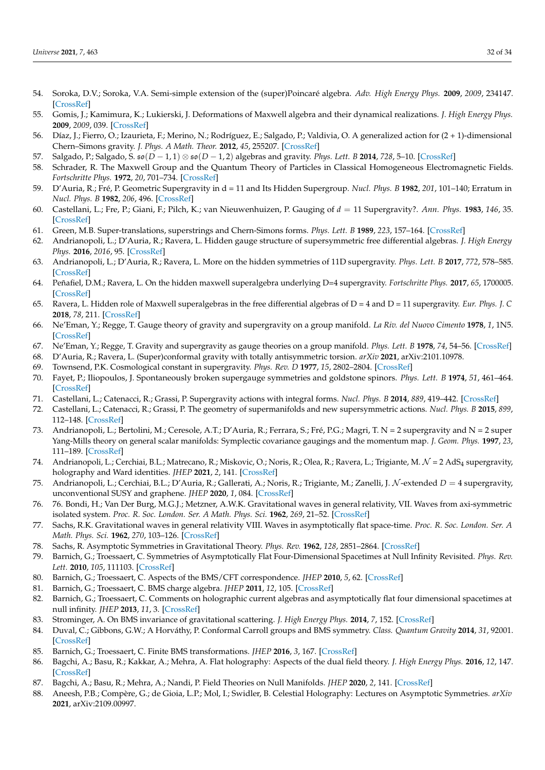- 54. Soroka, D.V.; Soroka, V.A. Semi-simple extension of the (super)Poincaré algebra. *Adv. High Energy Phys.* **2009**, *2009*, 234147. [\[CrossRef\]](http://dx.doi.org/10.1155/2009/234147)
- 55. Gomis, J.; Kamimura, K.; Lukierski, J. Deformations of Maxwell algebra and their dynamical realizations. *J. High Energy Phys.* **2009**, *2009*, 039. [\[CrossRef\]](http://dx.doi.org/10.1088/1126-6708/2009/08/039)
- 56. Díaz, J.; Fierro, O.; Izaurieta, F.; Merino, N.; Rodríguez, E.; Salgado, P.; Valdivia, O. A generalized action for (2 + 1)-dimensional Chern–Simons gravity. *J. Phys. A Math. Theor.* **2012**, *45*, 255207. [\[CrossRef\]](http://dx.doi.org/10.1088/1751-8113/45/25/255207)
- 57. Salgado, P.; Salgado, S. so(*D* − 1, 1) ⊗ so(*D* − 1, 2) algebras and gravity. *Phys. Lett. B* **2014**, *728*, 5–10. [\[CrossRef\]](http://dx.doi.org/10.1016/j.physletb.2013.11.009)
- 58. Schrader, R. The Maxwell Group and the Quantum Theory of Particles in Classical Homogeneous Electromagnetic Fields. *Fortschritte Phys.* **1972**, *20*, 701–734. [\[CrossRef\]](http://dx.doi.org/10.1002/prop.19720201202)
- 59. D'Auria, R.; Fré, P. Geometric Supergravity in d = 11 and Its Hidden Supergroup. *Nucl. Phys. B* **1982**, *201*, 101–140; Erratum in *Nucl. Phys. B* **1982**, *206*, 496. [\[CrossRef\]](http://dx.doi.org/10.1016/0550-3213(82)90376-5)
- 60. Castellani, L.; Fre, P.; Giani, F.; Pilch, K.; van Nieuwenhuizen, P. Gauging of *d* = 11 Supergravity?. *Ann. Phys.* **1983**, *146*, 35. [\[CrossRef\]](http://dx.doi.org/10.1016/0003-4916(83)90052-0)
- 61. Green, M.B. Super-translations, superstrings and Chern-Simons forms. *Phys. Lett. B* **1989**, *223*, 157–164. [\[CrossRef\]](http://dx.doi.org/10.1016/0370-2693(89)90233-5)
- 62. Andrianopoli, L.; D'Auria, R.; Ravera, L. Hidden gauge structure of supersymmetric free differential algebras. *J. High Energy Phys.* **2016**, *2016*, 95. [\[CrossRef\]](http://dx.doi.org/10.1007/JHEP08(2016)095)
- 63. Andrianopoli, L.; D'Auria, R.; Ravera, L. More on the hidden symmetries of 11D supergravity. *Phys. Lett. B* **2017**, *772*, 578–585. [\[CrossRef\]](http://dx.doi.org/10.1016/j.physletb.2017.07.016)
- 64. Peñafiel, D.M.; Ravera, L. On the hidden maxwell superalgebra underlying D=4 supergravity. *Fortschritte Phys.* **2017**, *65*, 1700005. [\[CrossRef\]](http://dx.doi.org/10.1002/prop.201700005)
- 65. Ravera, L. Hidden role of Maxwell superalgebras in the free differential algebras of D = 4 and D = 11 supergravity. *Eur. Phys. J. C* **2018**, *78*, 211. [\[CrossRef\]](http://dx.doi.org/10.1140/epjc/s10052-018-5673-8)
- 66. Ne'Eman, Y.; Regge, T. Gauge theory of gravity and supergravity on a group manifold. *La Riv. del Nuovo Cimento* **1978**, *1*, 1N5. [\[CrossRef\]](http://dx.doi.org/10.1007/bf02724472)
- 67. Ne'Eman, Y.; Regge, T. Gravity and supergravity as gauge theories on a group manifold. *Phys. Lett. B* **1978**, *74*, 54–56. [\[CrossRef\]](http://dx.doi.org/10.1016/0370-2693(78)90058-8)
- 68. D'Auria, R.; Ravera, L. (Super)conformal gravity with totally antisymmetric torsion. *arXiv* **2021**, arXiv:2101.10978.
- 69. Townsend, P.K. Cosmological constant in supergravity. *Phys. Rev. D* **1977**, *15*, 2802–2804. [\[CrossRef\]](http://dx.doi.org/10.1103/PhysRevD.15.2802)
- 70. Fayet, P.; Iliopoulos, J. Spontaneously broken supergauge symmetries and goldstone spinors. *Phys. Lett. B* **1974**, *51*, 461–464. [\[CrossRef\]](http://dx.doi.org/10.1016/0370-2693(74)90310-4)
- 71. Castellani, L.; Catenacci, R.; Grassi, P. Supergravity actions with integral forms. *Nucl. Phys. B* **2014**, *889*, 419–442. [\[CrossRef\]](http://dx.doi.org/10.1016/j.nuclphysb.2014.10.023)
- 72. Castellani, L.; Catenacci, R.; Grassi, P. The geometry of supermanifolds and new supersymmetric actions. *Nucl. Phys. B* **2015**, *899*, 112–148. [\[CrossRef\]](http://dx.doi.org/10.1016/j.nuclphysb.2015.07.028)
- 73. Andrianopoli, L.; Bertolini, M.; Ceresole, A.T.; D'Auria, R.; Ferrara, S.; Fré, P.G.; Magri, T. N = 2 supergravity and N = 2 super Yang-Mills theory on general scalar manifolds: Symplectic covariance gaugings and the momentum map. *J. Geom. Phys.* **1997**, *23*, 111–189. [\[CrossRef\]](http://dx.doi.org/10.1016/S0393-0440(97)00002-8)
- 74. Andrianopoli, L.; Cerchiai, B.L.; Matrecano, R.; Miskovic, O.; Noris, R.; Olea, R.; Ravera, L.; Trigiante, M. N = 2 AdS<sup>4</sup> supergravity, holography and Ward identities. *JHEP* **2021**, *2*, 141. [\[CrossRef\]](http://dx.doi.org/10.1007/JHEP02(2021)141)
- 75. Andrianopoli, L.; Cerchiai, B.L.; D'Auria, R.; Gallerati, A.; Noris, R.; Trigiante, M.; Zanelli, J. N -extended *D* = 4 supergravity, unconventional SUSY and graphene. *JHEP* **2020**, *1*, 084. [\[CrossRef\]](http://dx.doi.org/10.1007/JHEP01(2020)084)
- 76. 76. Bondi, H.; Van Der Burg, M.G.J.; Metzner, A.W.K. Gravitational waves in general relativity, VII. Waves from axi-symmetric isolated system. *Proc. R. Soc. London. Ser. A Math. Phys. Sci.* **1962**, *269*, 21–52. [\[CrossRef\]](http://dx.doi.org/10.1098/rspa.1962.0161)
- 77. Sachs, R.K. Gravitational waves in general relativity VIII. Waves in asymptotically flat space-time. *Proc. R. Soc. London. Ser. A Math. Phys. Sci.* **1962**, *270*, 103–126. [\[CrossRef\]](http://dx.doi.org/10.1098/rspa.1962.0206)
- 78. Sachs, R. Asymptotic Symmetries in Gravitational Theory. *Phys. Rev.* **1962**, *128*, 2851–2864. [\[CrossRef\]](http://dx.doi.org/10.1103/PhysRev.128.2851)
- 79. Barnich, G.; Troessaert, C. Symmetries of Asymptotically Flat Four-Dimensional Spacetimes at Null Infinity Revisited. *Phys. Rev. Lett.* **2010**, *105*, 111103. [\[CrossRef\]](http://dx.doi.org/10.1103/PhysRevLett.105.111103)
- 80. Barnich, G.; Troessaert, C. Aspects of the BMS/CFT correspondence. *JHEP* **2010**, *5*, 62. [\[CrossRef\]](http://dx.doi.org/10.1007/JHEP05(2010)062)
- 81. Barnich, G.; Troessaert, C. BMS charge algebra. *JHEP* **2011**, *12*, 105. [\[CrossRef\]](http://dx.doi.org/10.1007/JHEP12(2011)105)
- 82. Barnich, G.; Troessaert, C. Comments on holographic current algebras and asymptotically flat four dimensional spacetimes at null infinity. *JHEP* **2013**, *11*, 3. [\[CrossRef\]](http://dx.doi.org/10.1007/JHEP11(2013)003)
- 83. Strominger, A. On BMS invariance of gravitational scattering. *J. High Energy Phys.* **2014**, *7*, 152. [\[CrossRef\]](http://dx.doi.org/10.1007/JHEP07(2014)152)
- 84. Duval, C.; Gibbons, G.W.; A Horváthy, P. Conformal Carroll groups and BMS symmetry. *Class. Quantum Gravity* **2014**, *31*, 92001. [\[CrossRef\]](http://dx.doi.org/10.1088/0264-9381/31/9/092001)
- 85. Barnich, G.; Troessaert, C. Finite BMS transformations. *JHEP* **2016**, *3*, 167. [\[CrossRef\]](http://dx.doi.org/10.1007/JHEP03(2016)167)
- 86. Bagchi, A.; Basu, R.; Kakkar, A.; Mehra, A. Flat holography: Aspects of the dual field theory. *J. High Energy Phys.* **2016**, *12*, 147. [\[CrossRef\]](http://dx.doi.org/10.1007/JHEP12(2016)147)
- 87. Bagchi, A.; Basu, R.; Mehra, A.; Nandi, P. Field Theories on Null Manifolds. *JHEP* **2020**, *2*, 141. [\[CrossRef\]](http://dx.doi.org/10.1007/JHEP02(2020)141)
- 88. Aneesh, P.B.; Compère, G.; de Gioia, L.P.; Mol, I.; Swidler, B. Celestial Holography: Lectures on Asymptotic Symmetries. *arXiv* **2021**, arXiv:2109.00997.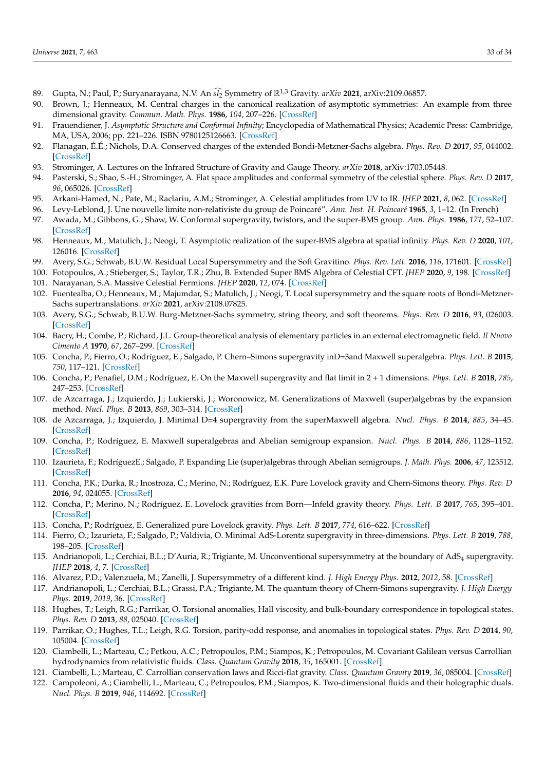- 89. Gupta, N.; Paul, P.; Suryanarayana, N.V. An  $\widehat{sI_2}$  Symmetry of  $\mathbb{R}^{1,3}$  Gravity. *arXiv* 2021, arXiv:2109.06857.<br>90. Brown, L.: Henneaux, M. Central charges in the canonical realization of asymptotic symmetrie
- Brown, J.; Henneaux, M. Central charges in the canonical realization of asymptotic symmetries: An example from three dimensional gravity. *Commun. Math. Phys.* **1986**, *104*, 207–226. [\[CrossRef\]](http://dx.doi.org/10.1007/BF01211590)
- 91. Frauendiener, J. *Asymptotic Structure and Conformal Infinity*; Encyclopedia of Mathematical Physics; Academic Press: Cambridge, MA, USA, 2006; pp. 221–226. ISBN 9780125126663. [\[CrossRef\]](http://dx.doi.org/10.1016/B0-12-512666-2/00011-0)
- 92. Flanagan, É.É.; Nichols, D.A. Conserved charges of the extended Bondi-Metzner-Sachs algebra. *Phys. Rev. D* **2017**, *95*, 044002. [\[CrossRef\]](http://dx.doi.org/10.1103/PhysRevD.95.044002)
- 93. Strominger, A. Lectures on the Infrared Structure of Gravity and Gauge Theory. *arXiv* **2018**, arXiv:1703.05448.
- 94. Pasterski, S.; Shao, S.-H.; Strominger, A. Flat space amplitudes and conformal symmetry of the celestial sphere. *Phys. Rev. D* **2017**, *96*, 065026. [\[CrossRef\]](http://dx.doi.org/10.1103/PhysRevD.96.065026)
- 95. Arkani-Hamed, N.; Pate, M.; Raclariu, A.M.; Strominger, A. Celestial amplitudes from UV to IR. *JHEP* **2021**, *8*, 062. [\[CrossRef\]](http://dx.doi.org/10.1007/JHEP08(2021)062)
- 96. Levy-Leblond, J. Une nouvelle limite non-relativiste du group de Poincaré". *Ann. Inst. H. Poincaré* **1965**, *3*, 1–12. (In French)
- 97. Awada, M.; Gibbons, G.; Shaw, W. Conformal supergravity, twistors, and the super-BMS group. *Ann. Phys.* **1986**, *171*, 52–107. [\[CrossRef\]](http://dx.doi.org/10.1016/S0003-4916(86)80023-9)
- 98. Henneaux, M.; Matulich, J.; Neogi, T. Asymptotic realization of the super-BMS algebra at spatial infinity. *Phys. Rev. D* **2020**, *101*, 126016. [\[CrossRef\]](http://dx.doi.org/10.1103/PhysRevD.101.126016)
- 99. Avery, S.G.; Schwab, B.U.W. Residual Local Supersymmetry and the Soft Gravitino. *Phys. Rev. Lett.* **2016**, *116*, 171601. [\[CrossRef\]](http://dx.doi.org/10.1103/PhysRevLett.116.171601)
- 100. Fotopoulos, A.; Stieberger, S.; Taylor, T.R.; Zhu, B. Extended Super BMS Algebra of Celestial CFT. *JHEP* **2020**, *9*, 198. [\[CrossRef\]](http://dx.doi.org/10.1007/JHEP09(2020)198)
- 101. Narayanan, S.A. Massive Celestial Fermions. *JHEP* **2020**, *12*, 074. [\[CrossRef\]](http://dx.doi.org/10.1007/JHEP12(2020)074)
- 102. Fuentealba, O.; Henneaux, M.; Majumdar, S.; Matulich, J.; Neogi, T. Local supersymmetry and the square roots of Bondi-Metzner-Sachs supertranslations. *arXiv* **2021**, arXiv:2108.07825.
- 103. Avery, S.G.; Schwab, B.U.W. Burg-Metzner-Sachs symmetry, string theory, and soft theorems. *Phys. Rev. D* **2016**, *93*, 026003. [\[CrossRef\]](http://dx.doi.org/10.1103/PhysRevD.93.026003)
- 104. Bacry, H.; Combe, P.; Richard, J.L. Group-theoretical analysis of elementary particles in an external electromagnetic field. *Il Nuovo Cimento A* **1970**, *67*, 267–299. [\[CrossRef\]](http://dx.doi.org/10.1007/BF02725178)
- 105. Concha, P.; Fierro, O.; Rodríguez, E.; Salgado, P. Chern–Simons supergravity inD=3and Maxwell superalgebra. *Phys. Lett. B* **2015**, *750*, 117–121. [\[CrossRef\]](http://dx.doi.org/10.1016/j.physletb.2015.09.005)
- 106. Concha, P.; Penafiel, D.M.; Rodríguez, E. On the Maxwell supergravity and flat limit in 2 + 1 dimensions. *Phys. Lett. B* **2018**, *785*, 247–253. [\[CrossRef\]](http://dx.doi.org/10.1016/j.physletb.2018.08.050)
- 107. de Azcarraga, J.; Izquierdo, J.; Lukierski, J.; Woronowicz, M. Generalizations of Maxwell (super)algebras by the expansion method. *Nucl. Phys. B* **2013**, *869*, 303–314. [\[CrossRef\]](http://dx.doi.org/10.1016/j.nuclphysb.2012.12.008)
- 108. de Azcarraga, J.; Izquierdo, J. Minimal D=4 supergravity from the superMaxwell algebra. *Nucl. Phys. B* **2014**, *885*, 34–45. [\[CrossRef\]](http://dx.doi.org/10.1016/j.nuclphysb.2014.05.007)
- 109. Concha, P.; Rodríguez, E. Maxwell superalgebras and Abelian semigroup expansion. *Nucl. Phys. B* **2014**, *886*, 1128–1152. [\[CrossRef\]](http://dx.doi.org/10.1016/j.nuclphysb.2014.07.022)
- 110. Izaurieta, F.; RodríguezE.; Salgado, P. Expanding Lie (super)algebras through Abelian semigroups. *J. Math. Phys.* **2006**, *47*, 123512. [\[CrossRef\]](http://dx.doi.org/10.1063/1.2390659)
- 111. Concha, P.K.; Durka, R.; Inostroza, C.; Merino, N.; Rodríguez, E.K. Pure Lovelock gravity and Chern-Simons theory. *Phys. Rev. D* **2016**, *94*, 024055. [\[CrossRef\]](http://dx.doi.org/10.1103/PhysRevD.94.024055)
- 112. Concha, P.; Merino, N.; Rodríguez, E. Lovelock gravities from Born—Infeld gravity theory. *Phys. Lett. B* **2017**, *765*, 395–401. [\[CrossRef\]](http://dx.doi.org/10.1016/j.physletb.2016.09.008)
- 113. Concha, P.; Rodríguez, E. Generalized pure Lovelock gravity. *Phys. Lett. B* **2017**, *774*, 616–622. [\[CrossRef\]](http://dx.doi.org/10.1016/j.physletb.2017.10.019)
- 114. Fierro, O.; Izaurieta, F.; Salgado, P.; Valdivia, O. Minimal AdS-Lorentz supergravity in three-dimensions. *Phys. Lett. B* **2019**, *788*, 198–205. [\[CrossRef\]](http://dx.doi.org/10.1016/j.physletb.2018.10.066)
- 115. Andrianopoli, L.; Cerchiai, B.L.; D'Auria, R.; Trigiante, M. Unconventional supersymmetry at the boundary of  $AdS<sub>4</sub>$  supergravity. *JHEP* **2018**, *4*, 7. [\[CrossRef\]](http://dx.doi.org/10.1007/JHEP04(2018)007)
- 116. Alvarez, P.D.; Valenzuela, M.; Zanelli, J. Supersymmetry of a different kind. *J. High Energy Phys.* **2012**, *2012*, 58. [\[CrossRef\]](http://dx.doi.org/10.1007/JHEP04(2012)058)
- 117. Andrianopoli, L.; Cerchiai, B.L.; Grassi, P.A.; Trigiante, M. The quantum theory of Chern-Simons supergravity. *J. High Energy Phys.* **2019**, *2019*, 36. [\[CrossRef\]](http://dx.doi.org/10.1007/JHEP06(2019)036)
- 118. Hughes, T.; Leigh, R.G.; Parrikar, O. Torsional anomalies, Hall viscosity, and bulk-boundary correspondence in topological states. *Phys. Rev. D* **2013**, *88*, 025040. [\[CrossRef\]](http://dx.doi.org/10.1103/PhysRevD.88.025040)
- 119. Parrikar, O.; Hughes, T.L.; Leigh, R.G. Torsion, parity-odd response, and anomalies in topological states. *Phys. Rev. D* **2014**, *90*, 105004. [\[CrossRef\]](http://dx.doi.org/10.1103/PhysRevD.90.105004)
- 120. Ciambelli, L.; Marteau, C.; Petkou, A.C.; Petropoulos, P.M.; Siampos, K.; Petropoulos, M. Covariant Galilean versus Carrollian hydrodynamics from relativistic fluids. *Class. Quantum Gravity* **2018**, *35*, 165001. [\[CrossRef\]](http://dx.doi.org/10.1088/1361-6382/aacf1a)
- 121. Ciambelli, L.; Marteau, C. Carrollian conservation laws and Ricci-flat gravity. *Class. Quantum Gravity* **2019**, *36*, 085004. [\[CrossRef\]](http://dx.doi.org/10.1088/1361-6382/ab0d37)
- 122. Campoleoni, A.; Ciambelli, L.; Marteau, C.; Petropoulos, P.M.; Siampos, K. Two-dimensional fluids and their holographic duals. *Nucl. Phys. B* **2019**, *946*, 114692. [\[CrossRef\]](http://dx.doi.org/10.1016/j.nuclphysb.2019.114692)